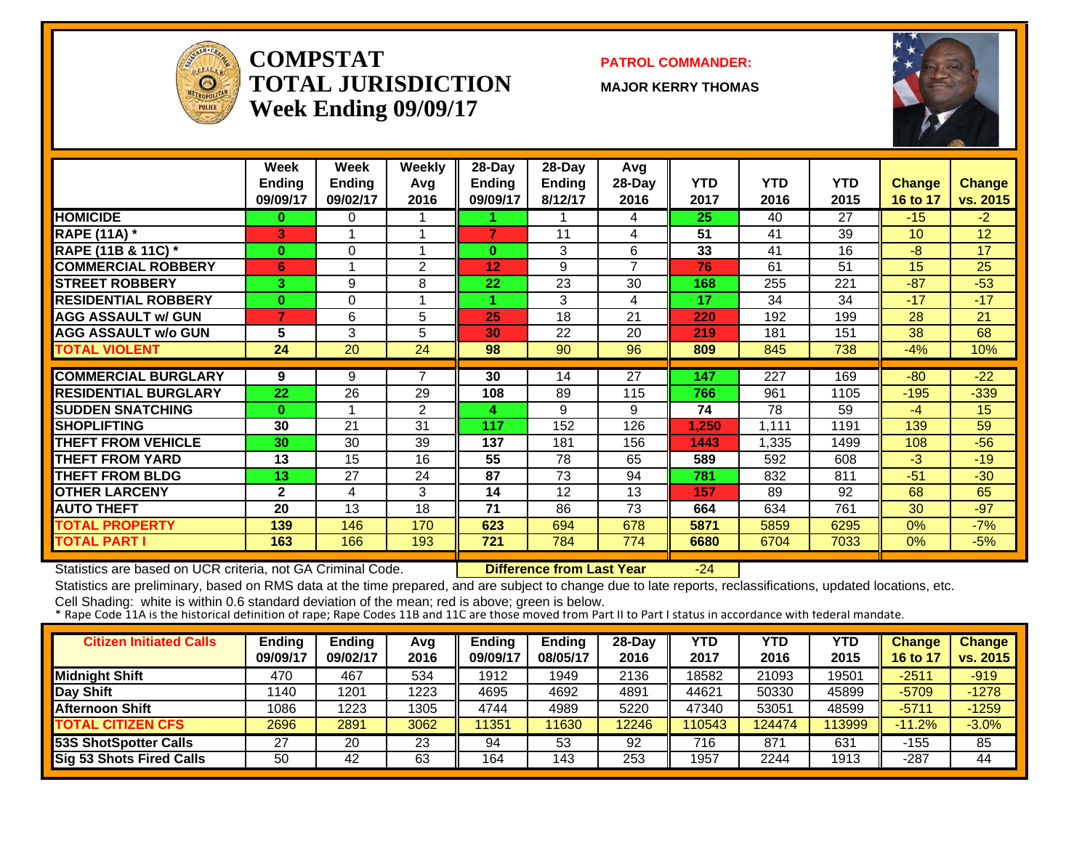

#### **COMPSTATTOTAL JURISDICTIONWeek Ending 09/09/17**

#### **PATROL COMMANDER:**

**MAJOR KERRY THOMAS**



|                             | <b>Week</b>   | <b>Week</b>   | Weekly         | $28 - Day$    | $28 - Day$    | Avg    |            |            |            |               |               |
|-----------------------------|---------------|---------------|----------------|---------------|---------------|--------|------------|------------|------------|---------------|---------------|
|                             | <b>Ending</b> | <b>Ending</b> | Avq            | <b>Ending</b> | <b>Ending</b> | 28-Day | <b>YTD</b> | <b>YTD</b> | <b>YTD</b> | <b>Change</b> | <b>Change</b> |
|                             | 09/09/17      | 09/02/17      | 2016           | 09/09/17      | 8/12/17       | 2016   | 2017       | 2016       | 2015       | 16 to 17      | vs. 2015      |
| <b>HOMICIDE</b>             | 0             | 0             |                |               |               | 4      | 25         | 40         | 27         | $-15$         | $-2$          |
| <b>RAPE (11A)</b> *         | 3             | 1             |                | 7             | 11            | 4      | 51         | 41         | 39         | 10            | 12            |
| RAPE (11B & 11C) *          | $\bf{0}$      | $\Omega$      |                | $\bf{0}$      | 3             | 6      | 33         | 41         | 16         | -8            | 17            |
| <b>COMMERCIAL ROBBERY</b>   | 6             | 1             | $\overline{2}$ | 12            | 9             | 7      | 76         | 61         | 51         | 15            | 25            |
| <b>STREET ROBBERY</b>       | 3.            | 9             | 8              | 22            | 23            | 30     | 168        | 255        | 221        | $-87$         | $-53$         |
| <b>RESIDENTIAL ROBBERY</b>  | $\mathbf{0}$  | $\Omega$      |                | 4.            | 3             | 4      | 17         | 34         | 34         | $-17$         | $-17$         |
| <b>AGG ASSAULT w/ GUN</b>   | 7             | 6             | 5              | 25            | 18            | 21     | 220        | 192        | 199        | 28            | 21            |
| <b>AGG ASSAULT w/o GUN</b>  | 5             | 3             | 5              | 30            | 22            | 20     | 219        | 181        | 151        | 38            | 68            |
| <b>TOTAL VIOLENT</b>        | 24            | 20            | 24             | 98            | 90            | 96     | 809        | 845        | 738        | $-4%$         | 10%           |
|                             |               |               |                |               |               |        |            |            |            |               |               |
| <b>COMMERCIAL BURGLARY</b>  | 9             | 9             | 7              | 30            | 14            | 27     | 147        | 227        | 169        | $-80$         | $-22$         |
| <b>RESIDENTIAL BURGLARY</b> | 22            | 26            | 29             | 108           | 89            | 115    | 766        | 961        | 1105       | $-195$        | $-339$        |
| <b>SUDDEN SNATCHING</b>     | $\bf{0}$      | 1             | $\overline{2}$ | 4             | 9             | 9      | 74         | 78         | 59         | $-4$          | 15            |
| <b>SHOPLIFTING</b>          | 30            | 21            | 31             | 117           | 152           | 126    | 1,250      | 1,111      | 1191       | 139           | 59            |
| <b>THEFT FROM VEHICLE</b>   | 30            | 30            | 39             | 137           | 181           | 156    | 1443       | 1,335      | 1499       | 108           | $-56$         |
| <b>THEFT FROM YARD</b>      | 13            | 15            | 16             | 55            | 78            | 65     | 589        | 592        | 608        | $-3$          | $-19$         |
| <b>THEFT FROM BLDG</b>      | 13            | 27            | 24             | 87            | 73            | 94     | 781        | 832        | 811        | $-51$         | $-30$         |
| <b>OTHER LARCENY</b>        | $\mathbf{2}$  | 4             | 3              | 14            | 12            | 13     | 157        | 89         | 92         | 68            | 65            |
| <b>AUTO THEFT</b>           | 20            | 13            | 18             | 71            | 86            | 73     | 664        | 634        | 761        | 30            | $-97$         |
| <b>TOTAL PROPERTY</b>       | 139           | 146           | 170            | 623           | 694           | 678    | 5871       | 5859       | 6295       | 0%            | $-7%$         |
| <b>TOTAL PART I</b>         | 163           | 166           | 193            | 721           | 784           | 774    | 6680       | 6704       | 7033       | $0\%$         | $-5%$         |

Statistics are based on UCR criteria, not GA Criminal Code. **Difference from Last Year** -24

Statistics are preliminary, based on RMS data at the time prepared, and are subject to change due to late reports, reclassifications, updated locations, etc.

| <b>Citizen Initiated Calls</b> | <b>Ending</b><br>09/09/17 | <b>Ending</b><br>09/02/17 | Avg<br>2016 | <b>Ending</b><br>09/09/17 | <b>Ending</b><br>08/05/17 | 28-Dav<br>2016 | <b>YTD</b><br>2017 | YTD<br>2016 | YTD<br>2015 | <b>Change</b><br>16 to 1 | <b>Change</b><br>vs. 2015 |
|--------------------------------|---------------------------|---------------------------|-------------|---------------------------|---------------------------|----------------|--------------------|-------------|-------------|--------------------------|---------------------------|
|                                |                           |                           |             |                           |                           |                |                    |             |             |                          |                           |
| <b>Midnight Shift</b>          | 470                       | 467                       | 534         | 1912                      | 1949                      | 2136           | 18582              | 21093       | 19501       | $-2511$                  | $-919$                    |
| Day Shift                      | 140                       | 1201                      | 1223        | 4695                      | 4692                      | 4891           | 44621              | 50330       | 45899       | $-5709$                  | $-1278$                   |
| <b>Afternoon Shift</b>         | 1086                      | 1223                      | 1305        | 4744                      | 4989                      | 5220           | 47340              | 53051       | 48599       | $-5711$                  | $-1259$                   |
| <b>TOTAL CITIZEN CFS</b>       | 2696                      | 2891                      | 3062        | 11351                     | 11630                     | 12246          | 110543             | 24474       | 113999      | $-11.2%$                 | $-3.0%$                   |
| <b>53S ShotSpotter Calls</b>   | 27                        | 20                        | 23          | 94                        | 53                        | 92             | 716                | 871         | 631         | -155                     | 85                        |
| Sig 53 Shots Fired Calls       | 50                        | 42                        | 63          | 164                       | 143                       | 253            | 1957               | 2244        | 1913        | $-287$                   | 44                        |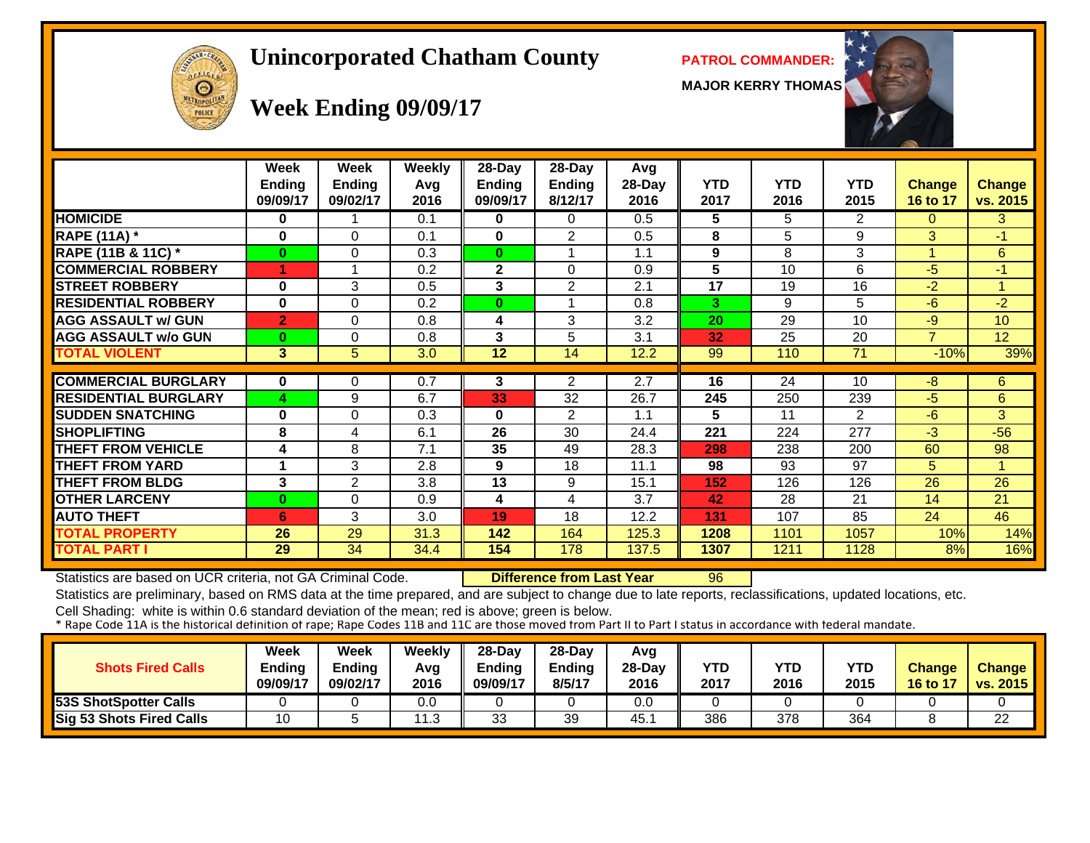# **Unincorporated Chatham County PATROL COMMANDER:**

**MAJOR KERRY THOMAS**





#### **Week Ending 09/09/17**

|                             | Week<br>Endina<br>09/09/17 | Week<br><b>Ending</b><br>09/02/17 | <b>Weekly</b><br>Avg<br>2016 | $28$ -Day<br>Endina<br>09/09/17 | $28$ -Day<br><b>Ending</b><br>8/12/17 | Avg<br>28-Day<br>2016 | <b>YTD</b><br>2017 | <b>YTD</b><br>2016 | <b>YTD</b><br>2015 | <b>Change</b><br>16 to 17 | <b>Change</b><br>vs. 2015 |
|-----------------------------|----------------------------|-----------------------------------|------------------------------|---------------------------------|---------------------------------------|-----------------------|--------------------|--------------------|--------------------|---------------------------|---------------------------|
| <b>HOMICIDE</b>             | 0                          |                                   | 0.1                          | 0                               | $\Omega$                              | 0.5                   | 5                  | 5.                 | 2                  | 0                         | 3                         |
| <b>RAPE (11A) *</b>         | 0                          | $\Omega$                          | 0.1                          | $\mathbf{0}$                    | 2                                     | 0.5                   | 8                  | 5                  | 9                  | 3                         | $-1$                      |
| RAPE (11B & 11C) *          | $\bf{0}$                   | $\Omega$                          | 0.3                          | $\mathbf{0}$                    |                                       | 1.1                   | 9                  | 8                  | 3                  |                           | 6                         |
| <b>COMMERCIAL ROBBERY</b>   |                            |                                   | 0.2                          | $\overline{2}$                  | $\Omega$                              | 0.9                   | $5\phantom{.0}$    | 10                 | 6                  | $-5$                      | $-1$                      |
| <b>STREET ROBBERY</b>       | 0                          | 3                                 | 0.5                          | 3                               | 2                                     | 2.1                   | 17                 | 19                 | 16                 | $-2$                      | 1                         |
| <b>RESIDENTIAL ROBBERY</b>  | 0                          | $\Omega$                          | 0.2                          | $\mathbf{0}$                    |                                       | 0.8                   | 3                  | 9                  | 5                  | -6                        | $-2$                      |
| <b>AGG ASSAULT w/ GUN</b>   | $\overline{2}$             | $\Omega$                          | 0.8                          | 4                               | 3                                     | 3.2                   | 20                 | 29                 | 10                 | $-9$                      | 10 <sup>1</sup>           |
| <b>AGG ASSAULT w/o GUN</b>  | $\bf{0}$                   | 0                                 | 0.8                          | $\mathbf{3}$                    | 5                                     | 3.1                   | 32                 | 25                 | 20                 | $\overline{\phantom{a}}$  | 12 <sub>2</sub>           |
| <b>TOTAL VIOLENT</b>        | 3                          | 5                                 | 3.0                          | 12                              | 14                                    | 12.2                  | 99                 | 110                | 71                 | $-10%$                    | 39%                       |
|                             |                            |                                   |                              |                                 |                                       |                       |                    |                    |                    |                           |                           |
| <b>COMMERCIAL BURGLARY</b>  | 0                          | 0                                 | 0.7                          | 3                               | $\overline{2}$                        | 2.7                   | 16                 | 24                 | 10                 | -8                        | 6                         |
| <b>RESIDENTIAL BURGLARY</b> | 4                          | 9                                 | 6.7                          | 33                              | 32                                    | 26.7                  | 245                | 250                | 239                | $-5$                      | 6                         |
| <b>SUDDEN SNATCHING</b>     | 0                          | 0                                 | 0.3                          | $\mathbf{0}$                    | 2                                     | 1.1                   | 5                  | 11                 | 2                  | $-6$                      | 3                         |
| <b>SHOPLIFTING</b>          | 8                          | 4                                 | 6.1                          | 26                              | 30                                    | 24.4                  | 221                | 224                | 277                | $-3$                      | $-56$                     |
| <b>THEFT FROM VEHICLE</b>   | 4                          | 8                                 | 7.1                          | 35                              | 49                                    | 28.3                  | 298                | 238                | 200                | 60                        | 98                        |
| <b>THEFT FROM YARD</b>      | 1                          | 3                                 | 2.8                          | 9                               | 18                                    | 11.1                  | 98                 | 93                 | 97                 | 5.                        | 1                         |
| <b>THEFT FROM BLDG</b>      | 3                          | $\overline{2}$                    | 3.8                          | $\overline{13}$                 | 9                                     | 15.1                  | 152                | 126                | 126                | 26                        | 26                        |
| <b>OTHER LARCENY</b>        | $\bf{0}$                   | $\Omega$                          | 0.9                          | 4                               | 4                                     | 3.7                   | 42                 | 28                 | 21                 | 14                        | 21                        |
| <b>AUTO THEFT</b>           | 6                          | 3                                 | 3.0                          | 19                              | 18                                    | 12.2                  | 131                | 107                | 85                 | 24                        | 46                        |
| TOTAL PROPERTY              | 26                         | 29                                | 31.3                         | 142                             | 164                                   | 125.3                 | 1208               | 1101               | 1057               | 10%                       | 14%                       |
| <b>TOTAL PART I</b>         | 29                         | 34                                | 34.4                         | 154                             | 178                                   | 137.5                 | 1307               | 1211               | 1128               | 8%                        | 16%                       |

Statistics are based on UCR criteria, not GA Criminal Code. **Difference from Last Year** 96

Statistics are preliminary, based on RMS data at the time prepared, and are subject to change due to late reports, reclassifications, updated locations, etc.

| <b>Shots Fired Calls</b>     | Week<br>Ending<br>09/09/17 | <b>Week</b><br><b>Ending</b><br>09/02/17 | Weekly<br>Avg<br>2016 | $28$ -Dav<br>Endina<br>09/09/17 | $28$ -Day<br>Ending<br>8/5/17 | Avg<br>$28-Dav$<br>2016 | YTD<br>2017 | <b>YTD</b><br>2016 | <b>YTD</b><br>2015 | <b>Change</b><br><b>16 to 17</b> | <b>Change</b><br>vs. 2015 |
|------------------------------|----------------------------|------------------------------------------|-----------------------|---------------------------------|-------------------------------|-------------------------|-------------|--------------------|--------------------|----------------------------------|---------------------------|
| <b>53S ShotSpotter Calls</b> |                            |                                          | 0.0                   |                                 |                               | 0.0                     |             |                    |                    |                                  |                           |
| Sig 53 Shots Fired Calls     | 10                         |                                          | ົ<br>ں. ا             | っっ<br>ບບ                        | 39                            | 45.                     | 386         | 378                | 364                |                                  | 22                        |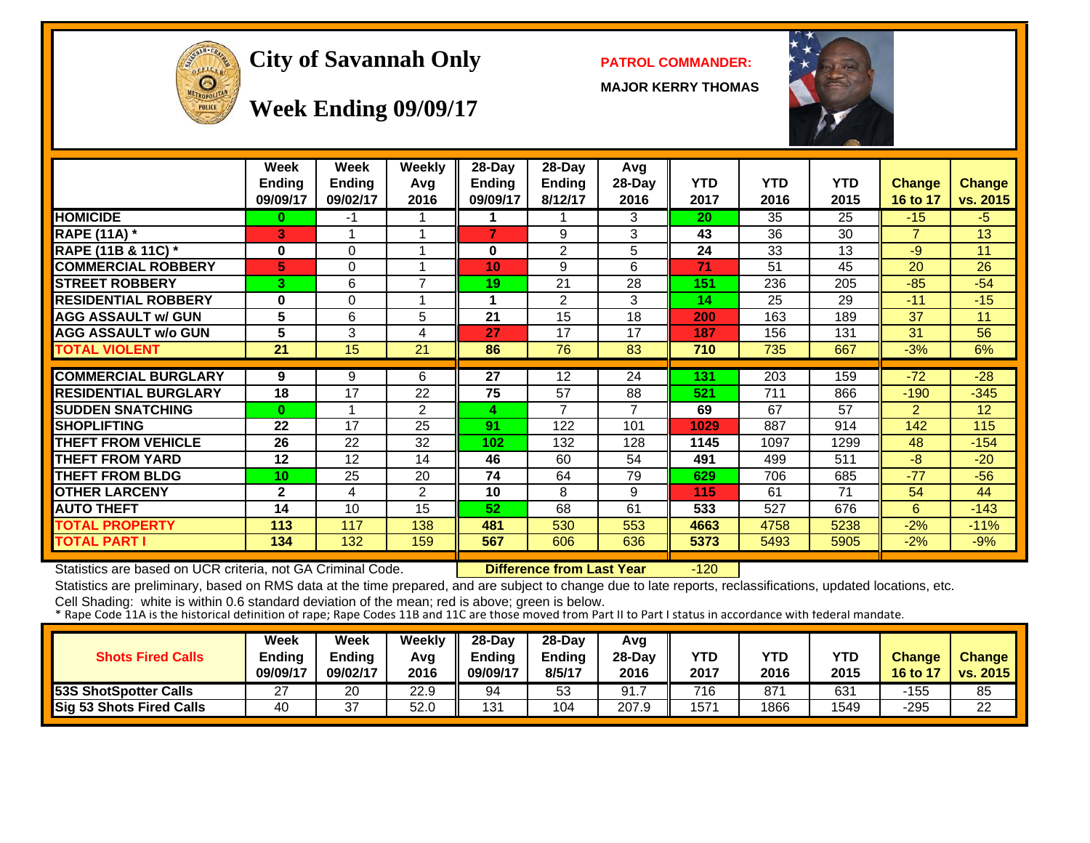

#### **City of Savannah Only PATROL COMMANDER:**

**MAJOR KERRY THOMAS**



**Week Ending 09/09/17**

|                             | Week<br><b>Ending</b> | Week<br><b>Ending</b> | Weekly<br>Avg  | 28-Day<br><b>Ending</b> | $28-Day$<br><b>Ending</b> | Avg<br>28-Day | <b>YTD</b> | <b>YTD</b>       | <b>YTD</b> | Change         | <b>Change</b> |
|-----------------------------|-----------------------|-----------------------|----------------|-------------------------|---------------------------|---------------|------------|------------------|------------|----------------|---------------|
|                             | 09/09/17              | 09/02/17              | 2016           | 09/09/17                | 8/12/17                   | 2016          | 2017<br>20 | 2016             | 2015       | 16 to 17       | vs. 2015      |
| <b>HOMICIDE</b>             | $\bf{0}$              | -1                    |                |                         |                           | 3             |            | 35               | 25         | $-15$          | $-5$          |
| <b>RAPE (11A) *</b>         | 3                     | $\overline{ }$        | 1              | $\overline{7}$          | 9                         | 3             | 43         | 36               | 30         | $\overline{7}$ | 13            |
| RAPE (11B & 11C) *          | 0                     | 0                     | 1              | 0                       | 2                         | 5             | 24         | 33               | 13         | $-9$           | 11            |
| <b>COMMERCIAL ROBBERY</b>   | 5                     | $\Omega$              | 1              | 10                      | 9                         | 6             | 71         | 51               | 45         | 20             | 26            |
| <b>STREET ROBBERY</b>       | 3                     | 6                     | $\overline{7}$ | 19                      | 21                        | 28            | 151        | 236              | 205        | $-85$          | $-54$         |
| <b>RESIDENTIAL ROBBERY</b>  | $\bf{0}$              | 0                     | 1              | 1                       | $\overline{2}$            | 3             | 14         | 25               | 29         | $-11$          | $-15$         |
| <b>AGG ASSAULT w/ GUN</b>   | 5                     | 6                     | 5              | 21                      | 15                        | 18            | 200        | 163              | 189        | 37             | 11            |
| <b>AGG ASSAULT w/o GUN</b>  | 5                     | 3                     | 4              | 27                      | 17                        | 17            | 187        | 156              | 131        | 31             | 56            |
| <b>TOTAL VIOLENT</b>        | 21                    | 15                    | 21             | 86                      | 76                        | 83            | 710        | 735              | 667        | $-3%$          | 6%            |
|                             |                       |                       |                |                         |                           |               |            |                  |            |                |               |
| <b>COMMERCIAL BURGLARY</b>  | 9                     | 9                     | 6              | 27                      | 12                        | 24            | 131        | $\overline{203}$ | 159        | $-72$          | $-28$         |
| <b>RESIDENTIAL BURGLARY</b> | 18                    | 17                    | 22             | 75                      | 57                        | 88            | 521        | 711              | 866        | $-190$         | $-345$        |
| <b>SUDDEN SNATCHING</b>     | $\bf{0}$              |                       | $\overline{2}$ | 4                       | $\overline{7}$            | 7             | 69         | 67               | 57         | $\overline{2}$ | 12            |
| <b>SHOPLIFTING</b>          | 22                    | 17                    | 25             | 91                      | 122                       | 101           | 1029       | 887              | 914        | 142            | 115           |
| <b>THEFT FROM VEHICLE</b>   | 26                    | 22                    | 32             | 102                     | 132                       | 128           | 1145       | 1097             | 1299       | 48             | $-154$        |
| <b>THEFT FROM YARD</b>      | 12                    | 12                    | 14             | 46                      | 60                        | 54            | 491        | 499              | 511        | $-8$           | $-20$         |
| <b>THEFT FROM BLDG</b>      | 10 <sup>1</sup>       | 25                    | 20             | 74                      | 64                        | 79            | 629        | 706              | 685        | $-77$          | $-56$         |
| <b>OTHER LARCENY</b>        | $\mathbf{2}$          | 4                     | 2              | 10                      | 8                         | 9             | 115        | 61               | 71         | 54             | 44            |
| <b>AUTO THEFT</b>           | 14                    | 10                    | 15             | 52                      | 68                        | 61            | 533        | 527              | 676        | 6              | $-143$        |
| <b>TOTAL PROPERTY</b>       | 113                   | 117                   | 138            | 481                     | 530                       | 553           | 4663       | 4758             | 5238       | $-2%$          | $-11%$        |
| <b>TOTAL PART I</b>         | 134                   | 132                   | 159            | 567                     | 606                       | 636           | 5373       | 5493             | 5905       | $-2%$          | $-9%$         |

Statistics are based on UCR criteria, not GA Criminal Code. **Difference from Last Year** -120

Statistics are preliminary, based on RMS data at the time prepared, and are subject to change due to late reports, reclassifications, updated locations, etc.

| <b>Shots Fired Calls</b>     | Week<br>Ending<br>09/09/17 | Week<br><b>Ending</b><br>09/02/17 | Weekly<br>Avg<br>2016 | $28-Dav$<br>Ending<br>09/09/17 | $28-Dav$<br><b>Ending</b><br>8/5/17 | Avg<br>28-Day<br>2016 | YTD<br>2017 | YTD<br>2016 | <b>YTD</b><br>2015 | <b>Change</b><br>$16 to 1^2$ | <b>Change</b><br>vs. 2015 |
|------------------------------|----------------------------|-----------------------------------|-----------------------|--------------------------------|-------------------------------------|-----------------------|-------------|-------------|--------------------|------------------------------|---------------------------|
| <b>53S ShotSpotter Calls</b> | 27                         | 20                                | 22.9                  | 94                             | 53                                  | 91.                   | 716         | 871         | 631                | -155                         | 85                        |
| Sig 53 Shots Fired Calls     | 40                         | 37                                | 52.0                  | 131                            | 104                                 | 207.9                 | 1571        | 1866        | 1549               | -295                         | 22                        |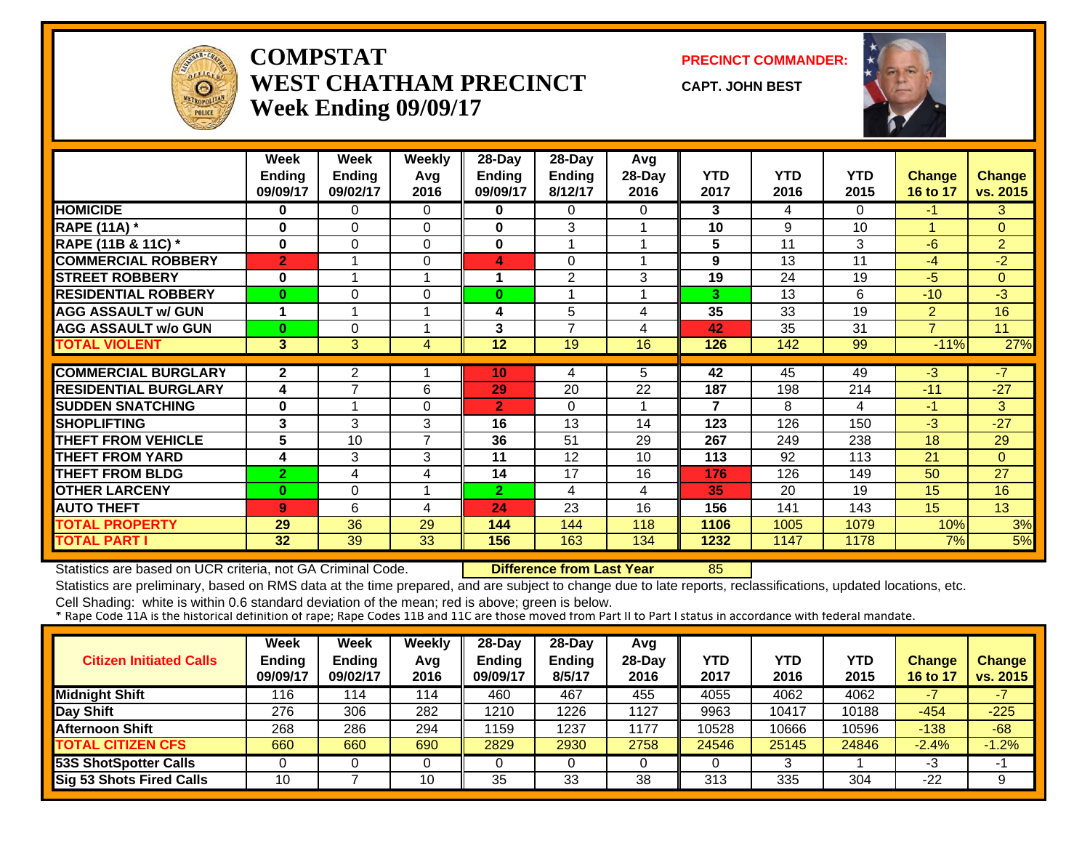

#### **COMPSTATWEST CHATHAM PRECINCTWeek Ending 09/09/17**

**PRECINCT COMMANDER:**

**CAPT. JOHN BEST**



|                             | Week<br><b>Ending</b><br>09/09/17 | Week<br><b>Ending</b><br>09/02/17 | <b>Weekly</b><br>Avg<br>2016 | $28$ -Day<br><b>Ending</b><br>09/09/17 | 28-Day<br><b>Ending</b><br>8/12/17 | Avg<br>28-Day<br>2016 | <b>YTD</b><br>2017 | <b>YTD</b><br>2016 | <b>YTD</b><br>2015 | <b>Change</b><br>16 to 17 | <b>Change</b><br>vs. 2015 |
|-----------------------------|-----------------------------------|-----------------------------------|------------------------------|----------------------------------------|------------------------------------|-----------------------|--------------------|--------------------|--------------------|---------------------------|---------------------------|
| <b>HOMICIDE</b>             | $\bf{0}$                          | 0                                 | 0                            | 0                                      | $\Omega$                           | 0                     | 3                  | 4                  | $\Omega$           | $\blacksquare$            | 3                         |
| <b>RAPE (11A) *</b>         | $\bf{0}$                          | $\Omega$                          | $\Omega$                     | $\bf{0}$                               | 3                                  |                       | 10                 | 9                  | 10                 |                           | $\Omega$                  |
| RAPE (11B & 11C) *          | $\bf{0}$                          | 0                                 | $\Omega$                     | 0                                      |                                    |                       | 5                  | 11                 | 3                  | $-6$                      | $\overline{2}$            |
| <b>COMMERCIAL ROBBERY</b>   | $\overline{2}$                    |                                   | 0                            | 4                                      | $\Omega$                           |                       | 9                  | 13                 | 11                 | -4                        | $-2$                      |
| <b>STREET ROBBERY</b>       | $\bf{0}$                          | 1                                 | 1                            |                                        | $\overline{2}$                     | 3                     | 19                 | 24                 | 19                 | $-5$                      | $\Omega$                  |
| <b>RESIDENTIAL ROBBERY</b>  | $\bf{0}$                          | 0                                 | 0                            | $\bf{0}$                               |                                    |                       | 3                  | 13                 | 6                  | $-10$                     | -3                        |
| <b>AGG ASSAULT w/ GUN</b>   | 1                                 | 1                                 | -1                           | 4                                      | 5                                  | 4                     | 35                 | 33                 | 19                 | $\overline{2}$            | 16                        |
| <b>AGG ASSAULT w/o GUN</b>  | $\bf{0}$                          | 0                                 | ۸                            | 3                                      | 7                                  | 4                     | 42                 | 35                 | 31                 | $\overline{ }$            | 11                        |
| <b>TOTAL VIOLENT</b>        | 3                                 | 3                                 | 4                            | 12                                     | 19                                 | 16                    | 126                | 142                | 99                 | $-11%$                    | 27%                       |
|                             |                                   |                                   |                              |                                        |                                    |                       |                    |                    |                    |                           |                           |
| <b>COMMERCIAL BURGLARY</b>  | $\overline{2}$                    | $\overline{2}$                    |                              | 10                                     | 4                                  | 5                     | 42                 | 45                 | 49                 | -3                        | -7                        |
| <b>RESIDENTIAL BURGLARY</b> | 4                                 | $\overline{7}$                    | 6                            | 29                                     | 20                                 | 22                    | 187                | 198                | 214                | $-11$                     | $-27$                     |
| <b>SUDDEN SNATCHING</b>     | 0                                 | 1                                 | $\Omega$                     | $\overline{2}$                         | $\Omega$                           |                       | 7                  | 8                  | 4                  | $-1$                      | 3                         |
| <b>SHOPLIFTING</b>          | 3                                 | 3                                 | 3                            | 16                                     | 13                                 | 14                    | 123                | 126                | 150                | $-3$                      | $-27$                     |
| <b>THEFT FROM VEHICLE</b>   | 5                                 | 10                                | $\overline{7}$               | 36                                     | 51                                 | 29                    | 267                | 249                | 238                | 18                        | 29                        |
| <b>THEFT FROM YARD</b>      | 4                                 | 3                                 | 3                            | 11                                     | 12                                 | 10                    | 113                | 92                 | 113                | 21                        | $\Omega$                  |
| <b>THEFT FROM BLDG</b>      | $\overline{2}$                    | 4                                 | 4                            | 14                                     | 17                                 | 16                    | 176                | 126                | 149                | 50                        | 27                        |
| <b>OTHER LARCENY</b>        | $\bf{0}$                          | 0                                 |                              | $\overline{2}$                         | 4                                  | 4                     | 35                 | 20                 | 19                 | 15                        | 16                        |
| <b>AUTO THEFT</b>           | 9                                 | 6                                 | 4                            | 24                                     | 23                                 | 16                    | 156                | 141                | 143                | 15                        | 13                        |
| <b>TOTAL PROPERTY</b>       | 29                                | 36                                | 29                           | 144                                    | 144                                | 118                   | 1106               | 1005               | 1079               | 10%                       | 3%                        |
| <b>TOTAL PART I</b>         | 32                                | 39                                | 33                           | 156                                    | 163                                | 134                   | 1232               | 1147               | 1178               | 7%                        | 5%                        |

Statistics are based on UCR criteria, not GA Criminal Code. **Difference from Last Year** 85

Statistics are preliminary, based on RMS data at the time prepared, and are subject to change due to late reports, reclassifications, updated locations, etc.

| <b>Citizen Initiated Calls</b> | Week<br><b>Ending</b><br>09/09/17 | <b>Week</b><br>Ending<br>09/02/17 | <b>Weekly</b><br>Avg<br>2016 | $28$ -Day<br><b>Ending</b><br>09/09/17 | $28-Dav$<br><b>Ending</b><br>8/5/17 | Avg<br>$28-Day$<br>2016 | YTD<br>2017 | YTD<br>2016 | YTD<br>2015 | <b>Change</b><br>16 to 17 | <b>Change</b><br>vs. 2015 |
|--------------------------------|-----------------------------------|-----------------------------------|------------------------------|----------------------------------------|-------------------------------------|-------------------------|-------------|-------------|-------------|---------------------------|---------------------------|
| <b>Midnight Shift</b>          | 116                               | 114                               | 114                          | 460                                    | 467                                 | 455                     | 4055        | 4062        | 4062        |                           |                           |
| Day Shift                      | 276                               | 306                               | 282                          | 1210                                   | 1226                                | 1127                    | 9963        | 10417       | 10188       | $-454$                    | $-225$                    |
| Afternoon Shift                | 268                               | 286                               | 294                          | 1159                                   | 1237                                | 1177                    | 10528       | 10666       | 10596       | $-138$                    | $-68$                     |
| <b>TOTAL CITIZEN CFS</b>       | 660                               | 660                               | 690                          | 2829                                   | 2930                                | 2758                    | 24546       | 25145       | 24846       | $-2.4%$                   | $-1.2%$                   |
| <b>53S ShotSpotter Calls</b>   |                                   |                                   |                              |                                        |                                     |                         |             | ິ           |             | -3                        | ÷                         |
| Sig 53 Shots Fired Calls       | 10                                |                                   | 10                           | 35                                     | 33                                  | 38                      | 313         | 335         | 304         | -22                       | 9                         |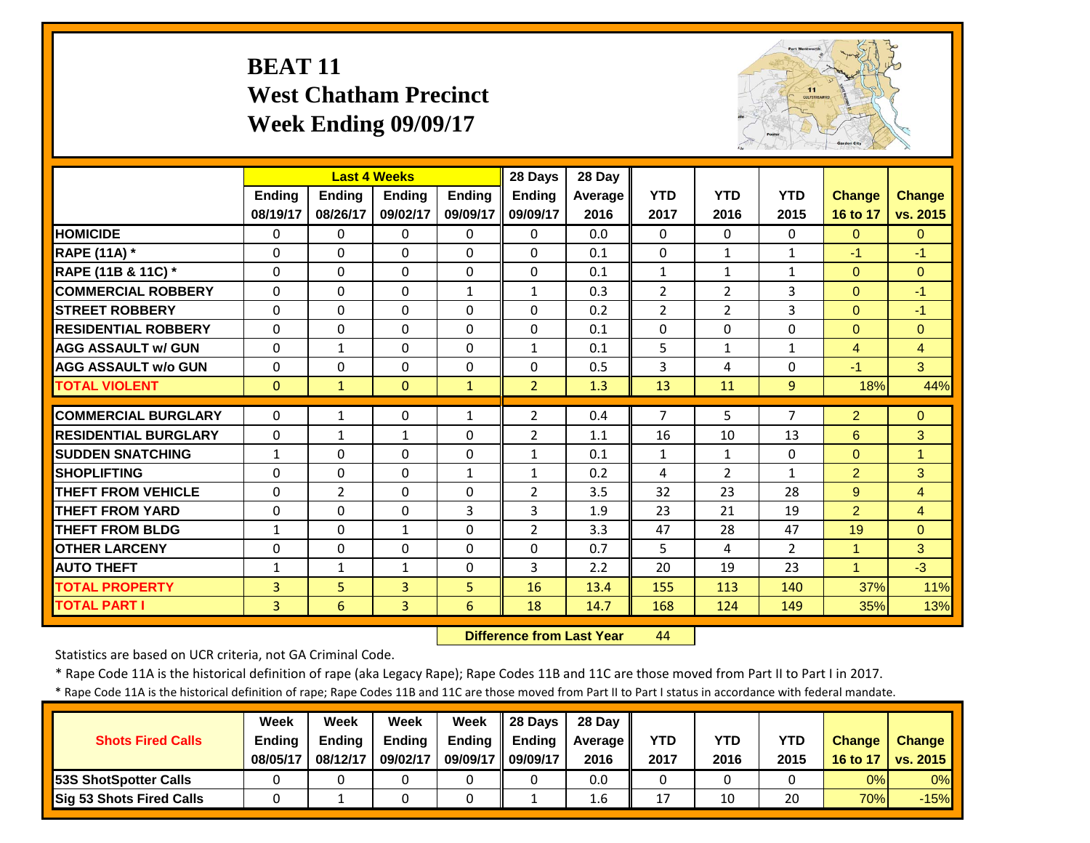# **BEAT 11 West Chatham Precinct Week Ending 09/09/17**



|                             |                |              | <b>Last 4 Weeks</b> |               | 28 Days        | 28 Day  |                |                |                |                |                |
|-----------------------------|----------------|--------------|---------------------|---------------|----------------|---------|----------------|----------------|----------------|----------------|----------------|
|                             | <b>Ending</b>  | Ending       | <b>Ending</b>       | <b>Endina</b> | <b>Ending</b>  | Average | <b>YTD</b>     | <b>YTD</b>     | <b>YTD</b>     | <b>Change</b>  | <b>Change</b>  |
|                             | 08/19/17       | 08/26/17     | 09/02/17            | 09/09/17      | 09/09/17       | 2016    | 2017           | 2016           | 2015           | 16 to 17       | vs. 2015       |
| <b>HOMICIDE</b>             | 0              | $\Omega$     | 0                   | $\mathbf{0}$  | 0              | 0.0     | $\Omega$       | $\Omega$       | 0              | $\mathbf{0}$   | $\overline{0}$ |
| <b>RAPE (11A)</b> *         | $\Omega$       | $\Omega$     | $\Omega$            | $\Omega$      | 0              | 0.1     | $\Omega$       | $\mathbf{1}$   | $\mathbf{1}$   | $-1$           | $-1$           |
| RAPE (11B & 11C) *          | $\mathbf 0$    | $\Omega$     | $\Omega$            | $\Omega$      | 0              | 0.1     | $\mathbf{1}$   | $\mathbf{1}$   | 1              | $\overline{0}$ | $\mathbf{0}$   |
| <b>COMMERCIAL ROBBERY</b>   | $\Omega$       | $\Omega$     | $\Omega$            | $\mathbf{1}$  | $\mathbf{1}$   | 0.3     | $\overline{2}$ | $\overline{2}$ | 3              | $\Omega$       | $-1$           |
| <b>ISTREET ROBBERY</b>      | $\Omega$       | $\Omega$     | $\Omega$            | $\Omega$      | $\Omega$       | 0.2     | $\overline{2}$ | 2              | 3              | $\Omega$       | $-1$           |
| <b>RESIDENTIAL ROBBERY</b>  | $\Omega$       | $\Omega$     | $\Omega$            | 0             | $\Omega$       | 0.1     | $\Omega$       | $\Omega$       | 0              | $\Omega$       | $\Omega$       |
| <b>AGG ASSAULT w/ GUN</b>   | 0              | $\mathbf{1}$ | $\Omega$            | $\Omega$      | $\mathbf{1}$   | 0.1     | 5              | $\mathbf{1}$   | 1              | $\overline{4}$ | 4              |
| <b>AGG ASSAULT w/o GUN</b>  | 0              | 0            | $\Omega$            | $\Omega$      | 0              | 0.5     | 3              | 4              | 0              | $-1$           | 3              |
| <b>TOTAL VIOLENT</b>        | $\Omega$       | $\mathbf{1}$ | $\Omega$            | $\mathbf{1}$  | $\overline{2}$ | 1.3     | 13             | 11             | 9              | 18%            | 44%            |
| <b>COMMERCIAL BURGLARY</b>  | $\Omega$       | $\mathbf{1}$ | $\Omega$            | $\mathbf{1}$  | $\overline{2}$ | 0.4     | $\overline{7}$ | 5.             | 7              | $\overline{2}$ | $\Omega$       |
| <b>RESIDENTIAL BURGLARY</b> | $\Omega$       | $\mathbf{1}$ | $\mathbf{1}$        | $\Omega$      | $\overline{2}$ | 1.1     | 16             | 10             | 13             | 6              | 3              |
|                             |                |              |                     |               |                |         |                |                |                |                | 1              |
| <b>SUDDEN SNATCHING</b>     | $\mathbf{1}$   | $\Omega$     | $\Omega$            | $\Omega$      | 1              | 0.1     | $\mathbf{1}$   | $\mathbf{1}$   | 0              | $\Omega$       |                |
| <b>SHOPLIFTING</b>          | $\Omega$       | $\Omega$     | $\Omega$            | $\mathbf{1}$  | 1              | 0.2     | 4              | $\overline{2}$ | 1              | $\overline{2}$ | 3              |
| <b>THEFT FROM VEHICLE</b>   | $\Omega$       | 2            | $\Omega$            | $\Omega$      | $\overline{2}$ | 3.5     | 32             | 23             | 28             | 9              | $\overline{4}$ |
| <b>THEFT FROM YARD</b>      | $\Omega$       | $\Omega$     | $\Omega$            | 3             | 3              | 1.9     | 23             | 21             | 19             | $\overline{2}$ | $\overline{4}$ |
| <b>THEFT FROM BLDG</b>      | $\mathbf{1}$   | $\Omega$     | $\mathbf{1}$        | $\Omega$      | $\overline{2}$ | 3.3     | 47             | 28             | 47             | 19             | $\Omega$       |
| <b>OTHER LARCENY</b>        | $\Omega$       | $\Omega$     | $\Omega$            | $\Omega$      | 0              | 0.7     | 5              | 4              | $\overline{2}$ | 1              | 3              |
| <b>AUTO THEFT</b>           | $\mathbf{1}$   | $\mathbf{1}$ | $\mathbf{1}$        | 0             | 3              | 2.2     | 20             | 19             | 23             | 1              | $-3$           |
| <b>TOTAL PROPERTY</b>       | $\overline{3}$ | 5            | $\overline{3}$      | 5             | 16             | 13.4    | 155            | 113            | 140            | 37%            | 11%            |
| <b>TOTAL PART I</b>         | 3              | 6            | 3                   | 6             | 18             | 14.7    | 168            | 124            | 149            | 35%            | 13%            |

 **Difference from Last Year**44

Statistics are based on UCR criteria, not GA Criminal Code.

\* Rape Code 11A is the historical definition of rape (aka Legacy Rape); Rape Codes 11B and 11C are those moved from Part II to Part I in 2017.

\* Rape Code 11A is the historical definition of rape; Rape Codes 11B and 11C are those moved from Part II to Part I status in accordance with federal mandate.

|                              | Week          | Week          | Week          | Week          | 28 Davs       | 28 Day         |      |      |            |               |                 |
|------------------------------|---------------|---------------|---------------|---------------|---------------|----------------|------|------|------------|---------------|-----------------|
| <b>Shots Fired Calls</b>     | <b>Ending</b> | <b>Endina</b> | <b>Ending</b> | <b>Ending</b> | <b>Endina</b> | <b>Average</b> | YTD  | YTD  | <b>YTD</b> | <b>Change</b> | <b>Change</b>   |
|                              | 08/05/17      | 08/12/17      | 09/02/17      | 09/09/17      | 09/09/17      | 2016           | 2017 | 2016 | 2015       | 16 to 17      | <b>vs. 2015</b> |
| <b>53S ShotSpotter Calls</b> |               |               |               |               |               | 0.0            |      |      |            | 0%            | 0%              |
| Sig 53 Shots Fired Calls     |               |               |               |               |               | 1.6            | 17   | 10   | 20         | 70%           | $-15%$          |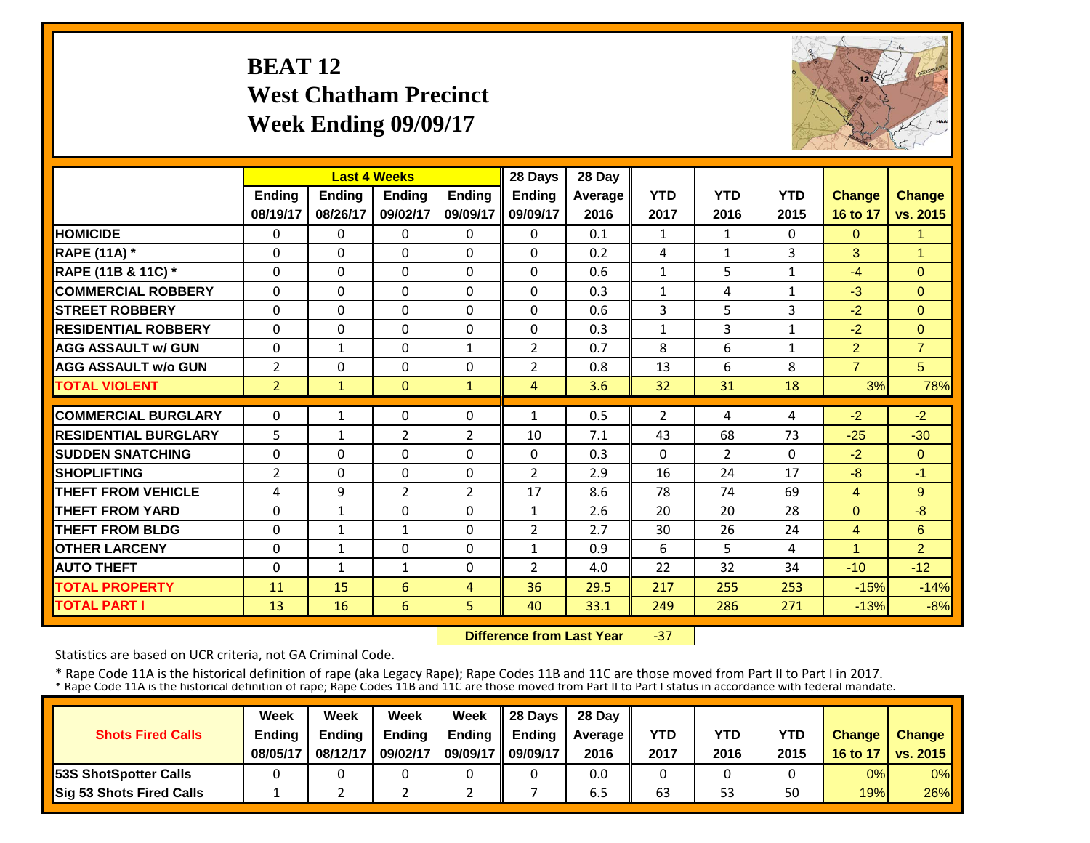# **BEAT 12 West Chatham Precinct Week Ending 09/09/17**



| <b>Last 4 Weeks</b><br><b>Ending</b>                                                                                                                                                                              |                      |                                                                                                                                 |                                                                                                                                   | 28 Days                                                                                                                              | 28 Day                                                                                                                           |                                                                     |                                                               |                                                                      |                                                               |                                                                           |
|-------------------------------------------------------------------------------------------------------------------------------------------------------------------------------------------------------------------|----------------------|---------------------------------------------------------------------------------------------------------------------------------|-----------------------------------------------------------------------------------------------------------------------------------|--------------------------------------------------------------------------------------------------------------------------------------|----------------------------------------------------------------------------------------------------------------------------------|---------------------------------------------------------------------|---------------------------------------------------------------|----------------------------------------------------------------------|---------------------------------------------------------------|---------------------------------------------------------------------------|
|                                                                                                                                                                                                                   | Ending               | Ending                                                                                                                          | <b>Ending</b>                                                                                                                     | <b>Ending</b>                                                                                                                        | Average                                                                                                                          | <b>YTD</b>                                                          | <b>YTD</b>                                                    | <b>YTD</b>                                                           | <b>Change</b>                                                 | Change                                                                    |
|                                                                                                                                                                                                                   | 08/26/17             | 09/02/17                                                                                                                        | 09/09/17                                                                                                                          | 09/09/17                                                                                                                             | 2016                                                                                                                             | 2017                                                                | 2016                                                          | 2015                                                                 | 16 to 17                                                      | vs. 2015                                                                  |
|                                                                                                                                                                                                                   | $\Omega$             | $\Omega$                                                                                                                        | 0                                                                                                                                 | $\Omega$                                                                                                                             | 0.1                                                                                                                              | $\mathbf{1}$                                                        | $\mathbf{1}$                                                  | 0                                                                    | $\mathbf{0}$                                                  | 1                                                                         |
|                                                                                                                                                                                                                   | $\Omega$             | $\Omega$                                                                                                                        | $\Omega$                                                                                                                          | 0                                                                                                                                    | 0.2                                                                                                                              | 4                                                                   | $\mathbf{1}$                                                  | 3                                                                    | 3                                                             | 1                                                                         |
|                                                                                                                                                                                                                   | $\Omega$             | $\Omega$                                                                                                                        | 0                                                                                                                                 | $\Omega$                                                                                                                             | 0.6                                                                                                                              | $\mathbf{1}$                                                        | 5                                                             | 1                                                                    | $-4$                                                          | $\Omega$                                                                  |
|                                                                                                                                                                                                                   | $\Omega$             | $\Omega$                                                                                                                        | $\Omega$                                                                                                                          | $\Omega$                                                                                                                             | 0.3                                                                                                                              | $\mathbf{1}$                                                        | 4                                                             | $\mathbf{1}$                                                         | $-3$                                                          | $\Omega$                                                                  |
|                                                                                                                                                                                                                   | $\Omega$             | $\Omega$                                                                                                                        | $\Omega$                                                                                                                          | $\Omega$                                                                                                                             | 0.6                                                                                                                              | 3                                                                   | 5                                                             | 3                                                                    | $-2$                                                          | $\Omega$                                                                  |
|                                                                                                                                                                                                                   | $\Omega$             | $\Omega$                                                                                                                        | $\Omega$                                                                                                                          | $\Omega$                                                                                                                             | 0.3                                                                                                                              | $\mathbf{1}$                                                        | 3                                                             | 1                                                                    | $-2$                                                          | $\Omega$                                                                  |
|                                                                                                                                                                                                                   | $\mathbf{1}$         | $\Omega$                                                                                                                        | $\mathbf{1}$                                                                                                                      | $\overline{2}$                                                                                                                       | 0.7                                                                                                                              | 8                                                                   | 6                                                             | $\mathbf{1}$                                                         | $\overline{2}$                                                | $\overline{7}$                                                            |
|                                                                                                                                                                                                                   | $\Omega$             | $\Omega$                                                                                                                        | $\Omega$                                                                                                                          | $\overline{2}$                                                                                                                       | 0.8                                                                                                                              | 13                                                                  | 6                                                             | 8                                                                    | $\overline{7}$                                                | 5                                                                         |
|                                                                                                                                                                                                                   | $\mathbf{1}$         | $\Omega$                                                                                                                        | $\mathbf{1}$                                                                                                                      | $\overline{4}$                                                                                                                       | 3.6                                                                                                                              | 32                                                                  | 31                                                            | 18                                                                   | 3%                                                            | 78%                                                                       |
|                                                                                                                                                                                                                   |                      |                                                                                                                                 |                                                                                                                                   |                                                                                                                                      |                                                                                                                                  |                                                                     |                                                               |                                                                      |                                                               | $-2$                                                                      |
|                                                                                                                                                                                                                   |                      |                                                                                                                                 |                                                                                                                                   |                                                                                                                                      |                                                                                                                                  |                                                                     |                                                               |                                                                      |                                                               | $-30$                                                                     |
|                                                                                                                                                                                                                   |                      |                                                                                                                                 |                                                                                                                                   |                                                                                                                                      |                                                                                                                                  |                                                                     |                                                               |                                                                      |                                                               | $\Omega$                                                                  |
|                                                                                                                                                                                                                   |                      |                                                                                                                                 |                                                                                                                                   |                                                                                                                                      |                                                                                                                                  |                                                                     |                                                               |                                                                      |                                                               | $-1$                                                                      |
|                                                                                                                                                                                                                   |                      |                                                                                                                                 |                                                                                                                                   |                                                                                                                                      |                                                                                                                                  |                                                                     |                                                               |                                                                      |                                                               | 9                                                                         |
|                                                                                                                                                                                                                   |                      |                                                                                                                                 |                                                                                                                                   |                                                                                                                                      |                                                                                                                                  |                                                                     |                                                               |                                                                      |                                                               | $-8$                                                                      |
|                                                                                                                                                                                                                   |                      |                                                                                                                                 |                                                                                                                                   |                                                                                                                                      |                                                                                                                                  |                                                                     |                                                               |                                                                      |                                                               | 6                                                                         |
|                                                                                                                                                                                                                   |                      |                                                                                                                                 |                                                                                                                                   |                                                                                                                                      |                                                                                                                                  |                                                                     |                                                               |                                                                      |                                                               | $\overline{2}$                                                            |
|                                                                                                                                                                                                                   |                      |                                                                                                                                 |                                                                                                                                   |                                                                                                                                      |                                                                                                                                  |                                                                     |                                                               |                                                                      |                                                               | $-12$                                                                     |
|                                                                                                                                                                                                                   |                      |                                                                                                                                 |                                                                                                                                   |                                                                                                                                      |                                                                                                                                  |                                                                     |                                                               |                                                                      |                                                               | $-14%$                                                                    |
|                                                                                                                                                                                                                   | 16                   | 6                                                                                                                               |                                                                                                                                   | 40                                                                                                                                   | 33.1                                                                                                                             | 249                                                                 | 286                                                           | 271                                                                  | $-13%$                                                        | $-8%$                                                                     |
| $\Omega$<br>$\Omega$<br>$\Omega$<br>$\Omega$<br>$\Omega$<br>$\Omega$<br>0<br>$\overline{2}$<br>$\overline{2}$<br>$\Omega$<br>5<br>$\Omega$<br>$\overline{2}$<br>4<br>$\Omega$<br>$\Omega$<br>$\Omega$<br>$\Omega$ | 08/19/17<br>11<br>13 | $\mathbf{1}$<br>$\mathbf{1}$<br>$\Omega$<br>$\Omega$<br>9<br>$\mathbf{1}$<br>$\mathbf{1}$<br>$\mathbf{1}$<br>$\mathbf{1}$<br>15 | $\Omega$<br>$\overline{2}$<br>$\Omega$<br>$\Omega$<br>$\overline{2}$<br>$\Omega$<br>$\mathbf{1}$<br>$\Omega$<br>$\mathbf{1}$<br>6 | 0<br>$\overline{2}$<br>$\Omega$<br>$\Omega$<br>$\overline{2}$<br>$\Omega$<br>$\Omega$<br>$\Omega$<br>$\Omega$<br>$\overline{4}$<br>5 | $\mathbf{1}$<br>10<br>$\Omega$<br>$\overline{2}$<br>17<br>$\mathbf{1}$<br>$\overline{2}$<br>$\mathbf{1}$<br>$\overline{2}$<br>36 | 0.5<br>7.1<br>0.3<br>2.9<br>8.6<br>2.6<br>2.7<br>0.9<br>4.0<br>29.5 | 2<br>43<br>$\Omega$<br>16<br>78<br>20<br>30<br>6<br>22<br>217 | 4<br>68<br>$\overline{2}$<br>24<br>74<br>20<br>26<br>5.<br>32<br>255 | 4<br>73<br>$\Omega$<br>17<br>69<br>28<br>24<br>4<br>34<br>253 | $-2$<br>$-25$<br>$-2$<br>-8<br>4<br>$\Omega$<br>4<br>1<br>$-10$<br>$-15%$ |

 **Difference from Last Year** $-37$ 

Statistics are based on UCR criteria, not GA Criminal Code.

|                               | Week          | Week          | Week          | Week          | $\parallel$ 28 Davs | 28 Day    |      |      |      |               |                     |
|-------------------------------|---------------|---------------|---------------|---------------|---------------------|-----------|------|------|------|---------------|---------------------|
| <b>Shots Fired Calls</b>      | <b>Ending</b> | <b>Ending</b> | <b>Ending</b> | <b>Ending</b> | <b>Ending</b>       | Average I | YTD  | YTD  | YTD  | <b>Change</b> | <b>Change</b>       |
|                               | 08/05/17      | 08/12/17      | 09/02/17      | 09/09/17      | 09/09/17            | 2016      | 2017 | 2016 | 2015 |               | 16 to 17   vs. 2015 |
| <b>153S ShotSpotter Calls</b> |               |               |               |               |                     | 0.0       |      |      |      | 0%            | $0\%$               |
| Sig 53 Shots Fired Calls      |               |               |               |               |                     | 6.5       | 63   | 53   | 50   | 19%           | 26%                 |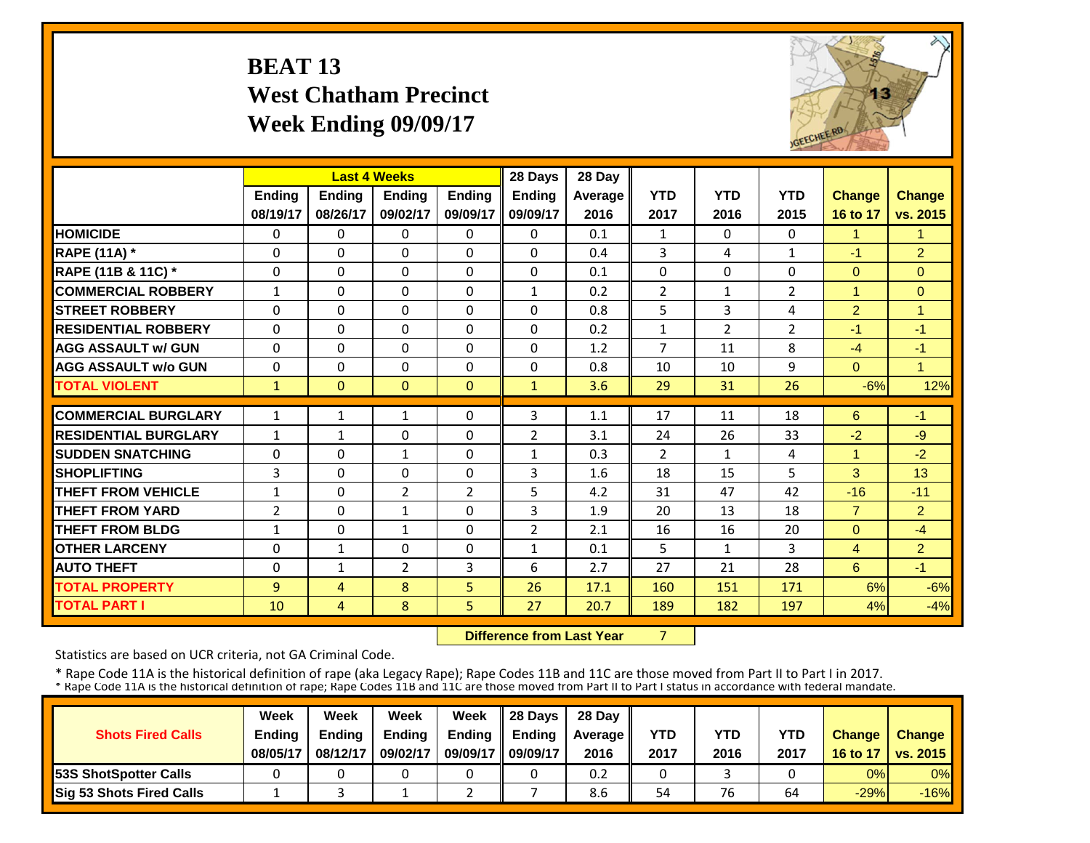# **BEAT 13 West Chatham Precinct Week Ending 09/09/17**



|               |                                                                                                                                |                                                                                                                    |                                                                                                                                   | 28 Days                                                             | 28 Day                                                                                          |                                                                     |                                                                      |                                                                    |                                                        |                                                                                         |
|---------------|--------------------------------------------------------------------------------------------------------------------------------|--------------------------------------------------------------------------------------------------------------------|-----------------------------------------------------------------------------------------------------------------------------------|---------------------------------------------------------------------|-------------------------------------------------------------------------------------------------|---------------------------------------------------------------------|----------------------------------------------------------------------|--------------------------------------------------------------------|--------------------------------------------------------|-----------------------------------------------------------------------------------------|
| <b>Ending</b> | Ending                                                                                                                         | <b>Ending</b>                                                                                                      | <b>Ending</b>                                                                                                                     | <b>Ending</b>                                                       | Average                                                                                         | <b>YTD</b>                                                          | <b>YTD</b>                                                           | <b>YTD</b>                                                         | <b>Change</b>                                          | <b>Change</b>                                                                           |
| 08/19/17      | 08/26/17                                                                                                                       | 09/02/17                                                                                                           | 09/09/17                                                                                                                          | 09/09/17                                                            | 2016                                                                                            | 2017                                                                | 2016                                                                 | 2015                                                               | 16 to 17                                               | vs. 2015                                                                                |
| 0             | $\Omega$                                                                                                                       | 0                                                                                                                  | $\Omega$                                                                                                                          | 0                                                                   | 0.1                                                                                             | 1                                                                   | $\Omega$                                                             | 0                                                                  | $\mathbf{1}$                                           | $\blacktriangleleft$                                                                    |
| $\Omega$      | $\Omega$                                                                                                                       | $\Omega$                                                                                                           | $\Omega$                                                                                                                          | $\Omega$                                                            | 0.4                                                                                             | 3                                                                   | 4                                                                    | $\mathbf{1}$                                                       | $-1$                                                   | 2                                                                                       |
| $\mathbf 0$   | $\Omega$                                                                                                                       | $\Omega$                                                                                                           | 0                                                                                                                                 | $\Omega$                                                            | 0.1                                                                                             | $\Omega$                                                            | $\Omega$                                                             | $\Omega$                                                           | $\Omega$                                               | $\Omega$                                                                                |
| $\mathbf{1}$  | $\Omega$                                                                                                                       | $\Omega$                                                                                                           | $\Omega$                                                                                                                          | $\mathbf{1}$                                                        | 0.2                                                                                             | $\overline{2}$                                                      | $\mathbf{1}$                                                         | $\overline{2}$                                                     | $\overline{1}$                                         | $\Omega$                                                                                |
| $\Omega$      | $\Omega$                                                                                                                       | $\Omega$                                                                                                           | $\Omega$                                                                                                                          | $\Omega$                                                            | 0.8                                                                                             | 5                                                                   | 3                                                                    | 4                                                                  | 2                                                      | $\overline{1}$                                                                          |
| $\Omega$      | $\Omega$                                                                                                                       | $\Omega$                                                                                                           | 0                                                                                                                                 | $\Omega$                                                            | 0.2                                                                                             | $\mathbf{1}$                                                        | $\overline{2}$                                                       | $\overline{2}$                                                     | $-1$                                                   | $-1$                                                                                    |
| $\Omega$      | $\Omega$                                                                                                                       | $\Omega$                                                                                                           | 0                                                                                                                                 | 0                                                                   | 1.2                                                                                             | $\overline{7}$                                                      | 11                                                                   | 8                                                                  | $-4$                                                   | $-1$                                                                                    |
| 0             | $\Omega$                                                                                                                       | 0                                                                                                                  | $\Omega$                                                                                                                          | $\Omega$                                                            | 0.8                                                                                             | 10                                                                  | 10                                                                   | 9                                                                  | $\Omega$                                               | $\blacktriangleleft$                                                                    |
| $\mathbf{1}$  | $\Omega$                                                                                                                       | $\Omega$                                                                                                           | $\Omega$                                                                                                                          | $\mathbf{1}$                                                        | 3.6                                                                                             | 29                                                                  | 31                                                                   | 26                                                                 | $-6%$                                                  | 12%                                                                                     |
|               |                                                                                                                                |                                                                                                                    |                                                                                                                                   |                                                                     |                                                                                                 |                                                                     |                                                                      |                                                                    |                                                        | $-1$                                                                                    |
|               |                                                                                                                                |                                                                                                                    |                                                                                                                                   |                                                                     |                                                                                                 |                                                                     |                                                                      |                                                                    |                                                        | $-9$                                                                                    |
|               |                                                                                                                                |                                                                                                                    |                                                                                                                                   |                                                                     |                                                                                                 |                                                                     |                                                                      |                                                                    |                                                        | $-2$                                                                                    |
|               |                                                                                                                                |                                                                                                                    |                                                                                                                                   |                                                                     |                                                                                                 |                                                                     |                                                                      |                                                                    |                                                        | 13                                                                                      |
|               |                                                                                                                                |                                                                                                                    |                                                                                                                                   |                                                                     |                                                                                                 |                                                                     |                                                                      |                                                                    |                                                        | $-11$                                                                                   |
|               |                                                                                                                                |                                                                                                                    |                                                                                                                                   |                                                                     |                                                                                                 |                                                                     |                                                                      |                                                                    |                                                        | $\overline{2}$                                                                          |
|               |                                                                                                                                |                                                                                                                    |                                                                                                                                   |                                                                     |                                                                                                 |                                                                     |                                                                      |                                                                    |                                                        | $-4$                                                                                    |
|               |                                                                                                                                |                                                                                                                    |                                                                                                                                   |                                                                     |                                                                                                 |                                                                     |                                                                      |                                                                    |                                                        | $\overline{2}$                                                                          |
|               |                                                                                                                                |                                                                                                                    |                                                                                                                                   |                                                                     |                                                                                                 |                                                                     |                                                                      |                                                                    |                                                        | $-1$                                                                                    |
|               |                                                                                                                                |                                                                                                                    |                                                                                                                                   |                                                                     |                                                                                                 |                                                                     |                                                                      |                                                                    |                                                        | $-6%$                                                                                   |
| 10            | $\overline{4}$                                                                                                                 | 8                                                                                                                  | 5.                                                                                                                                | 27                                                                  | 20.7                                                                                            | 189                                                                 | 182                                                                  | 197                                                                | 4%                                                     | $-4%$                                                                                   |
|               | 1<br>$\mathbf{1}$<br>$\Omega$<br>3<br>$\mathbf{1}$<br>$\overline{2}$<br>$\mathbf{1}$<br>$\Omega$<br>$\Omega$<br>$\overline{9}$ | 1<br>$\mathbf{1}$<br>$\Omega$<br>$\Omega$<br>$\Omega$<br>$\Omega$<br>$\Omega$<br>$\mathbf{1}$<br>$\mathbf{1}$<br>4 | <b>Last 4 Weeks</b><br>1<br>$\Omega$<br>$\mathbf{1}$<br>0<br>2<br>$\mathbf{1}$<br>$\mathbf{1}$<br>$\Omega$<br>$\overline{2}$<br>8 | 0<br>$\Omega$<br>$\Omega$<br>0<br>2<br>0<br>$\Omega$<br>0<br>3<br>5 | 3<br>$\overline{2}$<br>$\mathbf{1}$<br>3<br>5<br>3<br>$\overline{2}$<br>$\mathbf{1}$<br>6<br>26 | 1.1<br>3.1<br>0.3<br>1.6<br>4.2<br>1.9<br>2.1<br>0.1<br>2.7<br>17.1 | 17<br>24<br>$\overline{2}$<br>18<br>31<br>20<br>16<br>5<br>27<br>160 | 11<br>26<br>$\mathbf{1}$<br>15<br>47<br>13<br>16<br>1<br>21<br>151 | 18<br>33<br>4<br>5<br>42<br>18<br>20<br>3<br>28<br>171 | 6<br>$-2$<br>$\overline{1}$<br>3<br>$-16$<br>$\overline{7}$<br>$\Omega$<br>4<br>6<br>6% |

 **Difference from Last Year**7

Statistics are based on UCR criteria, not GA Criminal Code.

|                               | Week          | Week          | Week          | Week          | $\parallel$ 28 Davs | 28 Day    |      |      |      |               |                     |
|-------------------------------|---------------|---------------|---------------|---------------|---------------------|-----------|------|------|------|---------------|---------------------|
| <b>Shots Fired Calls</b>      | <b>Ending</b> | <b>Ending</b> | <b>Ending</b> | <b>Ending</b> | <b>Ending</b>       | Average I | YTD  | YTD  | YTD  | <b>Change</b> | <b>Change</b>       |
|                               | 08/05/17      | 08/12/17      | 09/02/17      | 09/09/17      | 09/09/17            | 2016      | 2017 | 2016 | 2017 |               | 16 to 17   vs. 2015 |
| <b>153S ShotSpotter Calls</b> |               |               |               |               |                     | 0.2       |      |      |      | 0%            | $0\%$               |
| Sig 53 Shots Fired Calls      |               |               |               |               |                     | 8.6       | 54   | 76   | 64   | $-29%$        | $-16%$              |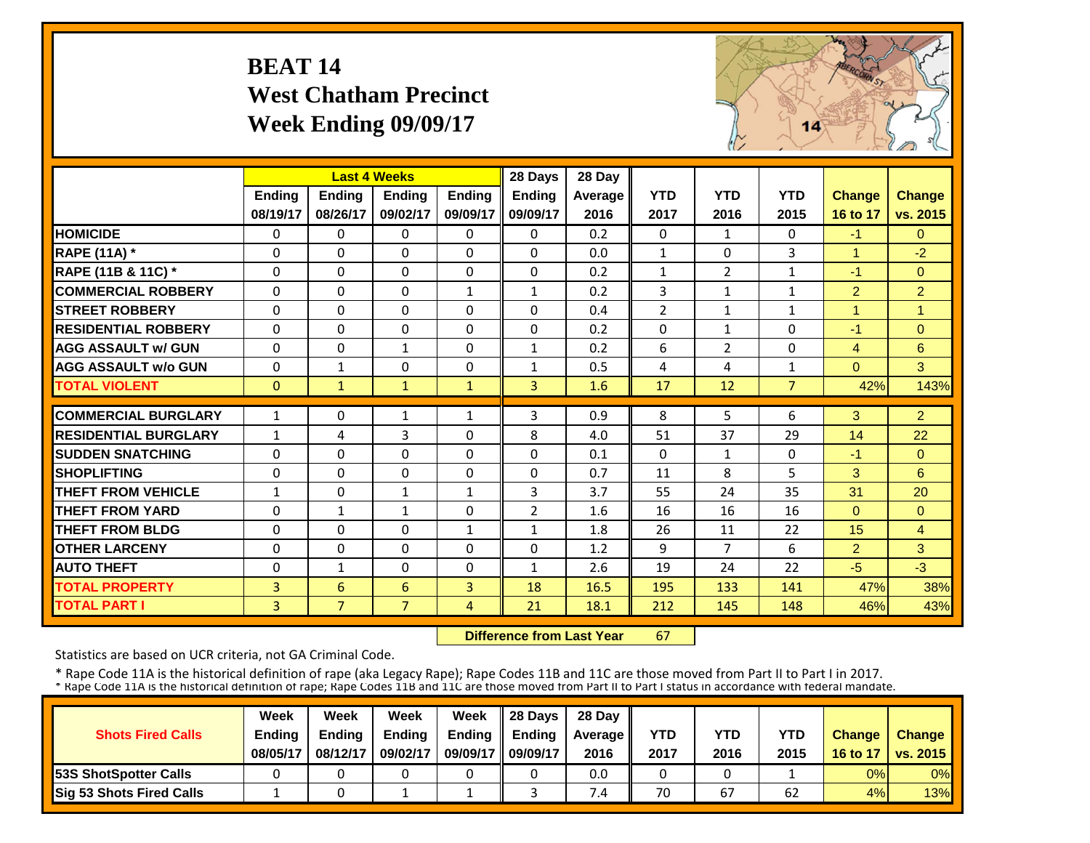# **BEAT 14 West Chatham Precinct Week Ending 09/09/17**



|                             |                |                | <b>Last 4 Weeks</b> |               | 28 Days        | 28 Day  |                |                |                |                |                |
|-----------------------------|----------------|----------------|---------------------|---------------|----------------|---------|----------------|----------------|----------------|----------------|----------------|
|                             | Ending         | <b>Ending</b>  | <b>Ending</b>       | <b>Endina</b> | Ending         | Average | <b>YTD</b>     | <b>YTD</b>     | <b>YTD</b>     | <b>Change</b>  | <b>Change</b>  |
|                             | 08/19/17       | 08/26/17       | 09/02/17            | 09/09/17      | 09/09/17       | 2016    | 2017           | 2016           | 2015           | 16 to 17       | vs. 2015       |
| <b>HOMICIDE</b>             | $\Omega$       | 0              | $\Omega$            | $\Omega$      | $\Omega$       | 0.2     | $\Omega$       | $\mathbf{1}$   | 0              | $-1$           | $\Omega$       |
| <b>RAPE (11A)</b> *         | $\Omega$       | $\Omega$       | $\Omega$            | $\Omega$      | $\Omega$       | 0.0     | $\mathbf{1}$   | $\Omega$       | 3              | $\mathbf{1}$   | $-2$           |
| RAPE (11B & 11C) *          | $\Omega$       | 0              | $\Omega$            | $\Omega$      | $\Omega$       | 0.2     | $\mathbf{1}$   | $\overline{2}$ | 1              | $-1$           | $\overline{0}$ |
| <b>COMMERCIAL ROBBERY</b>   | $\Omega$       | $\Omega$       | $\Omega$            | $\mathbf{1}$  | $\mathbf{1}$   | 0.2     | 3              | $\mathbf{1}$   | $\mathbf{1}$   | $\overline{2}$ | $\overline{2}$ |
| <b>STREET ROBBERY</b>       | $\mathbf 0$    | $\Omega$       | $\Omega$            | $\Omega$      | 0              | 0.4     | $\overline{2}$ | $\mathbf{1}$   | $\mathbf{1}$   | $\mathbf{1}$   | $\overline{1}$ |
| <b>RESIDENTIAL ROBBERY</b>  | $\Omega$       | $\Omega$       | $\Omega$            | $\Omega$      | $\Omega$       | 0.2     | $\Omega$       | $\mathbf{1}$   | 0              | $-1$           | $\Omega$       |
| <b>AGG ASSAULT w/ GUN</b>   | $\Omega$       | $\Omega$       | $\mathbf{1}$        | $\Omega$      | $\mathbf{1}$   | 0.2     | 6              | 2              | 0              | $\overline{4}$ | 6              |
| <b>AGG ASSAULT w/o GUN</b>  | $\Omega$       | $\mathbf{1}$   | 0                   | $\Omega$      | $\mathbf{1}$   | 0.5     | 4              | 4              | 1              | $\Omega$       | 3              |
| <b>TOTAL VIOLENT</b>        | $\Omega$       | $\mathbf{1}$   | $\mathbf{1}$        | $\mathbf{1}$  | 3              | 1.6     | 17             | 12             | $\overline{7}$ | 42%            | 143%           |
| <b>COMMERCIAL BURGLARY</b>  | $\mathbf{1}$   | 0              | 1                   | $\mathbf{1}$  | 3              | 0.9     | 8              | 5              | 6              | 3              | $\overline{2}$ |
| <b>RESIDENTIAL BURGLARY</b> | $\mathbf{1}$   | 4              | 3                   | $\Omega$      | 8              | 4.0     | 51             | 37             | 29             | 14             | 22             |
| <b>ISUDDEN SNATCHING</b>    | $\Omega$       | 0              | $\Omega$            | $\Omega$      | $\Omega$       | 0.1     | $\Omega$       | $\mathbf{1}$   | 0              | $-1$           | $\Omega$       |
| <b>SHOPLIFTING</b>          | $\Omega$       | 0              | $\Omega$            | $\Omega$      | $\Omega$       | 0.7     | 11             | 8              | 5              | 3              | 6              |
| <b>THEFT FROM VEHICLE</b>   | $\mathbf{1}$   | 0              | 1                   | 1             | 3              | 3.7     | 55             | 24             | 35             | 31             | 20             |
| <b>THEFT FROM YARD</b>      | $\Omega$       | $\mathbf{1}$   | 1                   | $\Omega$      | $\overline{2}$ | 1.6     | 16             | 16             | 16             | $\Omega$       | $\Omega$       |
| <b>THEFT FROM BLDG</b>      | $\Omega$       | $\Omega$       | $\Omega$            | $\mathbf{1}$  | $\mathbf{1}$   | 1.8     | 26             | 11             | 22             | 15             | $\overline{4}$ |
| <b>OTHER LARCENY</b>        | $\Omega$       | 0              | $\Omega$            | $\Omega$      | 0              | 1.2     | 9              | 7              | 6              | $\overline{2}$ | 3              |
| <b>AUTO THEFT</b>           | $\Omega$       | $\mathbf{1}$   | $\Omega$            | $\Omega$      | $\mathbf{1}$   | 2.6     | 19             | 24             | 22             | $-5$           | $-3$           |
| <b>TOTAL PROPERTY</b>       | $\overline{3}$ | 6              | 6                   | 3             | 18             | 16.5    | 195            | 133            | 141            | 47%            | 38%            |
| <b>TOTAL PART I</b>         | 3              | $\overline{7}$ | $\overline{7}$      | 4             | 21             | 18.1    | 212            | 145            | 148            | 46%            | 43%            |

 **Difference from Last Year**67

Statistics are based on UCR criteria, not GA Criminal Code.

|                               | Week          | Week     | Week          | Week          | Il 28 Davs    | 28 Day         |      |      |      |               |                 |
|-------------------------------|---------------|----------|---------------|---------------|---------------|----------------|------|------|------|---------------|-----------------|
| <b>Shots Fired Calls</b>      | <b>Ending</b> | Ending   | <b>Ending</b> | <b>Ending</b> | <b>Ending</b> | <b>Average</b> | YTD  | YTD  | YTD  | <b>Change</b> | <b>Change</b>   |
|                               | 08/05/17      | 08/12/17 | 09/02/17      | 09/09/17      | 09/09/17      | 2016           | 2017 | 2016 | 2015 | 16 to 17      | <b>vs. 2015</b> |
| <b>153S ShotSpotter Calls</b> |               |          |               |               |               | 0.0            |      |      |      | 0%            | $0\%$           |
| Sig 53 Shots Fired Calls      |               |          |               |               |               | $\overline{A}$ | 70   | 67   | 62   | 4%            | 13%             |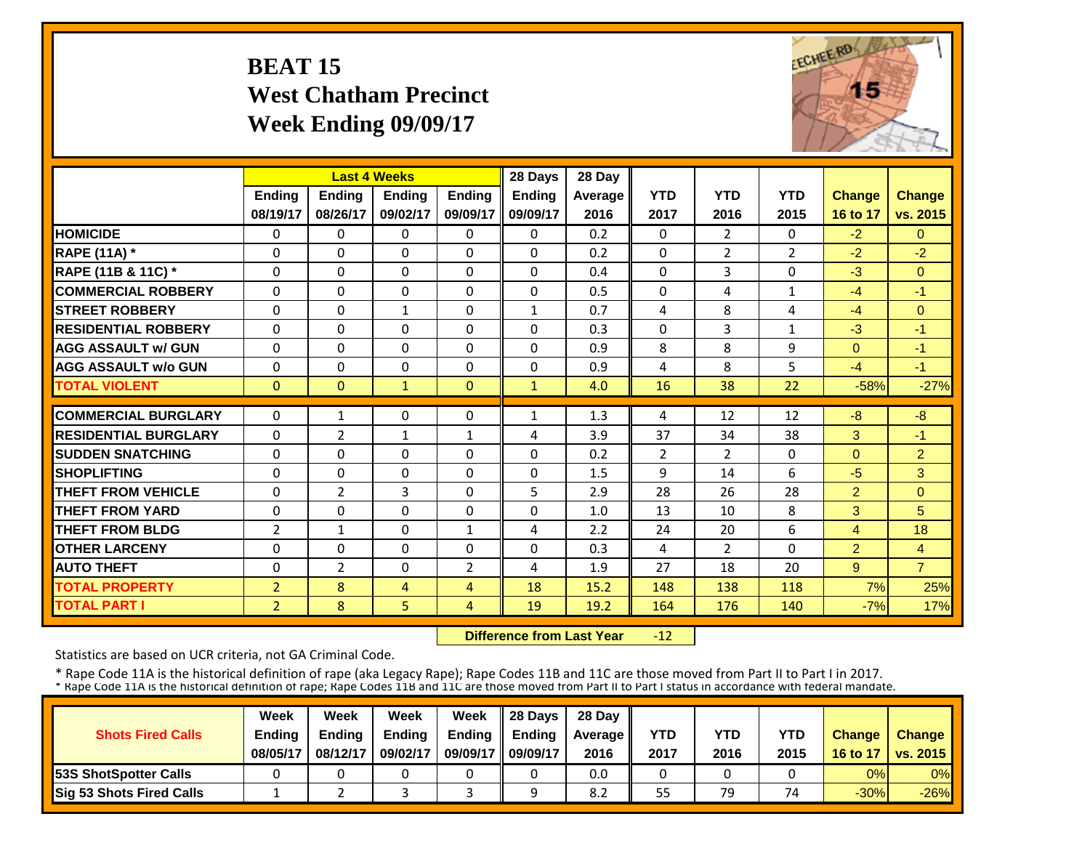#### **BEAT 15 West Chatham Precinct Week Ending 09/09/17**



|                             |                |                | <b>Last 4 Weeks</b> |                | 28 Days       | 28 Day  |                |                |                |                |                |
|-----------------------------|----------------|----------------|---------------------|----------------|---------------|---------|----------------|----------------|----------------|----------------|----------------|
|                             | <b>Ending</b>  | <b>Ending</b>  | <b>Endina</b>       | <b>Ending</b>  | <b>Ending</b> | Average | <b>YTD</b>     | <b>YTD</b>     | <b>YTD</b>     | <b>Change</b>  | <b>Change</b>  |
|                             | 08/19/17       | 08/26/17       | 09/02/17            | 09/09/17       | 09/09/17      | 2016    | 2017           | 2016           | 2015           | 16 to 17       | vs. 2015       |
| <b>HOMICIDE</b>             | 0              | 0              | 0                   | $\Omega$       | 0             | 0.2     | $\mathbf{0}$   | $\overline{2}$ | 0              | $-2$           | $\Omega$       |
| <b>RAPE (11A) *</b>         | $\Omega$       | $\Omega$       | $\Omega$            | $\Omega$       | $\Omega$      | 0.2     | $\Omega$       | $\overline{2}$ | $\overline{2}$ | $-2$           | $-2$           |
| RAPE (11B & 11C) *          | $\Omega$       | $\Omega$       | $\Omega$            | $\Omega$       | $\Omega$      | 0.4     | $\mathbf 0$    | 3              | 0              | $-3$           | $\Omega$       |
| <b>COMMERCIAL ROBBERY</b>   | $\Omega$       | $\Omega$       | $\Omega$            | $\Omega$       | 0             | 0.5     | $\Omega$       | 4              | 1              | $-4$           | $-1$           |
| <b>STREET ROBBERY</b>       | 0              | $\Omega$       | 1                   | 0              | 1             | 0.7     | 4              | 8              | 4              | $-4$           | $\mathbf{0}$   |
| <b>RESIDENTIAL ROBBERY</b>  | $\Omega$       | $\Omega$       | 0                   | 0              | 0             | 0.3     | $\Omega$       | 3              | 1              | $-3$           | $-1$           |
| <b>AGG ASSAULT w/ GUN</b>   | $\Omega$       | $\Omega$       | $\Omega$            | $\Omega$       | 0             | 0.9     | 8              | 8              | 9              | $\Omega$       | $-1$           |
| <b>AGG ASSAULT w/o GUN</b>  | 0              | 0              | $\Omega$            | $\Omega$       | 0             | 0.9     | 4              | 8              | 5              | $-4$           | $-1$           |
| <b>TOTAL VIOLENT</b>        | $\Omega$       | $\Omega$       | $\mathbf{1}$        | $\Omega$       | $\mathbf{1}$  | 4.0     | 16             | 38             | 22             | $-58%$         | $-27%$         |
| <b>COMMERCIAL BURGLARY</b>  | $\Omega$       | $\mathbf{1}$   | $\Omega$            | $\Omega$       | $\mathbf{1}$  | 1.3     | 4              | 12             | 12             | $-8$           | $-8$           |
| <b>RESIDENTIAL BURGLARY</b> | $\Omega$       | 2              | 1                   | $\mathbf{1}$   | 4             | 3.9     | 37             | 34             | 38             | 3              | $-1$           |
| <b>SUDDEN SNATCHING</b>     | $\Omega$       | $\Omega$       | $\Omega$            | $\Omega$       | 0             | 0.2     | $\overline{2}$ | $\overline{2}$ | 0              | $\Omega$       | $\overline{2}$ |
| <b>SHOPLIFTING</b>          | $\Omega$       | $\Omega$       | $\Omega$            | $\Omega$       | 0             | 1.5     | 9              | 14             | 6              | $-5$           | 3              |
| <b>THEFT FROM VEHICLE</b>   | $\Omega$       | 2              | 3                   | $\Omega$       | 5             | 2.9     | 28             | 26             | 28             | $\overline{2}$ | $\Omega$       |
| <b>THEFT FROM YARD</b>      | $\Omega$       | $\Omega$       | $\Omega$            | 0              | 0             | 1.0     | 13             | 10             | 8              | 3              | 5              |
| <b>THEFT FROM BLDG</b>      | $\overline{2}$ | $\mathbf{1}$   | $\Omega$            | $\mathbf{1}$   | 4             | 2.2     | 24             | 20             | 6              | 4              | 18             |
| <b>OTHER LARCENY</b>        | $\Omega$       | $\Omega$       | $\Omega$            | $\Omega$       | 0             | 0.3     | 4              | $\overline{2}$ | 0              | $\overline{2}$ | $\overline{4}$ |
| <b>AUTO THEFT</b>           | $\Omega$       | $\overline{2}$ | $\Omega$            | $\overline{2}$ | 4             | 1.9     | 27             | 18             | 20             | 9              | $\overline{7}$ |
| <b>TOTAL PROPERTY</b>       | $\overline{2}$ | 8              | 4                   | 4              | 18            | 15.2    | 148            | 138            | 118            | 7%             | 25%            |
| <b>TOTAL PART I</b>         | $\overline{2}$ | 8              | 5                   | 4              | 19            | 19.2    | 164            | 176            | 140            | $-7%$          | 17%            |

 **Difference from Last Year** $-12$ 

Statistics are based on UCR criteria, not GA Criminal Code.

|                               | Week          | Week     | Week          | Week          | Il 28 Davs    | 28 Day         |      |      |      |               |                 |
|-------------------------------|---------------|----------|---------------|---------------|---------------|----------------|------|------|------|---------------|-----------------|
| <b>Shots Fired Calls</b>      | <b>Ending</b> | Ending   | <b>Ending</b> | <b>Ending</b> | <b>Ending</b> | <b>Average</b> | YTD  | YTD  | YTD  | <b>Change</b> | <b>Change</b>   |
|                               | 08/05/17      | 08/12/17 | 09/02/17      | 09/09/17      | 09/09/17      | 2016           | 2017 | 2016 | 2015 | 16 to 17      | <b>vs. 2015</b> |
| <b>153S ShotSpotter Calls</b> |               |          |               |               |               | 0.0            |      |      |      | 0%            | 0%              |
| Sig 53 Shots Fired Calls      |               |          |               |               |               | 8.2            | 55   | 79   | 74   | $-30%$        | $-26%$          |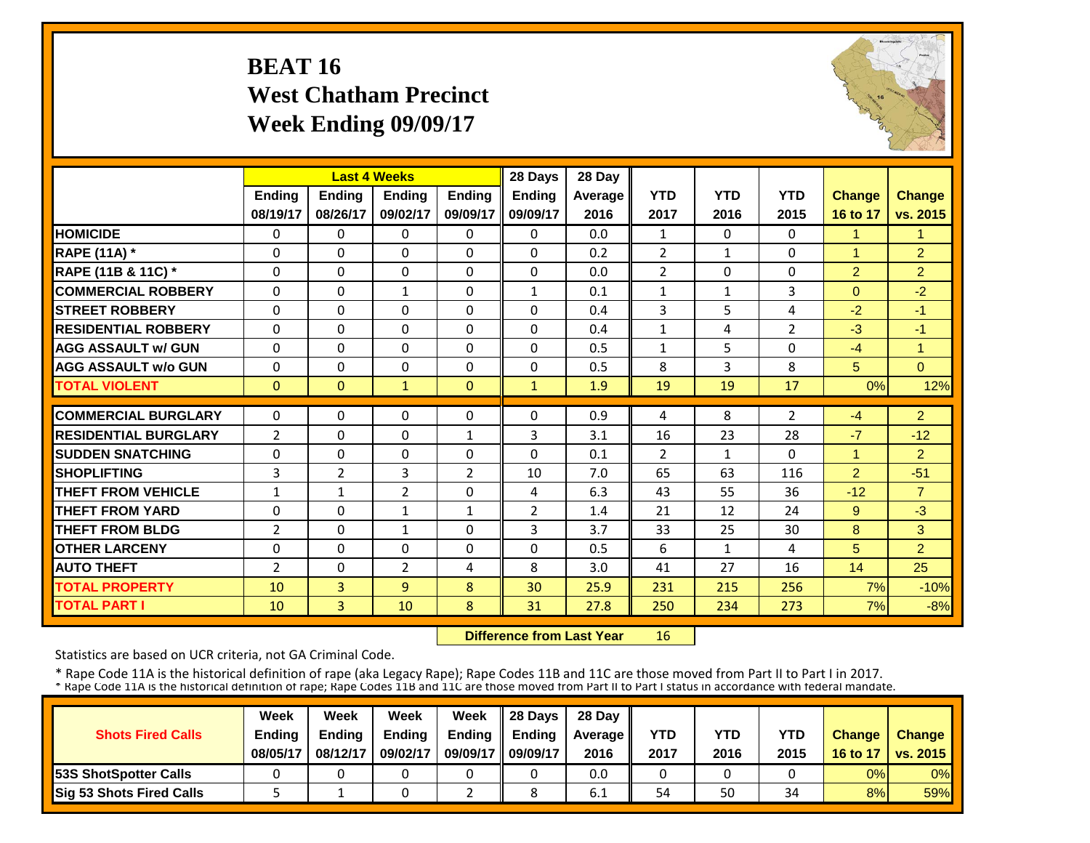# **BEAT 16 West Chatham Precinct Week Ending 09/09/17**



|                             |                |                | <b>Last 4 Weeks</b> |                | 28 Days        | 28 Day  |                |              |            |                |                |
|-----------------------------|----------------|----------------|---------------------|----------------|----------------|---------|----------------|--------------|------------|----------------|----------------|
|                             | <b>Ending</b>  | <b>Endina</b>  | <b>Endina</b>       | <b>Endina</b>  | <b>Ending</b>  | Average | <b>YTD</b>     | <b>YTD</b>   | <b>YTD</b> | <b>Change</b>  | <b>Change</b>  |
|                             | 08/19/17       | 08/26/17       | 09/02/17            | 09/09/17       | 09/09/17       | 2016    | 2017           | 2016         | 2015       | 16 to 17       | vs. 2015       |
| <b>HOMICIDE</b>             | 0              | $\Omega$       | $\Omega$            | $\Omega$       | $\Omega$       | 0.0     | $\mathbf{1}$   | $\Omega$     | 0          | 1              | $\mathbf{1}$   |
| <b>RAPE (11A) *</b>         | $\Omega$       | $\Omega$       | $\Omega$            | $\Omega$       | $\Omega$       | 0.2     | $\overline{2}$ | $\mathbf{1}$ | $\Omega$   | 1              | $\overline{2}$ |
| RAPE (11B & 11C) *          | 0              | 0              | $\mathbf 0$         | 0              | $\Omega$       | 0.0     | $\overline{2}$ | $\Omega$     | $\Omega$   | $\overline{2}$ | $\overline{2}$ |
| <b>COMMERCIAL ROBBERY</b>   | $\Omega$       | $\Omega$       | $\mathbf{1}$        | $\Omega$       | $\mathbf{1}$   | 0.1     | $\mathbf{1}$   | $\mathbf{1}$ | 3          | $\Omega$       | $-2$           |
| <b>ISTREET ROBBERY</b>      | $\Omega$       | $\Omega$       | $\Omega$            | $\Omega$       | $\Omega$       | 0.4     | 3              | 5            | 4          | $-2$           | $-1$           |
| <b>RESIDENTIAL ROBBERY</b>  | $\Omega$       | $\Omega$       | $\Omega$            | $\Omega$       | $\Omega$       | 0.4     | $\mathbf{1}$   | 4            | 2          | $-3$           | $-1$           |
| <b>AGG ASSAULT w/ GUN</b>   | $\Omega$       | $\Omega$       | $\Omega$            | $\Omega$       | $\Omega$       | 0.5     | $\mathbf{1}$   | 5            | 0          | $-4$           | $\overline{1}$ |
| <b>AGG ASSAULT w/o GUN</b>  | $\Omega$       | $\Omega$       | $\Omega$            | $\Omega$       | $\Omega$       | 0.5     | 8              | 3            | 8          | 5              | $\Omega$       |
| <b>TOTAL VIOLENT</b>        | $\mathbf{0}$   | $\mathbf{0}$   | $\mathbf{1}$        | $\mathbf{0}$   | $\mathbf{1}$   | 1.9     | 19             | 19           | 17         | 0%             | 12%            |
| <b>COMMERCIAL BURGLARY</b>  | $\Omega$       | $\Omega$       | $\Omega$            | $\Omega$       | $\Omega$       | 0.9     | 4              | 8            | 2          | $-4$           | $\overline{2}$ |
| <b>RESIDENTIAL BURGLARY</b> | $\overline{2}$ | $\Omega$       | $\Omega$            | 1              | 3              | 3.1     | 16             | 23           | 28         | $-7$           | $-12$          |
| <b>ISUDDEN SNATCHING</b>    | $\Omega$       | $\Omega$       | $\Omega$            | $\Omega$       | $\Omega$       | 0.1     | $\overline{2}$ | $\mathbf{1}$ | 0          | 1              | $\overline{2}$ |
| <b>SHOPLIFTING</b>          | 3              | $\overline{2}$ | 3                   | $\overline{2}$ | 10             | 7.0     | 65             | 63           | 116        | $\overline{2}$ | $-51$          |
| <b>THEFT FROM VEHICLE</b>   | $\mathbf{1}$   | $\mathbf{1}$   | $\overline{2}$      | $\Omega$       | 4              | 6.3     | 43             | 55           | 36         | $-12$          | $\overline{7}$ |
| <b>THEFT FROM YARD</b>      | $\Omega$       | $\Omega$       | $\mathbf{1}$        | $\mathbf{1}$   | $\overline{2}$ | 1.4     | 21             | 12           | 24         | 9              | $-3$           |
| <b>THEFT FROM BLDG</b>      | $\overline{2}$ | $\Omega$       | $\mathbf{1}$        | 0              | 3              | 3.7     | 33             | 25           | 30         | 8              | 3              |
| <b>OTHER LARCENY</b>        | $\Omega$       | $\Omega$       | $\Omega$            | 0              | $\Omega$       | 0.5     | 6              | 1            | 4          | 5              | $\overline{2}$ |
| <b>AUTO THEFT</b>           | 2              | $\Omega$       | $\overline{2}$      | 4              | 8              | 3.0     | 41             | 27           | 16         | 14             | 25             |
| <b>TOTAL PROPERTY</b>       | 10             | 3              | 9                   | 8              | 30             | 25.9    | 231            | 215          | 256        | 7%             | $-10%$         |
| <b>TOTAL PART I</b>         | 10             | 3              | 10                  | 8              | 31             | 27.8    | 250            | 234          | 273        | 7%             | $-8%$          |
|                             |                |                |                     |                |                |         |                |              |            |                |                |

 **Difference from Last Year**16

Statistics are based on UCR criteria, not GA Criminal Code.

|                               | Week          | Week          | Week          | Week          | $\parallel$ 28 Davs | 28 Day    |      |      |      |               |                     |
|-------------------------------|---------------|---------------|---------------|---------------|---------------------|-----------|------|------|------|---------------|---------------------|
| <b>Shots Fired Calls</b>      | <b>Ending</b> | <b>Ending</b> | <b>Ending</b> | <b>Ending</b> | <b>Ending</b>       | Average I | YTD  | YTD  | YTD  | <b>Change</b> | <b>Change</b>       |
|                               | 08/05/17      | 08/12/17      | 09/02/17      | 09/09/17      | 09/09/17            | 2016      | 2017 | 2016 | 2015 |               | 16 to 17   vs. 2015 |
| <b>153S ShotSpotter Calls</b> |               |               |               |               |                     | 0.0       |      |      |      | 0%            | $0\%$               |
| Sig 53 Shots Fired Calls      |               |               |               |               |                     | 6.1       | 54   | 50   | 34   | 8%            | <b>59%</b>          |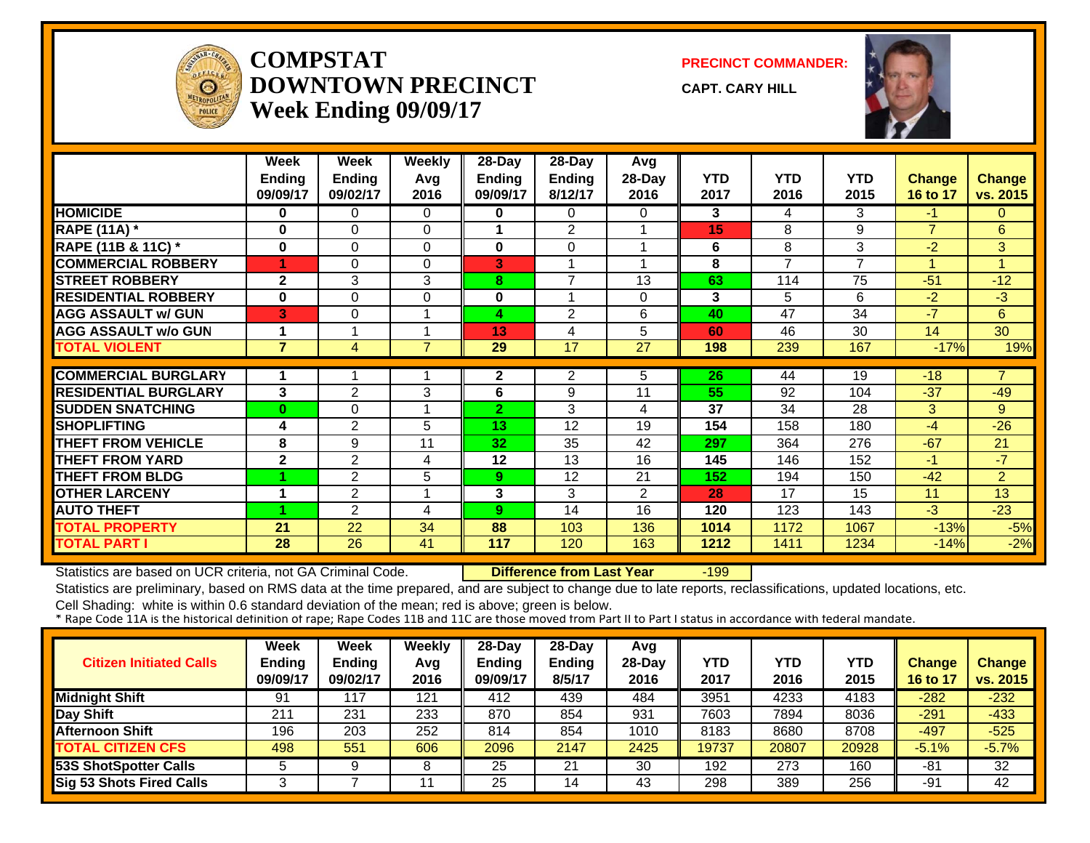

#### **COMPSTATDOWNTOWN PRECINCTWeek Ending 09/09/17**

**PRECINCT COMMANDER:**

**CAPT. CARY HILL**



|                             | Week                      | Week                      | <b>Weekly</b>  | 28-Day             | 28-Day                   | Avg            |                    |                          |                    |                           |                           |
|-----------------------------|---------------------------|---------------------------|----------------|--------------------|--------------------------|----------------|--------------------|--------------------------|--------------------|---------------------------|---------------------------|
|                             | <b>Ending</b><br>09/09/17 | <b>Ending</b><br>09/02/17 | Avg<br>2016    | Ending<br>09/09/17 | <b>Ending</b><br>8/12/17 | 28-Day<br>2016 | <b>YTD</b><br>2017 | <b>YTD</b><br>2016       | <b>YTD</b><br>2015 | <b>Change</b><br>16 to 17 | <b>Change</b><br>vs. 2015 |
| <b>HOMICIDE</b>             | $\bf{0}$                  | 0                         | $\Omega$       | $\bf{0}$           | $\Omega$                 | 0              | 3                  | 4                        | 3                  | $-1$                      | $\mathbf{0}$              |
| <b>RAPE (11A) *</b>         | 0                         | $\Omega$                  | $\Omega$       |                    | $\overline{2}$           |                | 15                 | 8                        | 9                  | $\overline{7}$            | 6                         |
| RAPE (11B & 11C) *          | $\bf{0}$                  | 0                         | 0              | $\bf{0}$           | $\Omega$                 |                | 6                  | 8                        | 3                  | $-2$                      | 3                         |
| <b>COMMERCIAL ROBBERY</b>   |                           | 0                         | $\Omega$       | 3                  |                          |                | 8                  | $\overline{\phantom{a}}$ | $\overline{ }$     |                           | $\blacktriangleleft$      |
| <b>STREET ROBBERY</b>       | $\mathbf{2}$              | 3                         | 3              | 8                  | $\overline{7}$           | 13             | 63                 | 114                      | 75                 | $-51$                     | $-12$                     |
| <b>RESIDENTIAL ROBBERY</b>  | $\bf{0}$                  | 0                         | 0              | 0                  |                          | 0              | 3                  | 5                        | 6                  | $-2$                      | $-3$                      |
| <b>AGG ASSAULT w/ GUN</b>   | 3                         | 0                         |                | 4                  | $\overline{2}$           | 6              | 40                 | 47                       | 34                 | $-7$                      | 6                         |
| <b>AGG ASSAULT w/o GUN</b>  |                           |                           |                | 13                 | 4                        | 5              | 60                 | 46                       | 30                 | 14                        | 30                        |
| <b>TOTAL VIOLENT</b>        | $\overline{7}$            | 4                         | $\overline{7}$ | 29                 | 17                       | 27             | 198                | 239                      | 167                | $-17%$                    | 19%                       |
|                             |                           |                           |                |                    |                          |                |                    |                          |                    |                           | $\overline{7}$            |
| <b>COMMERCIAL BURGLARY</b>  |                           |                           |                | $\mathbf{2}$       | 2                        | 5              | 26                 | 44                       | 19                 | $-18$                     |                           |
| <b>RESIDENTIAL BURGLARY</b> | 3                         | 2                         | 3              | 6                  | 9                        | 11             | 55                 | 92                       | 104                | $-37$                     | -49                       |
| <b>SUDDEN SNATCHING</b>     | $\bf{0}$                  | 0                         |                | 2 <sup>1</sup>     | 3                        | 4              | 37                 | 34                       | 28                 | 3                         | 9                         |
| <b>SHOPLIFTING</b>          | 4                         | $\overline{2}$            | 5              | 13                 | 12                       | 19             | 154                | 158                      | 180                | $-4$                      | $-26$                     |
| <b>THEFT FROM VEHICLE</b>   | 8                         | 9                         | 11             | 32                 | 35                       | 42             | 297                | 364                      | 276                | $-67$                     | 21                        |
| <b>THEFT FROM YARD</b>      | $\mathbf{2}$              | $\overline{2}$            | 4              | 12                 | 13                       | 16             | 145                | 146                      | 152                | $-1$                      | $-7$                      |
| <b>THEFT FROM BLDG</b>      |                           | 2                         | 5              | 9                  | 12                       | 21             | 152                | 194                      | 150                | $-42$                     | $\overline{2}$            |
| <b>OTHER LARCENY</b>        |                           | 2                         |                | 3                  | 3                        | $\overline{2}$ | 28                 | 17                       | 15                 | 11                        | 13                        |
| <b>AUTO THEFT</b>           |                           | 2                         | 4              | 9                  | 14                       | 16             | 120                | 123                      | 143                | $-3$                      | $-23$                     |
| <b>TOTAL PROPERTY</b>       | 21                        | 22                        | 34             | 88                 | 103                      | 136            | 1014               | 1172                     | 1067               | $-13%$                    | $-5%$                     |
| <b>TOTAL PART I</b>         | 28                        | 26                        | 41             | 117                | 120                      | 163            | 1212               | 1411                     | 1234               | $-14%$                    | $-2%$                     |

Statistics are based on UCR criteria, not GA Criminal Code. **Difference from Last Year** -199

Statistics are preliminary, based on RMS data at the time prepared, and are subject to change due to late reports, reclassifications, updated locations, etc.

| <b>Citizen Initiated Calls</b>  | Week<br><b>Ending</b><br>09/09/17 | Week<br><b>Ending</b><br>09/02/17 | Weekly<br>Avg<br>2016 | 28-Day<br><b>Ending</b><br>09/09/17 | $28-Dav$<br>Ending<br>8/5/17 | Avg<br>$28-Day$<br>2016 | <b>YTD</b><br>2017 | YTD<br>2016 | <b>YTD</b><br>2015 | <b>Change</b><br>16 to 17 | <b>Change</b><br>vs. 2015 |
|---------------------------------|-----------------------------------|-----------------------------------|-----------------------|-------------------------------------|------------------------------|-------------------------|--------------------|-------------|--------------------|---------------------------|---------------------------|
| <b>Midnight Shift</b>           | 91                                | 117                               | 121                   | 412                                 | 439                          | 484                     | 3951               | 4233        | 4183               | $-282$                    | $-232$                    |
| <b>Day Shift</b>                | 211                               | 231                               | 233                   | 870                                 | 854                          | 931                     | 7603               | 7894        | 8036               | $-291$                    | $-433$                    |
| <b>Afternoon Shift</b>          | 196                               | 203                               | 252                   | 814                                 | 854                          | 1010                    | 8183               | 8680        | 8708               | $-497$                    | $-525$                    |
| <b>TOTAL CITIZEN CFS</b>        | 498                               | 551                               | 606                   | 2096                                | 2147                         | 2425                    | 19737              | 20807       | 20928              | $-5.1%$                   | $-5.7%$                   |
| 53S ShotSpotter Calls           |                                   |                                   | 8                     | 25                                  | 21                           | 30                      | 192                | 273         | 160                | -81                       | 32                        |
| <b>Sig 53 Shots Fired Calls</b> |                                   |                                   | 11                    | 25                                  | 14                           | 43                      | 298                | 389         | 256                | -91                       | 42                        |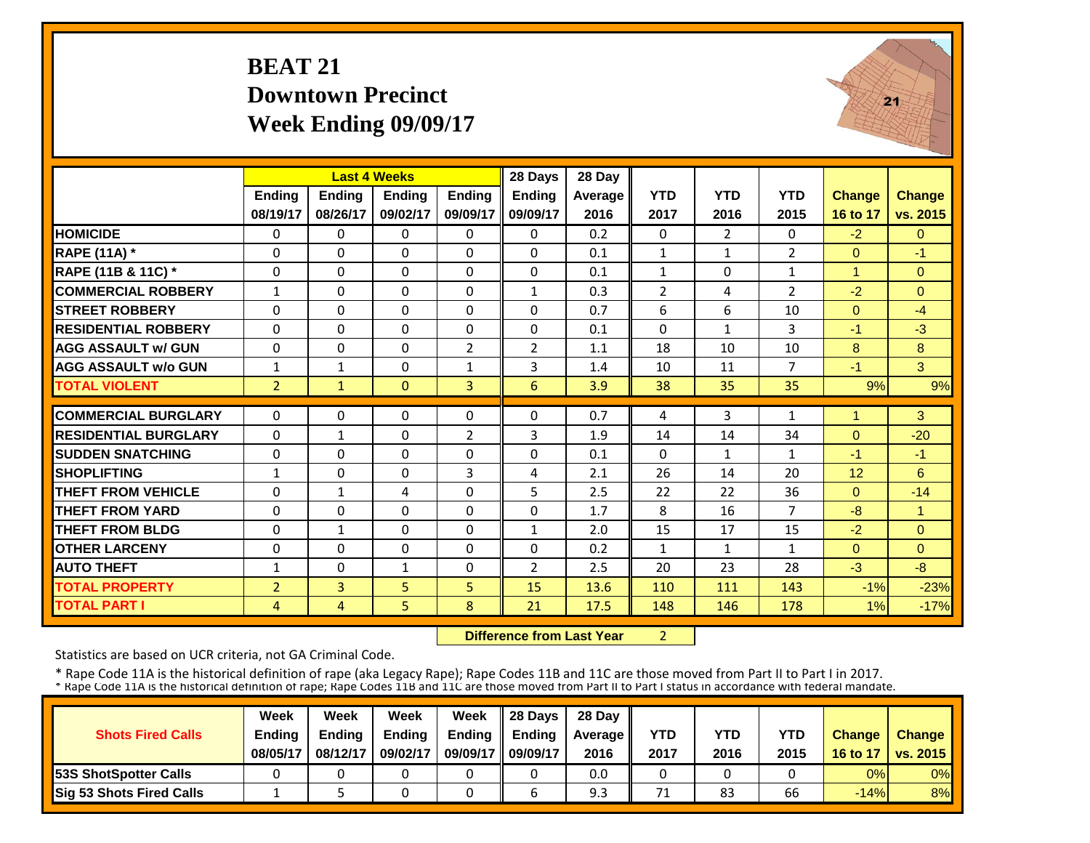# **BEAT 21 Downtown PrecinctWeek Ending 09/09/17**



|                             |                | <b>Last 4 Weeks</b> |               |                | 28 Days        | 28 Day  |                |                |                |                |                      |
|-----------------------------|----------------|---------------------|---------------|----------------|----------------|---------|----------------|----------------|----------------|----------------|----------------------|
|                             | Ending         | Ending              | <b>Ending</b> | <b>Ending</b>  | Ending         | Average | <b>YTD</b>     | <b>YTD</b>     | <b>YTD</b>     | <b>Change</b>  | <b>Change</b>        |
|                             | 08/19/17       | 08/26/17            | 09/02/17      | 09/09/17       | 09/09/17       | 2016    | 2017           | 2016           | 2015           | 16 to 17       | vs. 2015             |
| <b>HOMICIDE</b>             | $\Omega$       | $\Omega$            | $\Omega$      | $\Omega$       | $\Omega$       | 0.2     | $\Omega$       | $\overline{2}$ | 0              | $-2$           | $\Omega$             |
| <b>RAPE (11A) *</b>         | $\Omega$       | $\Omega$            | $\Omega$      | $\Omega$       | $\Omega$       | 0.1     | $\mathbf{1}$   | $\mathbf{1}$   | $\overline{2}$ | $\Omega$       | $-1$                 |
| RAPE (11B & 11C) *          | 0              | 0                   | $\Omega$      | $\Omega$       | $\mathbf 0$    | 0.1     | $\mathbf{1}$   | $\Omega$       | $\mathbf 1$    | $\mathbf{1}$   | $\Omega$             |
| <b>COMMERCIAL ROBBERY</b>   | $\mathbf{1}$   | $\Omega$            | $\Omega$      | $\Omega$       | $\mathbf{1}$   | 0.3     | $\overline{2}$ | 4              | $\overline{2}$ | $-2$           | $\Omega$             |
| <b>STREET ROBBERY</b>       | 0              | 0                   | $\mathbf 0$   | $\Omega$       | $\Omega$       | 0.7     | 6              | 6              | 10             | $\overline{0}$ | $-4$                 |
| <b>RESIDENTIAL ROBBERY</b>  | $\Omega$       | $\Omega$            | $\Omega$      | $\Omega$       | $\Omega$       | 0.1     | $\Omega$       | $\mathbf{1}$   | 3              | $-1$           | $-3$                 |
| <b>AGG ASSAULT w/ GUN</b>   | $\Omega$       | $\Omega$            | $\Omega$      | $\overline{2}$ | $\overline{2}$ | 1.1     | 18             | 10             | 10             | 8              | 8                    |
| <b>AGG ASSAULT w/o GUN</b>  | $\mathbf{1}$   | $\mathbf{1}$        | $\Omega$      | $\mathbf{1}$   | 3              | 1.4     | 10             | 11             | $\overline{7}$ | $-1$           | 3                    |
| <b>TOTAL VIOLENT</b>        | $\overline{2}$ | $\mathbf{1}$        | $\mathbf{0}$  | $\overline{3}$ | 6              | 3.9     | 38             | 35             | 35             | 9%             | 9%                   |
| <b>COMMERCIAL BURGLARY</b>  | $\Omega$       | $\Omega$            | $\Omega$      | $\Omega$       | $\Omega$       | 0.7     | 4              | 3              | 1              | $\mathbf{1}$   | 3                    |
| <b>RESIDENTIAL BURGLARY</b> | $\Omega$       | $\mathbf{1}$        | $\Omega$      | $\overline{2}$ | 3              | 1.9     | 14             | 14             | 34             | $\overline{0}$ | $-20$                |
| <b>ISUDDEN SNATCHING</b>    | $\Omega$       | $\Omega$            | $\Omega$      | $\Omega$       | $\Omega$       | 0.1     | $\Omega$       | $\mathbf{1}$   | $\mathbf{1}$   | $-1$           | $-1$                 |
| <b>SHOPLIFTING</b>          | $\mathbf{1}$   | $\Omega$            | $\Omega$      | 3              | 4              | 2.1     | 26             | 14             | 20             | 12             | 6                    |
| <b>THEFT FROM VEHICLE</b>   | $\Omega$       | 1                   | 4             | $\Omega$       | 5.             | 2.5     | 22             | 22             | 36             | $\Omega$       | $-14$                |
| <b>THEFT FROM YARD</b>      | $\Omega$       | $\Omega$            | $\Omega$      | $\Omega$       | $\Omega$       | 1.7     | 8              | 16             | $\overline{7}$ | $-8$           | $\blacktriangleleft$ |
| <b>THEFT FROM BLDG</b>      | $\Omega$       | $\mathbf{1}$        | $\Omega$      | $\Omega$       | $\mathbf{1}$   | 2.0     | 15             | 17             | 15             | $-2$           | $\Omega$             |
| <b>OTHER LARCENY</b>        | $\Omega$       | $\Omega$            | $\Omega$      | $\Omega$       | $\Omega$       | 0.2     | $\mathbf{1}$   | $\mathbf{1}$   | 1              | $\Omega$       | $\Omega$             |
| <b>AUTO THEFT</b>           | 1              | $\Omega$            | $\mathbf{1}$  | $\Omega$       | $\overline{2}$ | 2.5     | 20             | 23             | 28             | $-3$           | $-8$                 |
| <b>TOTAL PROPERTY</b>       | $\overline{2}$ | $\overline{3}$      | 5             | 5              | 15             | 13.6    | 110            | 111            | 143            | $-1%$          | $-23%$               |
| <b>TOTAL PART I</b>         | 4              | $\overline{4}$      | 5             | 8              | 21             | 17.5    | 148            | 146            | 178            | 1%             | $-17%$               |

 **Difference from Last Year**2

Statistics are based on UCR criteria, not GA Criminal Code.

|                               | Week          | Week          | Week          | Week          | $\parallel$ 28 Davs | 28 Day    |      |      |      |               |                     |
|-------------------------------|---------------|---------------|---------------|---------------|---------------------|-----------|------|------|------|---------------|---------------------|
| <b>Shots Fired Calls</b>      | <b>Ending</b> | <b>Ending</b> | <b>Ending</b> | <b>Ending</b> | <b>Ending</b>       | Average I | YTD  | YTD  | YTD  | <b>Change</b> | <b>Change</b>       |
|                               | 08/05/17      | 08/12/17      | 09/02/17      | 09/09/17      | 09/09/17            | 2016      | 2017 | 2016 | 2015 |               | 16 to 17   vs. 2015 |
| <b>153S ShotSpotter Calls</b> |               |               |               |               |                     | 0.0       |      |      |      | 0%            | $0\%$               |
| Sig 53 Shots Fired Calls      |               |               |               |               |                     | 9.3       | 71   | 83   | 66   | $-14%$        | 8%                  |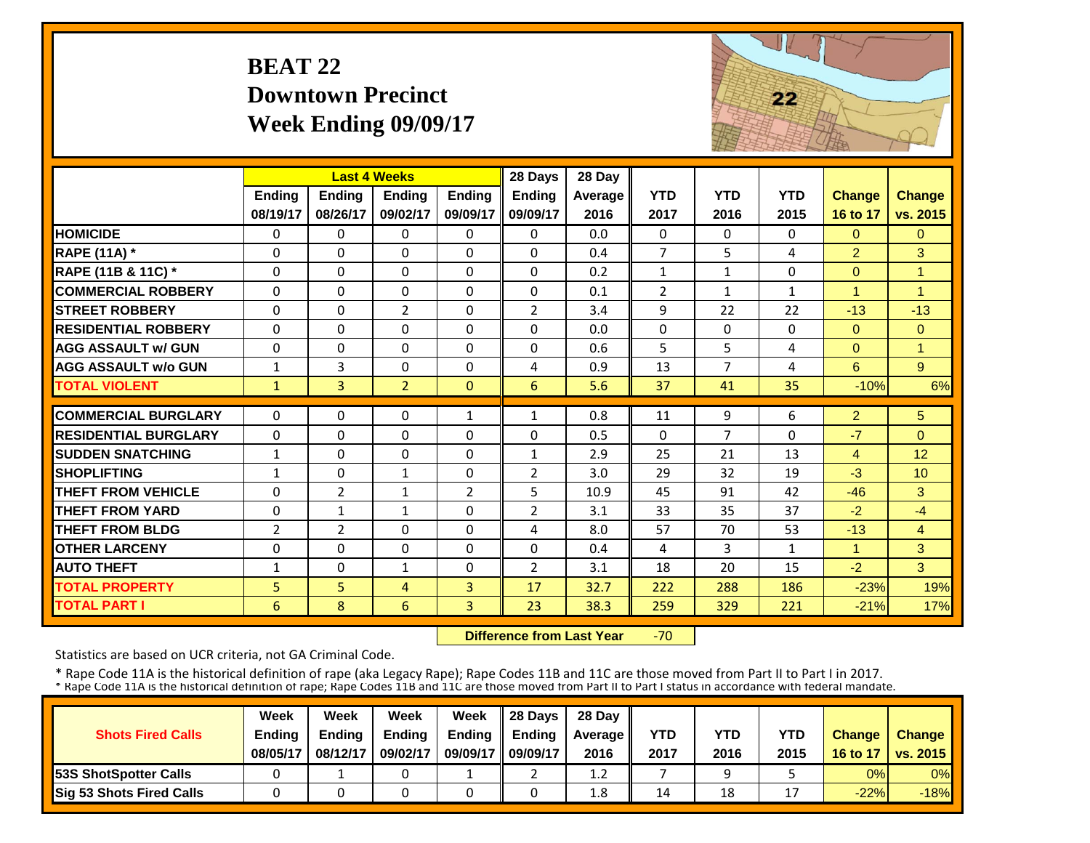# **BEAT 22 Downtown PrecinctWeek Ending 09/09/17**



|                             |                |                | <b>Last 4 Weeks</b> |               | 28 Days        | 28 Day  |                |                |              |                |                |
|-----------------------------|----------------|----------------|---------------------|---------------|----------------|---------|----------------|----------------|--------------|----------------|----------------|
|                             | <b>Ending</b>  | <b>Ending</b>  | <b>Ending</b>       | <b>Endina</b> | <b>Ending</b>  | Average | <b>YTD</b>     | <b>YTD</b>     | <b>YTD</b>   | <b>Change</b>  | <b>Change</b>  |
|                             | 08/19/17       | 08/26/17       | 09/02/17            | 09/09/17      | 09/09/17       | 2016    | 2017           | 2016           | 2015         | 16 to 17       | vs. 2015       |
| <b>HOMICIDE</b>             | $\Omega$       | 0              | $\Omega$            | $\Omega$      | $\Omega$       | 0.0     | $\Omega$       | $\Omega$       | 0            | $\Omega$       | $\Omega$       |
| <b>RAPE (11A)</b> *         | $\Omega$       | $\Omega$       | $\Omega$            | $\Omega$      | $\Omega$       | 0.4     | $\overline{7}$ | 5.             | 4            | $\overline{2}$ | 3              |
| RAPE (11B & 11C) *          | $\Omega$       | 0              | $\Omega$            | $\Omega$      | $\Omega$       | 0.2     | $\mathbf{1}$   | $\mathbf{1}$   | 0            | $\Omega$       | $\overline{1}$ |
| <b>COMMERCIAL ROBBERY</b>   | $\Omega$       | 0              | 0                   | $\Omega$      | 0              | 0.1     | $\overline{2}$ | $\mathbf{1}$   | $\mathbf{1}$ | 1              | $\overline{1}$ |
| <b>STREET ROBBERY</b>       | $\Omega$       | $\Omega$       | $\overline{2}$      | $\Omega$      | $\overline{2}$ | 3.4     | 9              | 22             | 22           | $-13$          | $-13$          |
| <b>RESIDENTIAL ROBBERY</b>  | $\Omega$       | $\Omega$       | $\Omega$            | $\Omega$      | $\Omega$       | 0.0     | $\Omega$       | $\Omega$       | $\Omega$     | $\Omega$       | $\Omega$       |
| <b>AGG ASSAULT w/ GUN</b>   | $\Omega$       | $\Omega$       | 0                   | $\Omega$      | $\Omega$       | 0.6     | 5              | 5              | 4            | $\Omega$       | $\overline{1}$ |
| <b>AGG ASSAULT w/o GUN</b>  | $\mathbf{1}$   | 3              | 0                   | 0             | 4              | 0.9     | 13             | 7              | 4            | 6              | 9              |
| <b>TOTAL VIOLENT</b>        | $\mathbf{1}$   | $\overline{3}$ | $\overline{2}$      | $\mathbf{0}$  | 6              | 5.6     | 37             | 41             | 35           | $-10%$         | 6%             |
| <b>COMMERCIAL BURGLARY</b>  | $\Omega$       | 0              | 0                   | 1             | 1              | 0.8     | 11             | 9              | 6            | $\overline{2}$ | 5              |
| <b>RESIDENTIAL BURGLARY</b> | $\Omega$       | 0              | 0                   | $\Omega$      | $\Omega$       | 0.5     | $\Omega$       | $\overline{7}$ | 0            | $-7$           | $\Omega$       |
| <b>ISUDDEN SNATCHING</b>    | $\mathbf{1}$   | 0              | $\Omega$            | $\Omega$      | $\mathbf{1}$   | 2.9     | 25             | 21             | 13           | 4              | 12             |
| <b>SHOPLIFTING</b>          | $\mathbf{1}$   | 0              | $\mathbf{1}$        | $\Omega$      | $\overline{2}$ | 3.0     | 29             | 32             | 19           | $-3$           | 10             |
| <b>THEFT FROM VEHICLE</b>   | $\Omega$       | 2              | 1                   | 2             | 5              | 10.9    | 45             | 91             | 42           | $-46$          | 3              |
| <b>THEFT FROM YARD</b>      | 0              | $\mathbf{1}$   | 1                   | $\Omega$      | $\overline{2}$ | 3.1     | 33             | 35             | 37           | $-2$           | $-4$           |
| <b>THEFT FROM BLDG</b>      | $\overline{2}$ | 2              | $\Omega$            | $\Omega$      | 4              | 8.0     | 57             | 70             | 53           | $-13$          | $\overline{4}$ |
| <b>OTHER LARCENY</b>        | $\Omega$       | $\Omega$       | $\Omega$            | $\Omega$      | $\Omega$       | 0.4     | 4              | 3              | $\mathbf{1}$ | $\mathbf{1}$   | 3              |
| <b>AUTO THEFT</b>           | 1              | 0              | $\mathbf{1}$        | 0             | $\overline{2}$ | 3.1     | 18             | 20             | 15           | $-2$           | 3              |
| <b>TOTAL PROPERTY</b>       | 5              | 5              | 4                   | 3             | 17             | 32.7    | 222            | 288            | 186          | $-23%$         | 19%            |
| <b>TOTAL PART I</b>         | 6              | 8              | 6                   | 3             | 23             | 38.3    | 259            | 329            | 221          | $-21%$         | 17%            |

 **Difference from Last Year**‐70

Statistics are based on UCR criteria, not GA Criminal Code.

|                               | Week          | Week     | Week          | Week          | Il 28 Davs    | 28 Day         |      |      |                |               |                 |
|-------------------------------|---------------|----------|---------------|---------------|---------------|----------------|------|------|----------------|---------------|-----------------|
| <b>Shots Fired Calls</b>      | <b>Ending</b> | Ending   | <b>Ending</b> | <b>Ending</b> | <b>Ending</b> | <b>Average</b> | YTD  | YTD  | YTD            | <b>Change</b> | <b>Change</b>   |
|                               | 08/05/17      | 08/12/17 | 09/02/17      | 09/09/17      | 09/09/17      | 2016           | 2017 | 2016 | 2015           | 16 to 17      | <b>vs. 2015</b> |
| <b>153S ShotSpotter Calls</b> |               |          |               |               |               | 1.2            |      |      |                | 0%            | $0\%$           |
| Sig 53 Shots Fired Calls      |               |          |               |               |               | $1.8\,$        | 14   | 18   | $\overline{ }$ | $-22%$        | $-18%$          |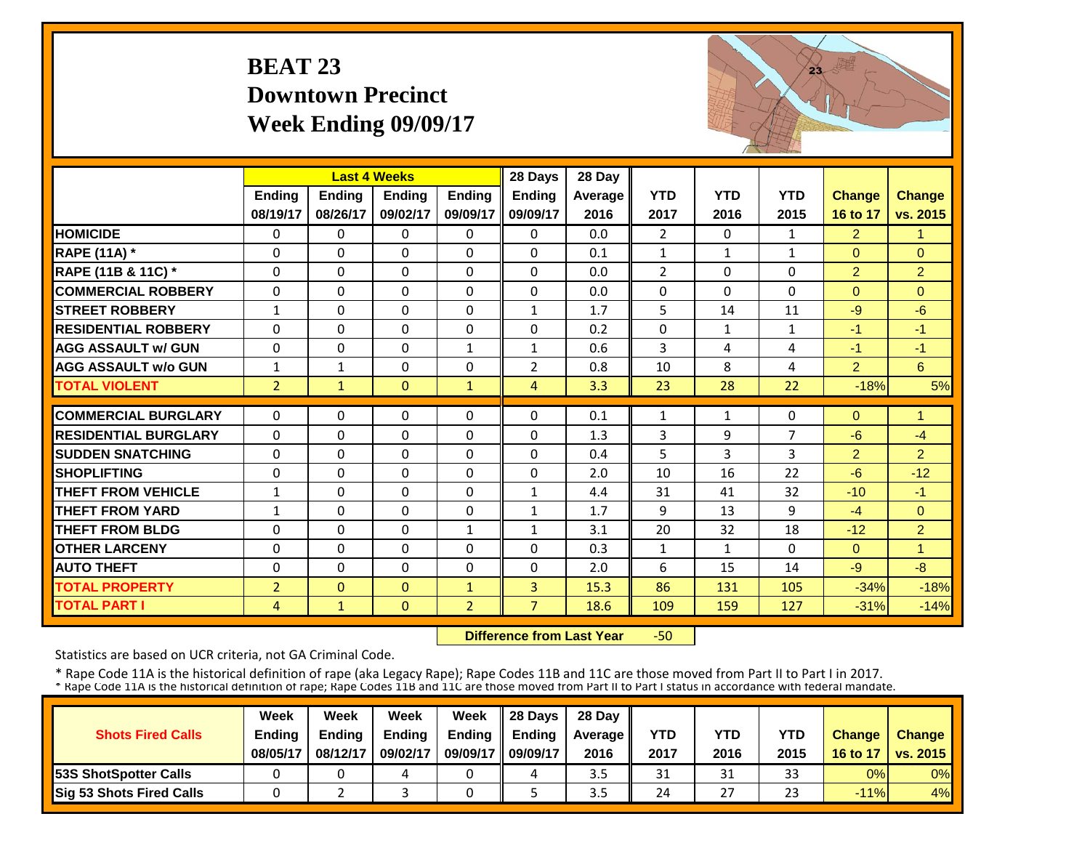# **BEAT 23 Downtown PrecinctWeek Ending 09/09/17**



|                             |                | <b>Last 4 Weeks</b> |               |                | 28 Days        | 28 Day  |                |              |              |                |                |
|-----------------------------|----------------|---------------------|---------------|----------------|----------------|---------|----------------|--------------|--------------|----------------|----------------|
|                             | <b>Ending</b>  | <b>Ending</b>       | <b>Endina</b> | <b>Ending</b>  | <b>Endina</b>  | Average | <b>YTD</b>     | <b>YTD</b>   | <b>YTD</b>   | <b>Change</b>  | <b>Change</b>  |
|                             | 08/19/17       | 08/26/17            | 09/02/17      | 09/09/17       | 09/09/17       | 2016    | 2017           | 2016         | 2015         | 16 to 17       | vs. 2015       |
| <b>HOMICIDE</b>             | 0              | $\Omega$            | $\Omega$      | 0              | $\Omega$       | 0.0     | $\overline{2}$ | $\Omega$     | 1            | $\overline{2}$ | 1              |
| <b>RAPE (11A) *</b>         | $\Omega$       | $\Omega$            | $\Omega$      | 0              | 0              | 0.1     | $\mathbf{1}$   | 1            | $\mathbf{1}$ | $\Omega$       | $\Omega$       |
| RAPE (11B & 11C) *          | $\Omega$       | $\Omega$            | $\Omega$      | $\Omega$       | $\Omega$       | 0.0     | $\overline{2}$ | $\Omega$     | 0            | $\overline{2}$ | $\overline{2}$ |
| <b>COMMERCIAL ROBBERY</b>   | $\mathbf{0}$   | $\Omega$            | $\Omega$      | $\Omega$       | $\Omega$       | 0.0     | $\Omega$       | $\Omega$     | $\Omega$     | $\Omega$       | $\Omega$       |
| <b>STREET ROBBERY</b>       | $\mathbf{1}$   | $\Omega$            | $\Omega$      | $\Omega$       | $\mathbf{1}$   | 1.7     | 5              | 14           | 11           | $-9$           | $-6$           |
| <b>RESIDENTIAL ROBBERY</b>  | $\Omega$       | $\Omega$            | $\Omega$      | $\Omega$       | 0              | 0.2     | $\Omega$       | $\mathbf{1}$ | 1            | $-1$           | $-1$           |
| <b>AGG ASSAULT w/ GUN</b>   | $\Omega$       | $\Omega$            | $\Omega$      | $\mathbf{1}$   | $\mathbf{1}$   | 0.6     | $\overline{3}$ | 4            | 4            | $-1$           | $-1$           |
| <b>AGG ASSAULT w/o GUN</b>  | $\mathbf{1}$   | 1                   | $\Omega$      | $\Omega$       | $\overline{2}$ | 0.8     | 10             | 8            | 4            | $\overline{2}$ | 6              |
| <b>TOTAL VIOLENT</b>        | $\overline{2}$ | $\mathbf{1}$        | $\Omega$      | $\mathbf{1}$   | 4              | 3.3     | 23             | 28           | 22           | $-18%$         | 5%             |
| <b>COMMERCIAL BURGLARY</b>  | $\Omega$       | $\Omega$            | $\Omega$      | 0              | 0              | 0.1     | 1              | $\mathbf{1}$ | 0            | $\Omega$       | $\mathbf{1}$   |
| <b>RESIDENTIAL BURGLARY</b> | $\Omega$       | $\Omega$            | $\Omega$      | $\Omega$       | $\Omega$       | 1.3     | 3              | 9            | 7            | $-6$           | $-4$           |
| <b>SUDDEN SNATCHING</b>     | $\Omega$       | $\Omega$            | $\Omega$      |                | 0              | 0.4     | 5              | 3            | 3            | $\overline{2}$ | $\overline{2}$ |
| <b>SHOPLIFTING</b>          | $\Omega$       | $\Omega$            | $\Omega$      | 0<br>$\Omega$  | 0              | 2.0     | 10             | 16           | 22           | $-6$           | $-12$          |
| THEFT FROM VEHICLE          | $\mathbf{1}$   | $\Omega$            | $\Omega$      | $\Omega$       | $\mathbf{1}$   | 4.4     | 31             | 41           | 32           | $-10$          | $-1$           |
| <b>THEFT FROM YARD</b>      |                | $\Omega$            | $\Omega$      | $\Omega$       | $\mathbf{1}$   | 1.7     | 9              | 13           | 9            | $-4$           | $\Omega$       |
| <b>THEFT FROM BLDG</b>      | 1              | $\Omega$            | $\Omega$      |                |                | 3.1     | 20             | 32           | 18           | $-12$          | $\overline{2}$ |
|                             | $\Omega$       |                     |               | $\mathbf{1}$   | $\mathbf{1}$   |         |                |              |              |                |                |
| <b>OTHER LARCENY</b>        | $\Omega$       | $\Omega$            | $\Omega$      | $\Omega$       | $\Omega$       | 0.3     | $\mathbf{1}$   | 1            | 0            | $\Omega$       | 1              |
| <b>AUTO THEFT</b>           | 0              | $\Omega$            | $\Omega$      | $\Omega$       | $\Omega$       | 2.0     | 6              | 15           | 14           | $-9$           | $-8$           |
| <b>TOTAL PROPERTY</b>       | $\overline{2}$ | $\Omega$            | $\mathbf{0}$  | $\mathbf{1}$   | 3              | 15.3    | 86             | 131          | 105          | $-34%$         | $-18%$         |
| <b>TOTAL PART I</b>         | $\overline{4}$ | $\mathbf{1}$        | $\mathbf{0}$  | $\overline{2}$ | $\overline{7}$ | 18.6    | 109            | 159          | 127          | $-31%$         | $-14%$         |

 **Difference from Last Year**‐50

Statistics are based on UCR criteria, not GA Criminal Code.

|                               | Week          | Week          | Week          | Week          | $\parallel$ 28 Davs | 28 Day    |      |      |      |               |                     |
|-------------------------------|---------------|---------------|---------------|---------------|---------------------|-----------|------|------|------|---------------|---------------------|
| <b>Shots Fired Calls</b>      | <b>Ending</b> | <b>Ending</b> | <b>Ending</b> | <b>Ending</b> | <b>Ending</b>       | Average I | YTD  | YTD  | YTD  | <b>Change</b> | <b>Change</b>       |
|                               | 08/05/17      | 08/12/17      | 09/02/17      | 09/09/17      | 09/09/17            | 2016      | 2017 | 2016 | 2015 |               | 16 to 17   vs. 2015 |
| <b>153S ShotSpotter Calls</b> |               |               |               |               |                     | 3.5       | 31   | 31   | 33   | 0%            | $0\%$               |
| Sig 53 Shots Fired Calls      |               |               |               |               |                     | 3.5       | 24   | 27   | 23   | $-11%$        | 4%                  |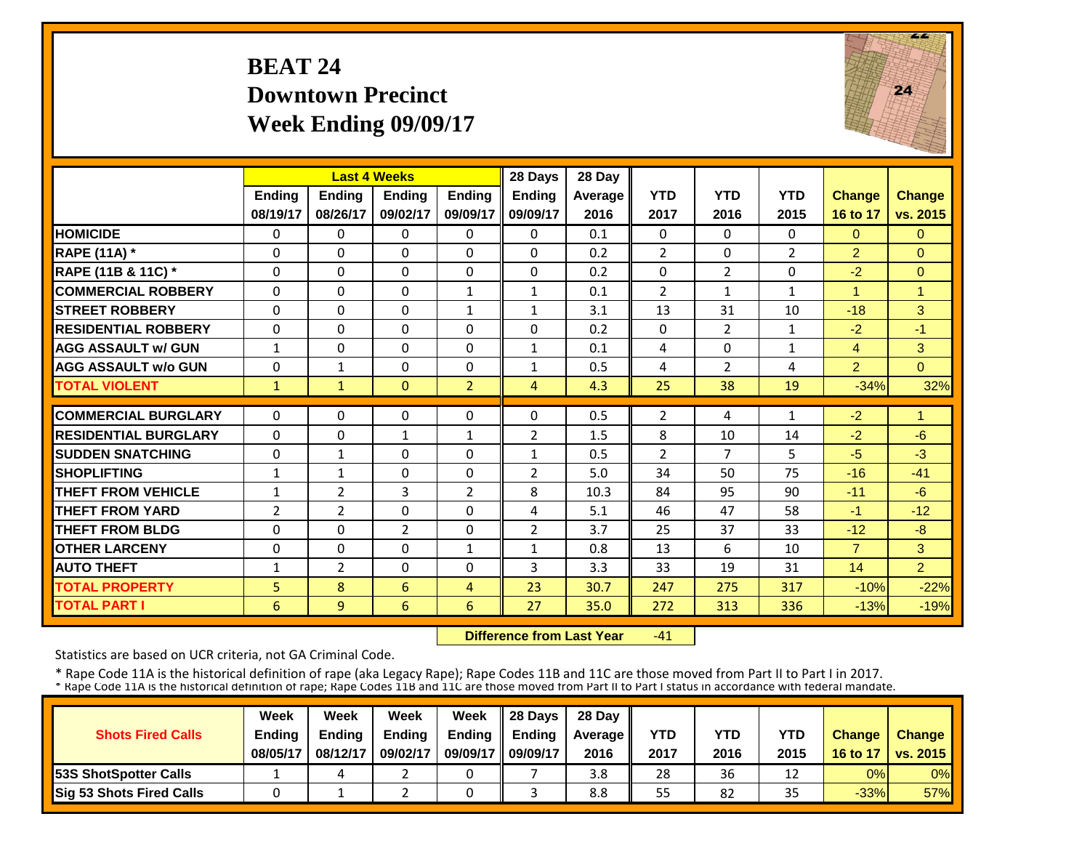# **BEAT 24 Downtown PrecinctWeek Ending 09/09/17**



|                             |               | <b>Last 4 Weeks</b> |                |                | 28 Days        | 28 Day  |                |                |                |                |                |
|-----------------------------|---------------|---------------------|----------------|----------------|----------------|---------|----------------|----------------|----------------|----------------|----------------|
|                             | <b>Ending</b> | <b>Ending</b>       | <b>Endina</b>  | <b>Endina</b>  | <b>Endina</b>  | Average | <b>YTD</b>     | <b>YTD</b>     | <b>YTD</b>     | <b>Change</b>  | Change         |
|                             | 08/19/17      | 08/26/17            | 09/02/17       | 09/09/17       | 09/09/17       | 2016    | 2017           | 2016           | 2015           | 16 to 17       | vs. 2015       |
| <b>HOMICIDE</b>             | $\Omega$      | $\Omega$            | $\Omega$       | $\mathbf{0}$   | $\Omega$       | 0.1     | $\Omega$       | $\Omega$       | 0              | $\mathbf{0}$   | $\Omega$       |
| <b>RAPE (11A) *</b>         | $\Omega$      | $\Omega$            | $\Omega$       | 0              | $\Omega$       | 0.2     | $\overline{2}$ | $\Omega$       | $\overline{2}$ | $\overline{2}$ | $\Omega$       |
| RAPE (11B & 11C) *          | 0             | $\Omega$            | 0              | $\Omega$       | $\Omega$       | 0.2     | $\Omega$       | $\overline{2}$ | 0              | $-2$           | $\overline{0}$ |
| <b>COMMERCIAL ROBBERY</b>   | $\Omega$      | $\Omega$            | $\Omega$       | $\mathbf{1}$   | $\mathbf{1}$   | 0.1     | $\overline{2}$ | $\mathbf{1}$   | $\mathbf{1}$   |                | $\overline{1}$ |
| <b>STREET ROBBERY</b>       | $\Omega$      | $\Omega$            | $\Omega$       | $\mathbf{1}$   | $\mathbf{1}$   | 3.1     | 13             | 31             | 10             | $-18$          | 3              |
| <b>RESIDENTIAL ROBBERY</b>  | $\Omega$      | $\Omega$            | $\Omega$       | 0              | 0              | 0.2     | $\Omega$       | $\overline{2}$ | $\mathbf{1}$   | $-2$           | $-1$           |
| <b>AGG ASSAULT w/ GUN</b>   | $\mathbf{1}$  | $\Omega$            | $\Omega$       | 0              | $\mathbf{1}$   | 0.1     | 4              | 0              | $\mathbf{1}$   | 4              | 3              |
| <b>AGG ASSAULT w/o GUN</b>  | $\Omega$      | $\mathbf{1}$        | 0              | $\Omega$       | $\mathbf{1}$   | 0.5     | 4              | $\overline{2}$ | 4              | $\overline{2}$ | $\Omega$       |
| <b>TOTAL VIOLENT</b>        | $\mathbf{1}$  | $\mathbf{1}$        | $\Omega$       | $\overline{2}$ | $\overline{4}$ | 4.3     | 25             | 38             | 19             | $-34%$         | 32%            |
| <b>COMMERCIAL BURGLARY</b>  | $\Omega$      | $\Omega$            | $\Omega$       | $\Omega$       | 0              | 0.5     | 2              | 4              | 1              | $-2$           | $\overline{1}$ |
| <b>RESIDENTIAL BURGLARY</b> | 0             | $\Omega$            | 1              | 1              | $\overline{2}$ | 1.5     | 8              | 10             | 14             | $-2$           | $-6$           |
| <b>SUDDEN SNATCHING</b>     | $\Omega$      | $\mathbf{1}$        | 0              | $\Omega$       | $\mathbf{1}$   | 0.5     | $\overline{2}$ | 7              | 5              | $-5$           | $-3$           |
| <b>SHOPLIFTING</b>          | $\mathbf{1}$  | $\mathbf{1}$        | $\Omega$       | $\Omega$       | $\overline{2}$ | 5.0     | 34             | 50             | 75             | $-16$          | $-41$          |
| <b>THEFT FROM VEHICLE</b>   | 1             | 2                   | 3              | $\overline{2}$ | 8              | 10.3    | 84             | 95             | 90             | $-11$          | $-6$           |
| <b>THEFT FROM YARD</b>      | 2             | $\overline{2}$      | $\Omega$       | $\Omega$       | 4              | 5.1     | 46             | 47             | 58             | $-1$           | $-12$          |
| <b>THEFT FROM BLDG</b>      | $\Omega$      | $\Omega$            | $\overline{2}$ | $\Omega$       | $\overline{2}$ | 3.7     | 25             | 37             | 33             | $-12$          | $-8$           |
| <b>OTHER LARCENY</b>        | $\Omega$      | $\Omega$            | $\Omega$       | $\mathbf{1}$   | $\mathbf{1}$   | 0.8     | 13             | 6              | 10             | $\overline{7}$ | 3              |
| <b>AUTO THEFT</b>           | 1             | 2                   | $\Omega$       | 0              | 3              | 3.3     | 33             | 19             | 31             | 14             | $\overline{2}$ |
| <b>TOTAL PROPERTY</b>       | 5             | 8                   | 6              | 4              | 23             | 30.7    | 247            | 275            | 317            | $-10%$         | $-22%$         |
| <b>TOTAL PART I</b>         | 6             | 9                   | 6              | 6              | 27             | 35.0    | 272            | 313            | 336            | $-13%$         | $-19%$         |
|                             |               |                     |                |                |                |         |                |                |                |                |                |

 **Difference from Last Year** $-41$ 

Statistics are based on UCR criteria, not GA Criminal Code.

|                               | Week          | Week          | Week          | Week          | $\parallel$ 28 Davs | 28 Day    |      |      |      |               |                     |
|-------------------------------|---------------|---------------|---------------|---------------|---------------------|-----------|------|------|------|---------------|---------------------|
| <b>Shots Fired Calls</b>      | <b>Ending</b> | <b>Ending</b> | <b>Ending</b> | <b>Ending</b> | <b>Ending</b>       | Average I | YTD  | YTD  | YTD  | <b>Change</b> | <b>Change</b>       |
|                               | 08/05/17      | 08/12/17      | 09/02/17      | 09/09/17      | 09/09/17            | 2016      | 2017 | 2016 | 2015 |               | 16 to 17   vs. 2015 |
| <b>153S ShotSpotter Calls</b> |               |               |               |               |                     | 3.8       | 28   | 36   | 12   | 0%            | $0\%$               |
| Sig 53 Shots Fired Calls      |               |               |               |               |                     | 8.8       | 55   | 82   | 35   | $-33%$        | <b>57%</b>          |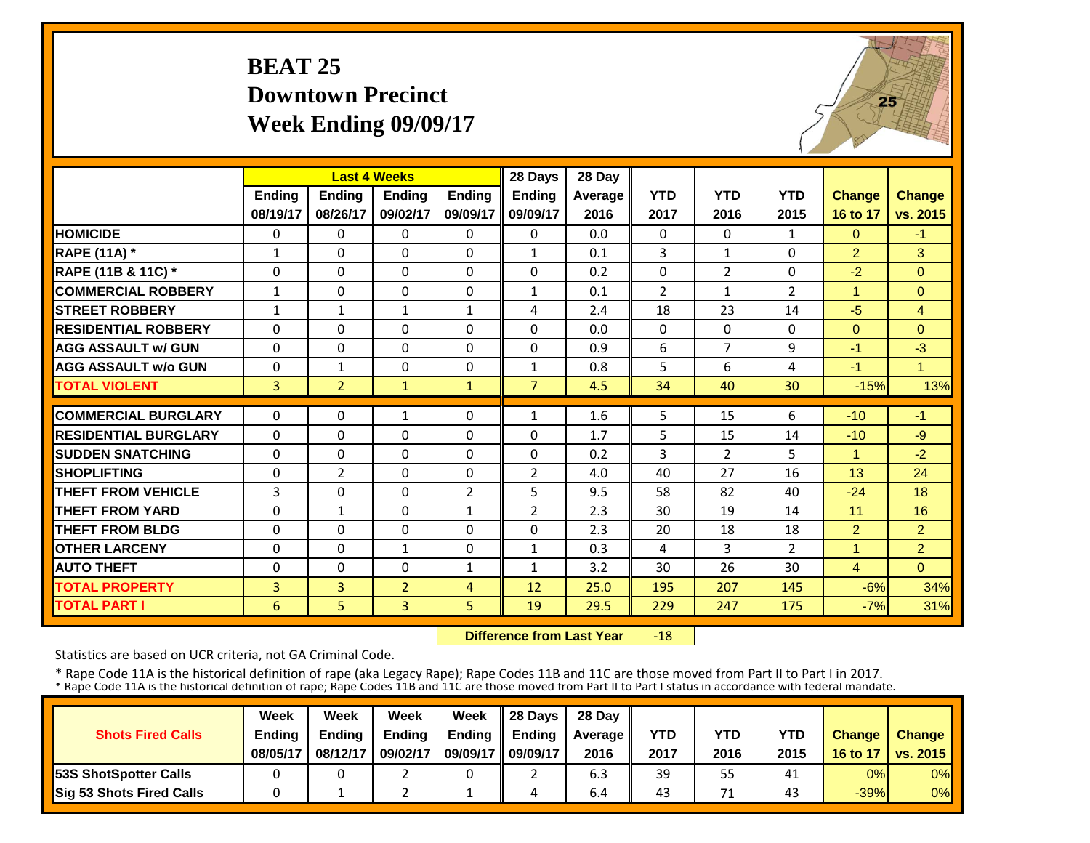# **BEAT 25 Downtown PrecinctWeek Ending 09/09/17**



|                                               |                |                | <b>Last 4 Weeks</b> |                | 28 Days        | 28 Day  |                |                      |                |                |                |
|-----------------------------------------------|----------------|----------------|---------------------|----------------|----------------|---------|----------------|----------------------|----------------|----------------|----------------|
|                                               | Ending         | Ending         | <b>Endina</b>       | <b>Endina</b>  | <b>Ending</b>  | Average | <b>YTD</b>     | <b>YTD</b>           | <b>YTD</b>     | <b>Change</b>  | <b>Change</b>  |
|                                               | 08/19/17       | 08/26/17       | 09/02/17            | 09/09/17       | 09/09/17       | 2016    | 2017           | 2016                 | 2015           | 16 to 17       | vs. 2015       |
| <b>HOMICIDE</b>                               | $\mathbf{0}$   | $\Omega$       | $\Omega$            | $\Omega$       | $\Omega$       | 0.0     | $\Omega$       | $\Omega$             | $\mathbf{1}$   | $\Omega$       | $-1$           |
| <b>RAPE (11A) *</b>                           | $\mathbf{1}$   | $\Omega$       | $\Omega$            | $\Omega$       | $\mathbf{1}$   | 0.1     | 3              | $\mathbf{1}$         | $\Omega$       | $\overline{2}$ | 3              |
| RAPE (11B & 11C) *                            | $\Omega$       | $\Omega$       | $\Omega$            | $\Omega$       | $\Omega$       | 0.2     | $\Omega$       | $\overline{2}$       | $\Omega$       | $-2$           | $\Omega$       |
| <b>COMMERCIAL ROBBERY</b>                     | $\mathbf{1}$   | $\Omega$       | $\Omega$            | $\Omega$       | $\mathbf{1}$   | 0.1     | $\overline{2}$ | $\mathbf{1}$         | $\overline{2}$ | $\overline{1}$ | $\mathbf{0}$   |
| <b>STREET ROBBERY</b>                         | $\mathbf{1}$   | $\mathbf{1}$   | $\mathbf{1}$        | $\mathbf{1}$   | 4              | 2.4     | 18             | 23                   | 14             | $-5$           | $\overline{4}$ |
| <b>RESIDENTIAL ROBBERY</b>                    | $\Omega$       | $\Omega$       | $\Omega$            | 0              | 0              | 0.0     | $\Omega$       | $\Omega$             | 0              | $\Omega$       | $\Omega$       |
| <b>AGG ASSAULT w/ GUN</b>                     | $\Omega$       | $\Omega$       | $\Omega$            | 0              | 0              | 0.9     | 6              | $\overline{7}$       | 9              | $-1$           | $-3$           |
| <b>AGG ASSAULT w/o GUN</b>                    | $\Omega$       | $\mathbf{1}$   | $\Omega$            | $\Omega$       | $\mathbf{1}$   | 0.8     | 5              | 6                    | 4              | $-1$           | $\overline{1}$ |
| <b>TOTAL VIOLENT</b>                          | $\overline{3}$ | $\overline{2}$ | $\mathbf{1}$        | $\mathbf{1}$   | $\overline{7}$ | 4.5     | 34             | 40                   | 30             | $-15%$         | 13%            |
| <b>COMMERCIAL BURGLARY</b>                    | $\Omega$       | $\Omega$       | 1                   | $\Omega$       | $\mathbf{1}$   | 1.6     | 5              | 15                   | 6              | $-10$          | $-1$           |
| <b>RESIDENTIAL BURGLARY</b>                   | $\Omega$       | $\Omega$       | $\Omega$            | $\Omega$       | $\Omega$       | 1.7     | 5              |                      |                | $-10$          | $-9$           |
|                                               |                |                |                     |                |                |         |                | 15                   | 14             | 1              |                |
| <b>SUDDEN SNATCHING</b><br><b>SHOPLIFTING</b> | 0              | $\Omega$       | $\Omega$            | 0              | 0              | 0.2     | 3<br>40        | $\overline{2}$<br>27 | 5<br>16        |                | $-2$           |
|                                               | 0              | $\overline{2}$ | 0                   | $\Omega$       | $\overline{2}$ | 4.0     |                |                      |                | 13             | 24             |
| <b>THEFT FROM VEHICLE</b>                     | 3              | $\Omega$       | $\Omega$            | $\overline{2}$ | 5              | 9.5     | 58             | 82                   | 40             | $-24$          | 18             |
| <b>THEFT FROM YARD</b>                        | $\Omega$       | $\mathbf{1}$   | $\Omega$            | $\mathbf{1}$   | $\overline{2}$ | 2.3     | 30             | 19                   | 14             | 11             | 16             |
| <b>THEFT FROM BLDG</b>                        | 0              | $\Omega$       | $\Omega$            | $\Omega$       | 0              | 2.3     | 20             | 18                   | 18             | $\overline{2}$ | $\overline{2}$ |
| <b>OTHER LARCENY</b>                          | $\Omega$       | $\Omega$       | $\mathbf{1}$        | 0              | $\mathbf{1}$   | 0.3     | 4              | 3                    | $\overline{2}$ | 1              | $\overline{2}$ |
| <b>AUTO THEFT</b>                             | $\Omega$       | $\Omega$       | $\Omega$            | 1              | $\mathbf{1}$   | 3.2     | 30             | 26                   | 30             | $\overline{4}$ | $\Omega$       |
| <b>TOTAL PROPERTY</b>                         | 3              | 3              | $\overline{2}$      | 4              | 12             | 25.0    | 195            | 207                  | 145            | $-6%$          | 34%            |
| <b>TOTAL PART I</b>                           | 6              | 5.             | $\overline{3}$      | 5              | 19             | 29.5    | 229            | 247                  | 175            | $-7%$          | 31%            |

 **Difference from Last Year** $-18$ 

Statistics are based on UCR criteria, not GA Criminal Code.

|                               | Week          | Week          | Week          | Week          | $\parallel$ 28 Davs | 28 Day    |      |      |      |               |                     |
|-------------------------------|---------------|---------------|---------------|---------------|---------------------|-----------|------|------|------|---------------|---------------------|
| <b>Shots Fired Calls</b>      | <b>Ending</b> | <b>Ending</b> | <b>Ending</b> | <b>Ending</b> | <b>Ending</b>       | Average I | YTD  | YTD  | YTD  | <b>Change</b> | <b>Change</b>       |
|                               | 08/05/17      | 08/12/17      | 09/02/17      | 09/09/17      | 09/09/17            | 2016      | 2017 | 2016 | 2015 |               | 16 to 17   vs. 2015 |
| <b>153S ShotSpotter Calls</b> |               |               |               |               |                     | 6.3       | 39   | 55   | 41   | 0%            | $0\%$               |
| Sig 53 Shots Fired Calls      |               |               |               |               |                     | 6.4       | 43   | 71   | 43   | $-39%$        | 0%                  |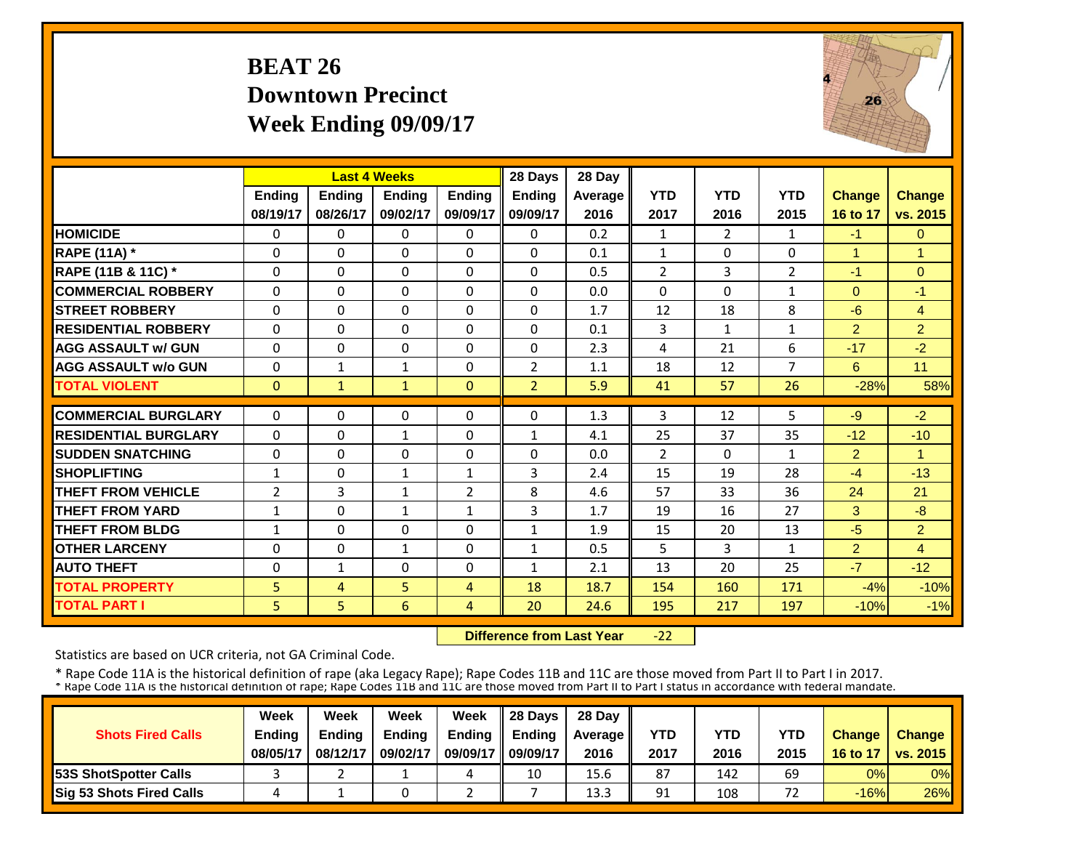#### **BEAT 26 Downtown PrecinctWeek Ending 09/09/17**



|                             |                | <b>Last 4 Weeks</b> |               |               | 28 Days        | 28 Day  |                |                |                |                |                |
|-----------------------------|----------------|---------------------|---------------|---------------|----------------|---------|----------------|----------------|----------------|----------------|----------------|
|                             | <b>Ending</b>  | <b>Endina</b>       | <b>Ending</b> | <b>Endina</b> | <b>Ending</b>  | Average | <b>YTD</b>     | <b>YTD</b>     | <b>YTD</b>     | <b>Change</b>  | <b>Change</b>  |
|                             | 08/19/17       | 08/26/17            | 09/02/17      | 09/09/17      | 09/09/17       | 2016    | 2017           | 2016           | 2015           | 16 to 17       | vs. 2015       |
| <b>HOMICIDE</b>             | 0              | $\Omega$            | $\Omega$      | $\Omega$      | 0              | 0.2     | 1              | $\overline{2}$ | $\mathbf{1}$   | $-1$           | $\overline{0}$ |
| <b>RAPE (11A)</b> *         | $\Omega$       | $\Omega$            | $\Omega$      | $\Omega$      | 0              | 0.1     | $\mathbf{1}$   | $\Omega$       | 0              | 1              | $\overline{1}$ |
| RAPE (11B & 11C) *          | $\mathbf 0$    | $\Omega$            | $\Omega$      | $\Omega$      | $\Omega$       | 0.5     | $\overline{2}$ | 3              | $\overline{2}$ | $-1$           | $\Omega$       |
| <b>COMMERCIAL ROBBERY</b>   | $\Omega$       | $\Omega$            | $\Omega$      | $\Omega$      | 0              | 0.0     | $\Omega$       | $\Omega$       | 1              | $\mathbf{0}$   | $-1$           |
| <b>ISTREET ROBBERY</b>      | 0              | $\Omega$            | $\Omega$      | 0             | 0              | 1.7     | 12             | 18             | 8              | $-6$           | $\overline{4}$ |
| <b>RESIDENTIAL ROBBERY</b>  | $\Omega$       | $\Omega$            | $\Omega$      | 0             | 0              | 0.1     | 3              | $\mathbf{1}$   | $\mathbf{1}$   | $\overline{2}$ | $\overline{2}$ |
| <b>AGG ASSAULT w/ GUN</b>   | $\Omega$       | $\Omega$            | $\Omega$      | $\Omega$      | $\Omega$       | 2.3     | 4              | 21             | 6              | $-17$          | $-2$           |
| <b>AGG ASSAULT w/o GUN</b>  | $\Omega$       | $\mathbf{1}$        | $\mathbf{1}$  | $\Omega$      | $\overline{2}$ | 1.1     | 18             | 12             | 7              | 6              | 11             |
| <b>TOTAL VIOLENT</b>        | $\mathbf{0}$   | $\mathbf{1}$        | $\mathbf{1}$  | $\Omega$      | $\overline{2}$ | 5.9     | 41             | 57             | 26             | $-28%$         | 58%            |
| <b>COMMERCIAL BURGLARY</b>  | $\Omega$       | $\Omega$            | $\Omega$      | $\Omega$      | 0              | 1.3     | 3              | 12             | 5              | $-9$           | $-2$           |
| <b>RESIDENTIAL BURGLARY</b> | $\Omega$       | $\Omega$            | $\mathbf{1}$  | 0             | 1              | 4.1     | 25             | 37             | 35             | $-12$          | $-10$          |
| <b>SUDDEN SNATCHING</b>     | 0              | $\Omega$            | $\Omega$      | $\Omega$      | 0              | 0.0     | $\overline{2}$ | $\Omega$       | $\mathbf{1}$   | $\overline{2}$ | 1              |
| <b>SHOPLIFTING</b>          | $\mathbf{1}$   | $\Omega$            | $\mathbf{1}$  | $\mathbf{1}$  | 3              | 2.4     | 15             | 19             | 28             | $-4$           | $-13$          |
| <b>THEFT FROM VEHICLE</b>   | $\overline{2}$ | 3                   | $\mathbf{1}$  | 2             | 8              | 4.6     | 57             | 33             | 36             | 24             | 21             |
| <b>THEFT FROM YARD</b>      | $\mathbf{1}$   | $\Omega$            | 1             | $\mathbf{1}$  | 3              | 1.7     | 19             | 16             | 27             | 3              | $-8$           |
| <b>THEFT FROM BLDG</b>      | $\mathbf{1}$   | $\Omega$            | $\Omega$      | $\Omega$      | $\mathbf{1}$   | 1.9     | 15             | 20             | 13             | $-5$           | $\overline{2}$ |
| <b>OTHER LARCENY</b>        | $\Omega$       | $\Omega$            | $\mathbf{1}$  | $\Omega$      | $\mathbf{1}$   | 0.5     | 5              | 3              | $\mathbf{1}$   | $\overline{2}$ | $\overline{4}$ |
| <b>AUTO THEFT</b>           | $\Omega$       | $\mathbf{1}$        | $\Omega$      | 0             | $\mathbf{1}$   | 2.1     | 13             | 20             | 25             | $-7$           | $-12$          |
| <b>TOTAL PROPERTY</b>       | 5              | 4                   | 5             | 4             | 18             | 18.7    | 154            | 160            | 171            | $-4%$          | $-10%$         |
| <b>TOTAL PART I</b>         | 5              | 5 <sup>1</sup>      | 6             | 4             | 20             | 24.6    | 195            | 217            | 197            | $-10%$         | $-1%$          |

 **Difference from Last Year** $-22$ 

Statistics are based on UCR criteria, not GA Criminal Code.

|                               | Week          | Week          | Week          | Week          | 28 Davs       | 28 Day    |      |      |      |               |                     |
|-------------------------------|---------------|---------------|---------------|---------------|---------------|-----------|------|------|------|---------------|---------------------|
| <b>Shots Fired Calls</b>      | <b>Ending</b> | <b>Ending</b> | <b>Ending</b> | <b>Ending</b> | <b>Ending</b> | Average I | YTD  | YTD  | YTD  | <b>Change</b> | <b>Change</b>       |
|                               | 08/05/17      | 08/12/17      | 09/02/17      | 09/09/17      | 09/09/17      | 2016      | 2017 | 2016 | 2015 |               | 16 to 17   vs. 2015 |
| <b>153S ShotSpotter Calls</b> |               |               |               | 4             | 10            | 15.6      | 87   | 142  | 69   | 0%            | $0\%$               |
| Sig 53 Shots Fired Calls      |               |               |               |               |               | 13.3      | 91   | 108  | 72   | $-16%$        | 26%                 |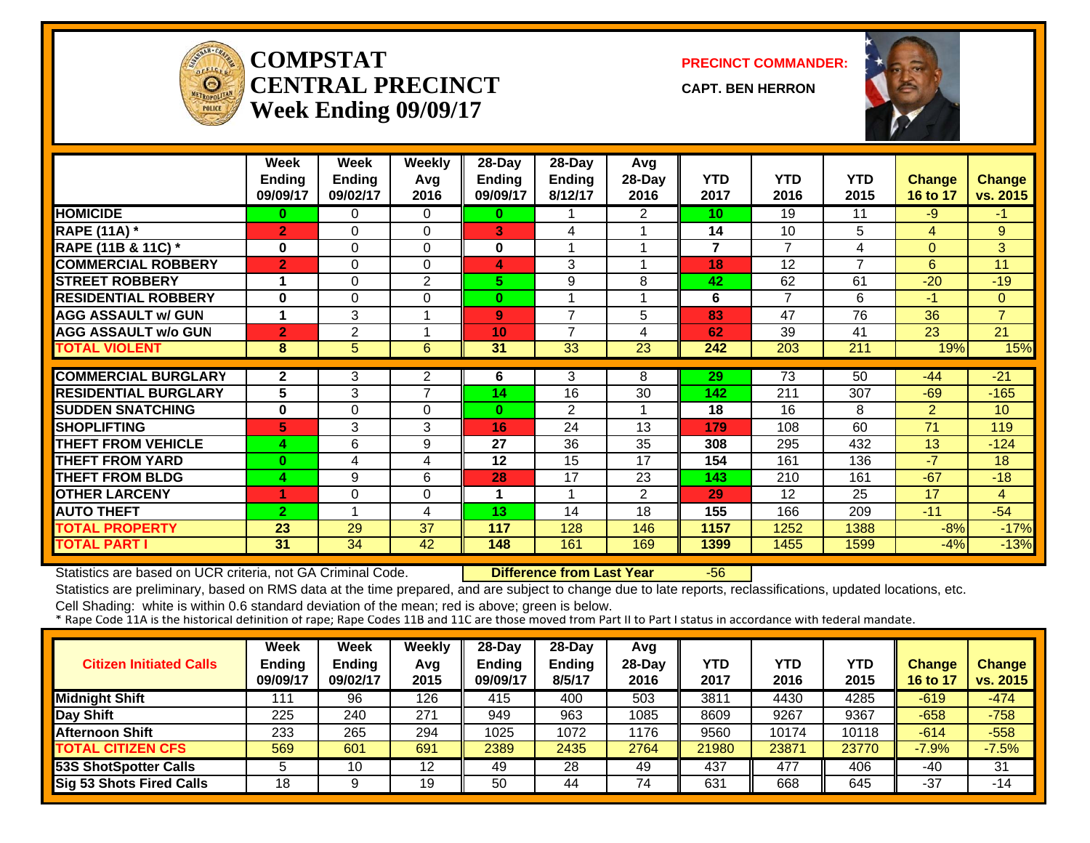

#### **COMPSTATCENTRAL PRECINCTWeek Ending 09/09/17**

**PRECINCT COMMANDER:**

**CAPT. BEN HERRON**



|                             | Week<br><b>Ending</b><br>09/09/17 | Week<br><b>Ending</b><br>09/02/17 | <b>Weekly</b><br>Avg<br>2016 | 28-Day<br><b>Ending</b><br>09/09/17 | 28-Day<br><b>Ending</b><br>8/12/17 | Avg<br>28-Day<br>2016 | YTD<br>2017             | <b>YTD</b><br>2016 | <b>YTD</b><br>2015 | <b>Change</b><br>16 to 17 | <b>Change</b><br>vs. 2015 |
|-----------------------------|-----------------------------------|-----------------------------------|------------------------------|-------------------------------------|------------------------------------|-----------------------|-------------------------|--------------------|--------------------|---------------------------|---------------------------|
| <b>HOMICIDE</b>             | 0                                 | 0                                 | $\Omega$                     | 0                                   |                                    | $\overline{2}$        | 10                      | 19                 | 11                 | -9                        | $-1$                      |
| <b>RAPE (11A) *</b>         | $\overline{2}$                    | 0                                 | $\mathbf 0$                  | 3                                   | 4                                  |                       | 14                      | 10                 | 5                  | 4                         | 9                         |
| RAPE (11B & 11C) *          | 0                                 | 0                                 | 0                            | $\mathbf 0$                         |                                    |                       | $\overline{\mathbf{r}}$ | $\overline{ }$     | 4                  | $\Omega$                  | 3                         |
| <b>COMMERCIAL ROBBERY</b>   | $\overline{2}$                    | 0                                 | $\Omega$                     | 4                                   | 3                                  |                       | 18                      | 12                 | $\overline{7}$     | 6                         | 11                        |
| <b>STREET ROBBERY</b>       | 1                                 | 0                                 | 2                            | 5.                                  | 9                                  | 8                     | 42                      | 62                 | 61                 | $-20$                     | $-19$                     |
| <b>RESIDENTIAL ROBBERY</b>  | $\bf{0}$                          | 0                                 | $\Omega$                     | $\bf{0}$                            |                                    |                       | 6                       | 7                  | 6                  | $-1$                      | $\overline{0}$            |
| <b>AGG ASSAULT w/ GUN</b>   | 1                                 | 3                                 |                              | 9                                   | $\overline{7}$                     | 5                     | 83                      | 47                 | 76                 | 36                        | $\overline{7}$            |
| <b>AGG ASSAULT w/o GUN</b>  | $\overline{2}$                    | $\overline{2}$                    |                              | 10                                  | $\overline{7}$                     | 4                     | 62                      | 39                 | 41                 | 23                        | 21                        |
| <b>TOTAL VIOLENT</b>        | 8                                 | 5                                 | 6                            | 31                                  | 33                                 | 23                    | 242                     | 203                | 211                | 19%                       | 15%                       |
|                             |                                   |                                   |                              |                                     |                                    |                       |                         |                    |                    |                           |                           |
| <b>COMMERCIAL BURGLARY</b>  | $\mathbf{2}$                      | 3                                 | 2<br>7                       | 6                                   | 3                                  | 8                     | 29                      | 73                 | 50                 | $-44$                     | $-21$                     |
| <b>RESIDENTIAL BURGLARY</b> | 5                                 | 3                                 |                              | 14                                  | 16                                 | 30                    | 142                     | 211                | 307                | $-69$                     | $-165$                    |
| <b>SUDDEN SNATCHING</b>     | $\bf{0}$                          | 0                                 | $\Omega$                     | $\mathbf{0}$                        | $\overline{2}$                     |                       | 18                      | 16                 | 8                  | $\overline{2}$            | 10                        |
| <b>SHOPLIFTING</b>          | 5                                 | 3                                 | 3                            | 16                                  | 24                                 | 13                    | 179                     | 108                | 60                 | 71                        | 119                       |
| <b>THEFT FROM VEHICLE</b>   | 4                                 | 6                                 | 9                            | 27                                  | 36                                 | 35                    | 308                     | 295                | 432                | 13                        | $-124$                    |
| <b>THEFT FROM YARD</b>      | $\bf{0}$                          | 4                                 | 4                            | 12                                  | 15                                 | 17                    | 154                     | 161                | 136                | $-7$                      | 18                        |
| <b>THEFT FROM BLDG</b>      | 4                                 | 9                                 | 6                            | 28                                  | 17                                 | 23                    | 143                     | 210                | 161                | $-67$                     | $-18$                     |
| <b>OTHER LARCENY</b>        |                                   | 0                                 | $\Omega$                     |                                     |                                    | $\overline{2}$        | 29                      | 12                 | 25                 | 17                        | $\overline{4}$            |
| <b>AUTO THEFT</b>           | $\overline{2}$                    |                                   | 4                            | 13                                  | 14                                 | 18                    | 155                     | 166                | 209                | $-11$                     | $-54$                     |
| <b>TOTAL PROPERTY</b>       | 23                                | 29                                | 37                           | 117                                 | 128                                | 146                   | 1157                    | 1252               | 1388               | $-8%$                     | $-17%$                    |
| <b>TOTAL PART I</b>         | 31                                | 34                                | 42                           | 148                                 | 161                                | 169                   | 1399                    | 1455               | 1599               | $-4%$                     | $-13%$                    |

Statistics are based on UCR criteria, not GA Criminal Code. **Difference from Last Year** -56

Statistics are preliminary, based on RMS data at the time prepared, and are subject to change due to late reports, reclassifications, updated locations, etc.

| <b>Citizen Initiated Calls</b>  | <b>Week</b><br>Ending<br>09/09/17 | Week<br><b>Ending</b><br>09/02/17 | Weekly<br>Avg<br>2015 | $28$ -Dav<br>Ending<br>09/09/17 | $28-Dav$<br><b>Ending</b><br>8/5/17 | Avg<br>$28-Day$<br>2016 | YTD<br>2017 | YTD<br>2016 | <b>YTD</b><br>2015 | Change<br>16 to 17 | <b>Change</b><br>vs. 2015 |
|---------------------------------|-----------------------------------|-----------------------------------|-----------------------|---------------------------------|-------------------------------------|-------------------------|-------------|-------------|--------------------|--------------------|---------------------------|
| <b>Midnight Shift</b>           | 111                               | 96                                | 126                   | 415                             | 400                                 | 503                     | 3811        | 4430        | 4285               | $-619$             | $-474$                    |
| Day Shift                       | 225                               | 240                               | 271                   | 949                             | 963                                 | 1085                    | 8609        | 9267        | 9367               | $-658$             | $-758$                    |
| <b>Afternoon Shift</b>          | 233                               | 265                               | 294                   | 1025                            | 1072                                | 1176                    | 9560        | 10174       | 10118              | $-614$             | $-558$                    |
| <b>TOTAL CITIZEN CFS</b>        | 569                               | 601                               | 691                   | 2389                            | 2435                                | 2764                    | 21980       | 23871       | 23770              | $-7.9%$            | $-7.5%$                   |
| <b>53S ShotSpotter Calls</b>    |                                   | 10                                | 12                    | 49                              | 28                                  | 49                      | 437         | 477         | 406                | -40                | 31                        |
| <b>Sig 53 Shots Fired Calls</b> | 18                                |                                   | 19                    | 50                              | 44                                  | 74                      | 631         | 668         | 645                | $-37$              | $-14$                     |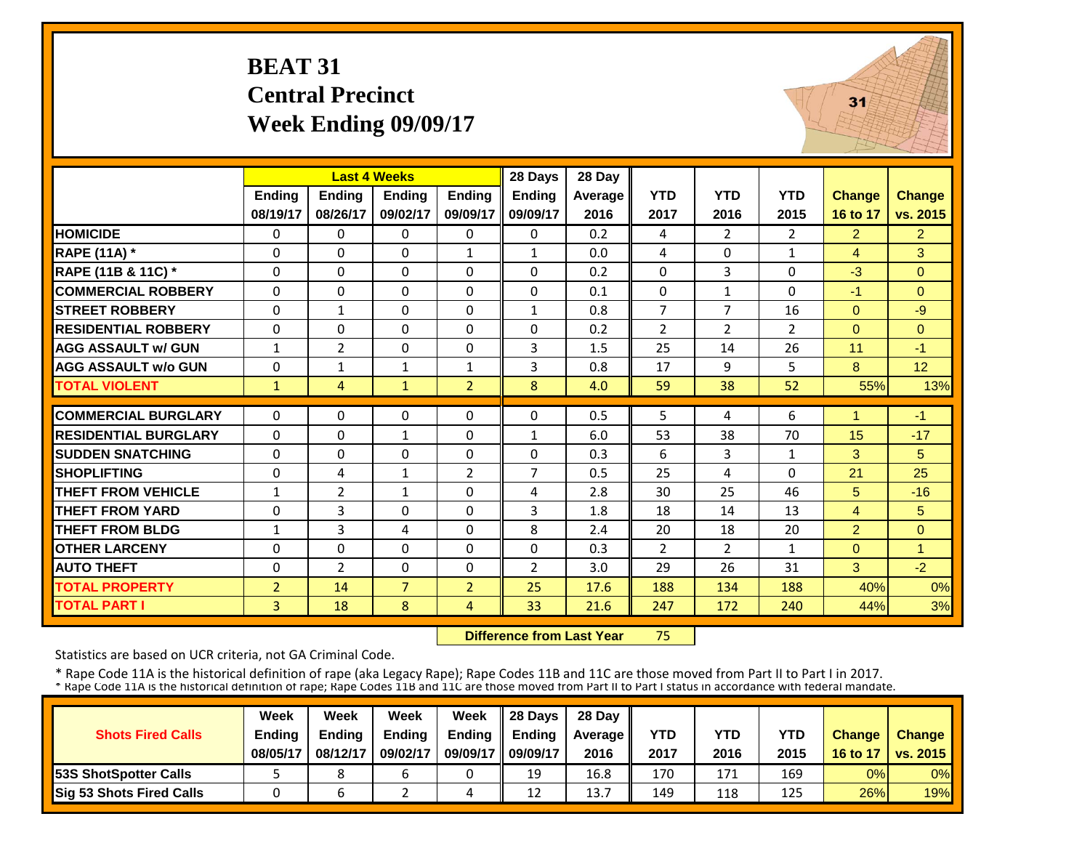# **BEAT 31 Central Precinct Week Ending 09/09/17**



|                             |                | <b>Last 4 Weeks</b> |                |                | 28 Days        | 28 Day  |                |                |                |                |                |
|-----------------------------|----------------|---------------------|----------------|----------------|----------------|---------|----------------|----------------|----------------|----------------|----------------|
|                             | <b>Ending</b>  | <b>Endina</b>       | <b>Endina</b>  | <b>Ending</b>  | <b>Ending</b>  | Average | <b>YTD</b>     | <b>YTD</b>     | <b>YTD</b>     | <b>Change</b>  | <b>Change</b>  |
|                             | 08/19/17       | 08/26/17            | 09/02/17       | 09/09/17       | 09/09/17       | 2016    | 2017           | 2016           | 2015           | 16 to 17       | vs. 2015       |
| <b>HOMICIDE</b>             | 0              | 0                   | 0              | $\Omega$       | $\Omega$       | 0.2     | 4              | 2              | $\overline{2}$ | $\overline{2}$ | $\overline{2}$ |
| <b>RAPE (11A)</b> *         | $\Omega$       | $\Omega$            | $\Omega$       | $\mathbf{1}$   | $\mathbf{1}$   | 0.0     | 4              | $\Omega$       | $\mathbf{1}$   | $\overline{4}$ | 3              |
| RAPE (11B & 11C) *          | $\Omega$       | $\Omega$            | $\Omega$       | $\Omega$       | $\Omega$       | 0.2     | $\Omega$       | 3              | $\Omega$       | $-3$           | $\Omega$       |
| <b>COMMERCIAL ROBBERY</b>   | $\Omega$       | $\Omega$            | $\Omega$       | $\Omega$       | $\Omega$       | 0.1     | 0              | $\mathbf{1}$   | $\Omega$       | $-1$           | $\Omega$       |
| <b>STREET ROBBERY</b>       | $\Omega$       | $\mathbf{1}$        | $\Omega$       | $\Omega$       | $\mathbf{1}$   | 0.8     | $\overline{7}$ | $\overline{7}$ | 16             | $\overline{0}$ | $-9$           |
| <b>RESIDENTIAL ROBBERY</b>  | $\Omega$       | $\Omega$            | $\Omega$       | $\Omega$       | $\Omega$       | 0.2     | $\overline{2}$ | $\overline{2}$ | $\overline{2}$ | $\Omega$       | $\Omega$       |
| <b>AGG ASSAULT w/ GUN</b>   | $\mathbf{1}$   | $\overline{2}$      | $\Omega$       | $\Omega$       | 3              | 1.5     | 25             | 14             | 26             | 11             | $-1$           |
| <b>AGG ASSAULT w/o GUN</b>  | $\Omega$       | $\mathbf{1}$        | $\mathbf{1}$   | $\mathbf{1}$   | 3              | 0.8     | 17             | 9              | 5              | 8              | 12             |
| <b>TOTAL VIOLENT</b>        | $\mathbf{1}$   | $\overline{4}$      | $\mathbf{1}$   | $\overline{2}$ | 8              | 4.0     | 59             | 38             | 52             | 55%            | 13%            |
| <b>COMMERCIAL BURGLARY</b>  | $\Omega$       | $\Omega$            | $\Omega$       | $\Omega$       | $\Omega$       | 0.5     | 5              | 4              | 6              | 1              | $-1$           |
|                             |                |                     |                |                |                |         |                |                |                |                |                |
| <b>RESIDENTIAL BURGLARY</b> | $\Omega$       | $\Omega$            | $\mathbf{1}$   | $\Omega$       | $\mathbf{1}$   | 6.0     | 53             | 38             | 70             | 15             | $-17$          |
| <b>SUDDEN SNATCHING</b>     | $\Omega$       | $\Omega$            | $\Omega$       | $\Omega$       | $\Omega$       | 0.3     | 6              | 3              | 1              | 3              | 5              |
| <b>SHOPLIFTING</b>          | $\Omega$       | 4                   | $\mathbf{1}$   | $\overline{2}$ | 7              | 0.5     | 25             | 4              | $\Omega$       | 21             | 25             |
| <b>THEFT FROM VEHICLE</b>   | $\mathbf{1}$   | $\overline{2}$      | $\mathbf{1}$   | $\Omega$       | 4              | 2.8     | 30             | 25             | 46             | 5              | $-16$          |
| <b>THEFT FROM YARD</b>      | $\Omega$       | 3                   | $\Omega$       | $\Omega$       | 3              | 1.8     | 18             | 14             | 13             | $\overline{4}$ | 5              |
| <b>THEFT FROM BLDG</b>      | 1              | 3                   | 4              | $\Omega$       | 8              | 2.4     | 20             | 18             | 20             | $\overline{2}$ | $\mathbf{0}$   |
| <b>OTHER LARCENY</b>        | $\Omega$       | $\Omega$            | $\Omega$       | $\Omega$       | $\Omega$       | 0.3     | 2              | $\overline{2}$ | $\mathbf{1}$   | $\Omega$       | $\mathbf{1}$   |
| <b>AUTO THEFT</b>           | $\Omega$       | $\overline{2}$      | $\Omega$       | $\Omega$       | $\overline{2}$ | 3.0     | 29             | 26             | 31             | 3              | $-2$           |
| <b>TOTAL PROPERTY</b>       | $\overline{2}$ | 14                  | $\overline{7}$ | $\overline{2}$ | 25             | 17.6    | 188            | 134            | 188            | 40%            | 0%             |
| <b>TOTAL PART I</b>         | 3              | 18                  | 8              | 4              | 33             | 21.6    | 247            | 172            | 240            | 44%            | 3%             |

 **Difference from Last Year**75

Statistics are based on UCR criteria, not GA Criminal Code.

|                               | Week          | Week          | Week          | Week          | 28 Davs       | 28 Day    |      |      |      |               |                     |
|-------------------------------|---------------|---------------|---------------|---------------|---------------|-----------|------|------|------|---------------|---------------------|
| <b>Shots Fired Calls</b>      | <b>Ending</b> | <b>Ending</b> | <b>Ending</b> | <b>Ending</b> | <b>Ending</b> | Average I | YTD  | YTD  | YTD  | <b>Change</b> | <b>Change</b>       |
|                               | 08/05/17      | 08/12/17      | 09/02/17      | 09/09/17      | 09/09/17      | 2016      | 2017 | 2016 | 2015 |               | 16 to 17   vs. 2015 |
| <b>153S ShotSpotter Calls</b> |               |               | ь             |               | 19            | 16.8      | 170  | 171  | 169  | 0%            | $0\%$               |
| Sig 53 Shots Fired Calls      |               |               |               | 4             | 12            | 13.7      | 149  | 118  | 125  | 26%           | 19%                 |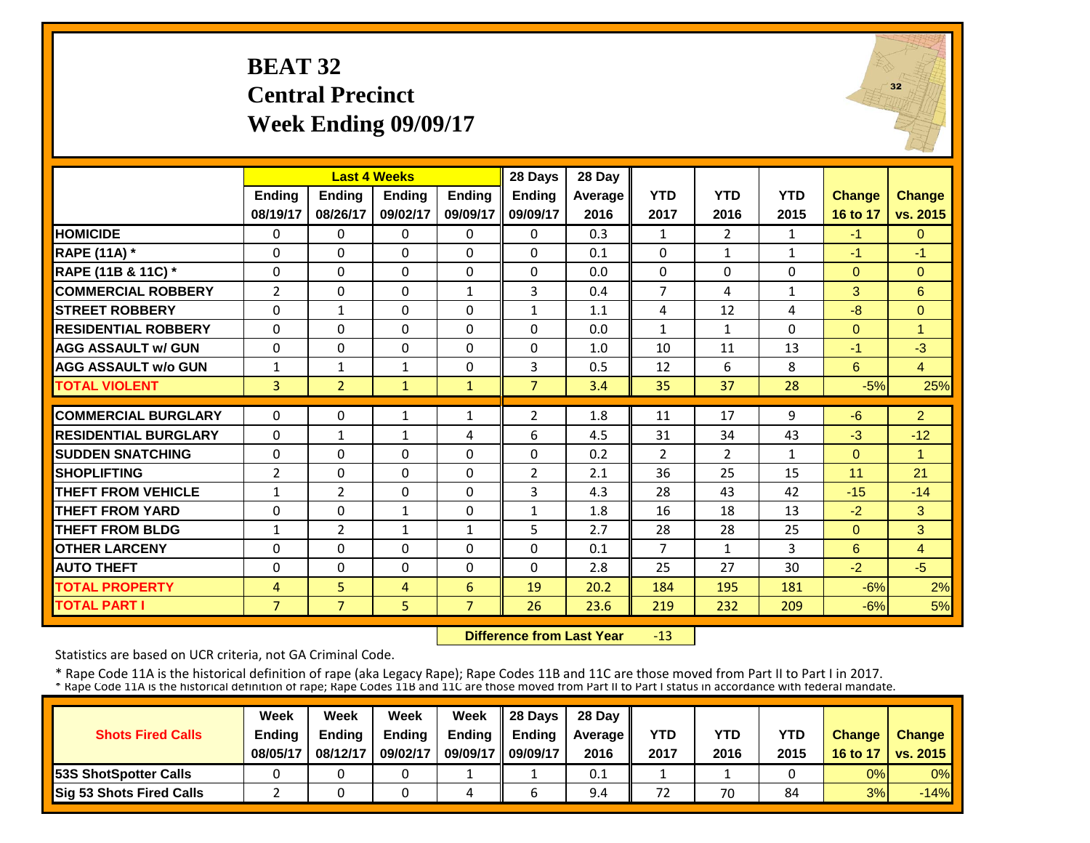# **BEAT 32 Central Precinct Week Ending 09/09/17**



|                             |                |                | <b>Last 4 Weeks</b> |                | 28 Days        | 28 Day  |                |                |              |               |                |
|-----------------------------|----------------|----------------|---------------------|----------------|----------------|---------|----------------|----------------|--------------|---------------|----------------|
|                             | <b>Endina</b>  | <b>Endina</b>  | <b>Endina</b>       | <b>Endina</b>  | <b>Ending</b>  | Average | <b>YTD</b>     | <b>YTD</b>     | <b>YTD</b>   | <b>Change</b> | <b>Change</b>  |
|                             | 08/19/17       | 08/26/17       | 09/02/17            | 09/09/17       | 09/09/17       | 2016    | 2017           | 2016           | 2015         | 16 to 17      | vs. 2015       |
| <b>HOMICIDE</b>             | $\Omega$       | $\Omega$       | $\mathbf{0}$        | $\Omega$       | 0              | 0.3     | $\mathbf{1}$   | $\overline{2}$ | $\mathbf{1}$ | $-1$          | $\Omega$       |
| <b>RAPE (11A)</b> *         | $\Omega$       | $\Omega$       | $\Omega$            | $\Omega$       | 0              | 0.1     | $\Omega$       | $\mathbf{1}$   | $\mathbf{1}$ | $-1$          | $-1$           |
| RAPE (11B & 11C) *          | 0              | $\Omega$       | $\Omega$            | $\Omega$       | $\Omega$       | 0.0     | 0              | $\Omega$       | 0            | $\Omega$      | $\Omega$       |
| <b>COMMERCIAL ROBBERY</b>   | $\overline{2}$ | $\Omega$       | $\Omega$            | $\mathbf{1}$   | 3              | 0.4     | $\overline{7}$ | 4              | $\mathbf{1}$ | 3             | $6\phantom{1}$ |
| <b>ISTREET ROBBERY</b>      | $\Omega$       | $\mathbf{1}$   | $\Omega$            | $\Omega$       | $\mathbf{1}$   | 1.1     | 4              | 12             | 4            | $-8$          | $\Omega$       |
| <b>RESIDENTIAL ROBBERY</b>  | $\Omega$       | $\Omega$       | $\Omega$            | $\Omega$       | $\Omega$       | 0.0     | $\mathbf{1}$   | $\mathbf{1}$   | 0            | $\Omega$      | 1              |
| <b>AGG ASSAULT w/ GUN</b>   | 0              | $\Omega$       | $\Omega$            | $\Omega$       | $\Omega$       | 1.0     | 10             | 11             | 13           | $-1$          | $-3$           |
| <b>AGG ASSAULT w/o GUN</b>  | 1              | $\mathbf{1}$   | 1                   | $\Omega$       | 3              | 0.5     | 12             | 6              | 8            | 6             | $\overline{4}$ |
| <b>TOTAL VIOLENT</b>        | 3              | $\overline{2}$ | $\mathbf{1}$        | $\mathbf{1}$   | $\overline{7}$ | 3.4     | 35             | 37             | 28           | $-5%$         | 25%            |
|                             |                |                |                     |                |                |         |                |                |              |               |                |
| <b>COMMERCIAL BURGLARY</b>  | $\Omega$       | $\Omega$       | 1                   | 1              | 2              | 1.8     | 11             | 17             | 9            | $-6$          | $\overline{2}$ |
| <b>RESIDENTIAL BURGLARY</b> | $\Omega$       | $\mathbf{1}$   | $\mathbf{1}$        | 4              | 6              | 4.5     | 31             | 34             | 43           | $-3$          | $-12$          |
| <b>SUDDEN SNATCHING</b>     | $\Omega$       | $\Omega$       | $\Omega$            | $\Omega$       | $\Omega$       | 0.2     | $\overline{2}$ | $\overline{2}$ | $\mathbf{1}$ | $\Omega$      | 1              |
| <b>SHOPLIFTING</b>          | $\overline{2}$ | $\Omega$       | $\Omega$            | $\Omega$       | 2              | 2.1     | 36             | 25             | 15           | 11            | 21             |
| <b>THEFT FROM VEHICLE</b>   | 1              | $\overline{2}$ | $\Omega$            | $\Omega$       | 3              | 4.3     | 28             | 43             | 42           | $-15$         | $-14$          |
| <b>THEFT FROM YARD</b>      | $\Omega$       | $\Omega$       | $\mathbf{1}$        | $\Omega$       | $\mathbf{1}$   | 1.8     | 16             | 18             | 13           | $-2$          | 3              |
| <b>THEFT FROM BLDG</b>      | 1              | $\overline{2}$ | $\mathbf{1}$        | 1              | 5              | 2.7     | 28             | 28             | 25           | $\Omega$      | 3              |
| <b>OTHER LARCENY</b>        | $\Omega$       | $\Omega$       | $\Omega$            | $\Omega$       | $\Omega$       | 0.1     | $\overline{7}$ | $\mathbf{1}$   | 3            | 6             | $\overline{4}$ |
| <b>AUTO THEFT</b>           | $\Omega$       | $\Omega$       | $\Omega$            | 0              | $\Omega$       | 2.8     | 25             | 27             | 30           | $-2$          | $-5$           |
| <b>TOTAL PROPERTY</b>       | $\overline{4}$ | 5              | 4                   | 6              | 19             | 20.2    | 184            | 195            | 181          | $-6%$         | 2%             |
| <b>TOTAL PART I</b>         | $\overline{7}$ | $\overline{7}$ | 5                   | $\overline{7}$ | 26             | 23.6    | 219            | 232            | 209          | $-6%$         | 5%             |

 **Difference from Last Year**‐13

Statistics are based on UCR criteria, not GA Criminal Code.

|                                 | Week          | Week          | Week     | Week          | 28 Davs       | 28 Day    |      |      |      |               |                     |
|---------------------------------|---------------|---------------|----------|---------------|---------------|-----------|------|------|------|---------------|---------------------|
| <b>Shots Fired Calls</b>        | <b>Endina</b> | <b>Endina</b> | Ending   | <b>Ending</b> | <b>Endina</b> | Average I | YTD  | YTD  | YTD  | <b>Change</b> | <b>Change</b>       |
|                                 | 08/05/17      | 08/12/17      | 09/02/17 | 09/09/17      | 09/09/17      | 2016      | 2017 | 2016 | 2015 |               | 16 to 17   vs. 2015 |
| <b>153S ShotSpotter Calls</b>   |               |               |          |               |               | 0.1       |      |      |      | 0%            | $0\%$               |
| <b>Sig 53 Shots Fired Calls</b> |               |               |          | 4             |               | 9.4       | 72   | 70   | 84   | 3%            | $-14%$              |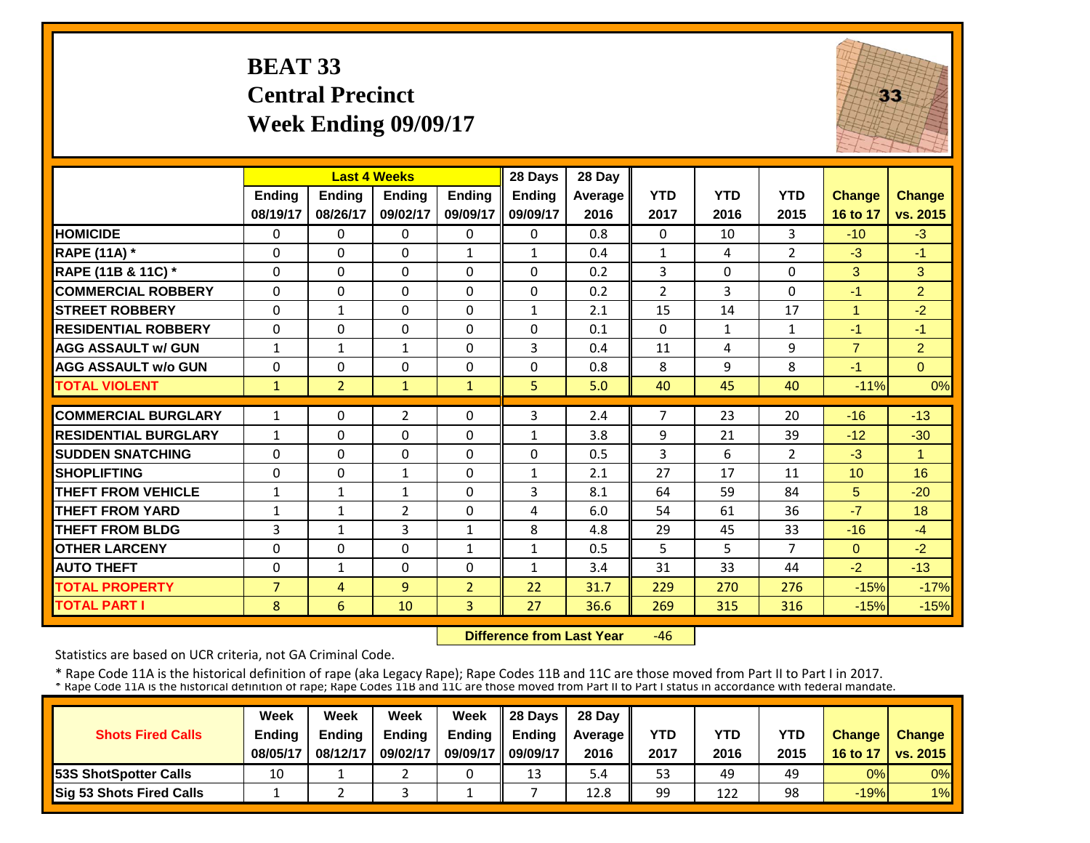# **BEAT 33 Central Precinct Week Ending 09/09/17**



|                             |                |                | <b>Last 4 Weeks</b> |                | 28 Days       | 28 Day  |                |              |                |                |                |
|-----------------------------|----------------|----------------|---------------------|----------------|---------------|---------|----------------|--------------|----------------|----------------|----------------|
|                             | Ending         | Ending         | Ending              | <b>Ending</b>  | <b>Ending</b> | Average | <b>YTD</b>     | <b>YTD</b>   | <b>YTD</b>     | <b>Change</b>  | Change         |
|                             | 08/19/17       | 08/26/17       | 09/02/17            | 09/09/17       | 09/09/17      | 2016    | 2017           | 2016         | 2015           | 16 to 17       | vs. 2015       |
| <b>HOMICIDE</b>             | $\Omega$       | $\Omega$       | $\Omega$            | 0              | $\Omega$      | 0.8     | $\Omega$       | 10           | 3              | $-10$          | $-3$           |
| <b>RAPE (11A)</b> *         | $\Omega$       | $\Omega$       | $\Omega$            | $\mathbf{1}$   | $\mathbf{1}$  | 0.4     | $\mathbf{1}$   | 4            | $\overline{2}$ | $-3$           | $-1$           |
| RAPE (11B & 11C) *          | 0              | $\Omega$       | $\Omega$            | 0              | 0             | 0.2     | 3              | $\Omega$     | 0              | 3              | 3              |
| <b>COMMERCIAL ROBBERY</b>   | $\Omega$       | $\Omega$       | $\Omega$            | 0              | 0             | 0.2     | $\overline{2}$ | 3            | 0              | $-1$           | $\overline{2}$ |
| <b>STREET ROBBERY</b>       | $\Omega$       | $\mathbf{1}$   | $\Omega$            | $\Omega$       | $\mathbf{1}$  | 2.1     | 15             | 14           | 17             | 1              | $-2$           |
| <b>RESIDENTIAL ROBBERY</b>  | $\Omega$       | $\Omega$       | $\Omega$            | $\Omega$       | 0             | 0.1     | $\Omega$       | $\mathbf{1}$ | $\mathbf{1}$   | $-1$           | $-1$           |
| <b>AGG ASSAULT w/ GUN</b>   | $\mathbf{1}$   | $\mathbf{1}$   | $\mathbf{1}$        | $\Omega$       | 3             | 0.4     | 11             | 4            | 9              | $\overline{7}$ | $\overline{2}$ |
| <b>AGG ASSAULT w/o GUN</b>  | $\Omega$       | $\Omega$       | $\Omega$            | 0              | 0             | 0.8     | 8              | 9            | 8              | -1             | $\Omega$       |
| <b>TOTAL VIOLENT</b>        | $\mathbf{1}$   | $\overline{2}$ | $\mathbf{1}$        | $\mathbf{1}$   | 5             | 5.0     | 40             | 45           | 40             | $-11%$         | 0%             |
| <b>COMMERCIAL BURGLARY</b>  | 1              | $\Omega$       | $\overline{2}$      | 0              | 3             | 2.4     | $\overline{7}$ | 23           | 20             | $-16$          | $-13$          |
| <b>RESIDENTIAL BURGLARY</b> | $\mathbf{1}$   | $\Omega$       | $\Omega$            | $\Omega$       | 1             | 3.8     | 9              | 21           | 39             | $-12$          | $-30$          |
| <b>SUDDEN SNATCHING</b>     | 0              | $\Omega$       | $\Omega$            | $\Omega$       | 0             | 0.5     | 3              | 6.           | $\overline{2}$ | $-3$           | 1              |
| <b>SHOPLIFTING</b>          | $\Omega$       | $\Omega$       | 1                   | $\Omega$       | $\mathbf{1}$  | 2.1     | 27             | 17           | 11             | 10             | 16             |
| <b>THEFT FROM VEHICLE</b>   | 1              | $\mathbf{1}$   | 1                   | $\Omega$       | 3             | 8.1     | 64             | 59           | 84             | 5              | $-20$          |
| <b>THEFT FROM YARD</b>      | $\mathbf{1}$   | $\mathbf{1}$   | $\overline{2}$      | 0              | 4             | 6.0     | 54             | 61           | 36             | $-7$           | 18             |
| <b>THEFT FROM BLDG</b>      | 3              | $\mathbf{1}$   | 3                   | $\mathbf{1}$   | 8             | 4.8     | 29             | 45           | 33             | $-16$          | $-4$           |
| <b>OTHER LARCENY</b>        | $\Omega$       | $\Omega$       | $\Omega$            | $\mathbf{1}$   | $\mathbf{1}$  | 0.5     | 5              | 5.           | $\overline{7}$ | $\mathbf{0}$   | $-2$           |
| <b>AUTO THEFT</b>           | 0              | $\mathbf{1}$   | $\Omega$            | 0              | $\mathbf{1}$  | 3.4     | 31             | 33           | 44             | $-2$           | $-13$          |
| <b>TOTAL PROPERTY</b>       | $\overline{7}$ | 4              | 9                   | $\overline{2}$ | 22            | 31.7    | 229            | 270          | 276            | $-15%$         | $-17%$         |
| <b>TOTAL PART I</b>         | 8              | 6              | 10                  | 3              | 27            | 36.6    | 269            | 315          | 316            | $-15%$         | $-15%$         |

 **Difference from Last Year** $-46$ 

Statistics are based on UCR criteria, not GA Criminal Code.

|                                 | Week     | Week     | Week          | Week          | 28 Davs       | 28 Day         |      |      |            |               |                          |
|---------------------------------|----------|----------|---------------|---------------|---------------|----------------|------|------|------------|---------------|--------------------------|
| <b>Shots Fired Calls</b>        | Ending   | Endina   | <b>Ending</b> | <b>Ending</b> | <b>Endina</b> | <b>Average</b> | YTD  | YTD  | <b>YTD</b> | <b>Change</b> | <b>Change</b>            |
|                                 | 08/05/17 | 08/12/17 | 09/02/17      | 09/09/17      | 09/09/17      | 2016           | 2017 | 2016 | 2015       | 16 to 17      | $\vert$ vs. 2015 $\vert$ |
| <b>153S ShotSpotter Calls</b>   | 10       |          |               |               | 13            | 5.4            | 53   | 49   | 49         | 0%            | $0\%$                    |
| <b>Sig 53 Shots Fired Calls</b> |          |          |               |               |               | 12.8           | 99   | 122  | 98         | $-19%$        | $1\%$                    |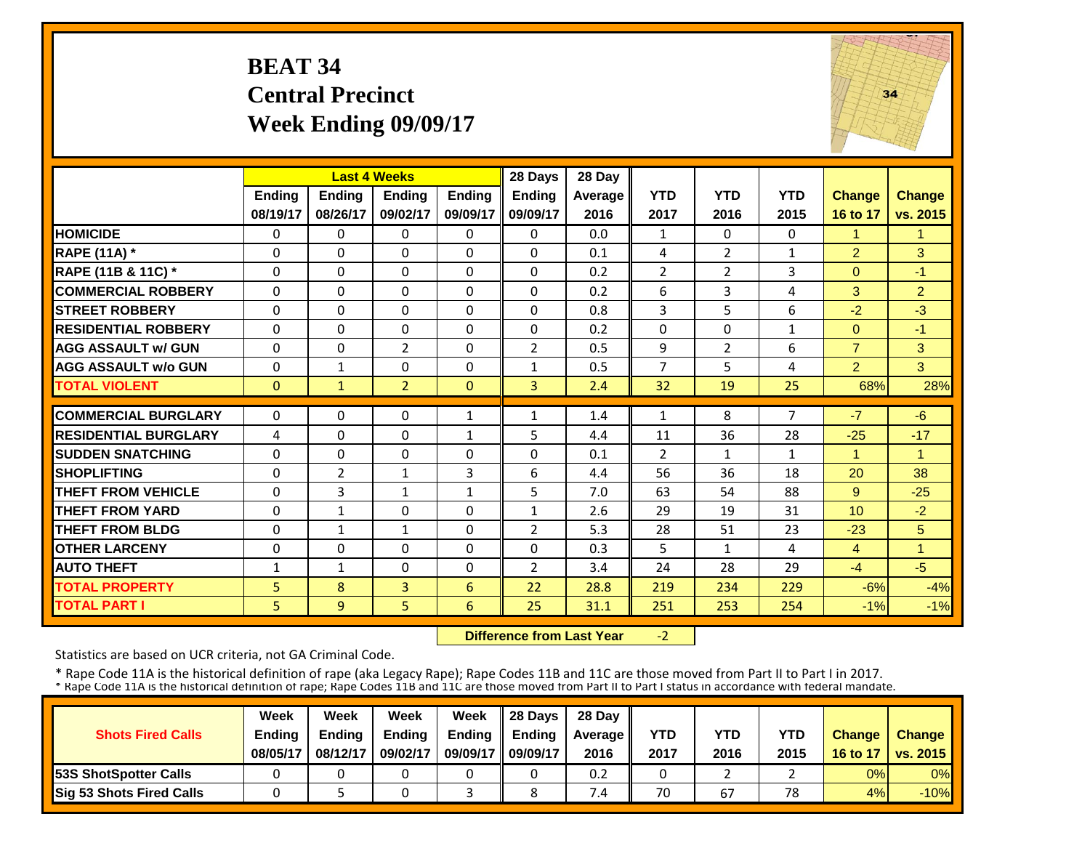# **BEAT 34 Central Precinct Week Ending 09/09/17**



|                             |               |                | <b>Last 4 Weeks</b> |               | 28 Days        | 28 Day  |                |                |              |                |                |
|-----------------------------|---------------|----------------|---------------------|---------------|----------------|---------|----------------|----------------|--------------|----------------|----------------|
|                             | <b>Ending</b> | <b>Ending</b>  | <b>Endina</b>       | <b>Endina</b> | <b>Ending</b>  | Average | <b>YTD</b>     | <b>YTD</b>     | <b>YTD</b>   | <b>Change</b>  | <b>Change</b>  |
|                             | 08/19/17      | 08/26/17       | 09/02/17            | 09/09/17      | 09/09/17       | 2016    | 2017           | 2016           | 2015         | 16 to 17       | vs. 2015       |
| <b>HOMICIDE</b>             | $\Omega$      | $\Omega$       | $\Omega$            | $\Omega$      | $\Omega$       | 0.0     | 1              | $\Omega$       | 0            |                | 1              |
| <b>RAPE (11A)</b> *         | $\Omega$      | $\Omega$       | $\Omega$            | $\Omega$      | $\Omega$       | 0.1     | 4              | $\overline{2}$ | 1            | $\overline{2}$ | 3              |
| RAPE (11B & 11C) *          | $\Omega$      | $\Omega$       | $\Omega$            | $\Omega$      | $\Omega$       | 0.2     | $\overline{2}$ | $\overline{2}$ | 3            | $\Omega$       | $-1$           |
| <b>COMMERCIAL ROBBERY</b>   | $\Omega$      | $\Omega$       | $\Omega$            | $\Omega$      | $\Omega$       | 0.2     | 6              | 3              | 4            | 3              | $\overline{2}$ |
| <b>ISTREET ROBBERY</b>      | $\Omega$      | $\Omega$       | $\Omega$            | $\Omega$      | $\Omega$       | 0.8     | $\overline{3}$ | 5              | 6            | $-2$           | $-3$           |
| <b>RESIDENTIAL ROBBERY</b>  | $\Omega$      | $\Omega$       | $\Omega$            | $\Omega$      | $\Omega$       | 0.2     | $\Omega$       | $\Omega$       | 1            | $\Omega$       | $-1$           |
| <b>AGG ASSAULT w/ GUN</b>   | $\Omega$      | $\Omega$       | $\overline{2}$      | $\Omega$      | 2              | 0.5     | 9              | 2              | 6            | $\overline{7}$ | 3              |
| <b>AGG ASSAULT w/o GUN</b>  | 0             | $\mathbf{1}$   | $\Omega$            | $\Omega$      | $\mathbf{1}$   | 0.5     | $\overline{7}$ | 5              | 4            | $\overline{2}$ | 3              |
| <b>TOTAL VIOLENT</b>        | $\mathbf{0}$  | $\mathbf{1}$   | $\overline{2}$      | $\mathbf{0}$  | $\overline{3}$ | 2.4     | 32             | 19             | 25           | 68%            | 28%            |
| <b>COMMERCIAL BURGLARY</b>  | $\Omega$      | $\Omega$       | $\Omega$            | $\mathbf{1}$  | $\mathbf{1}$   | 1.4     | 1              | 8              | 7            | $-7$           | $-6$           |
| <b>RESIDENTIAL BURGLARY</b> | 4             | $\Omega$       | $\Omega$            | $\mathbf{1}$  | 5              | 4.4     | 11             | 36             | 28           | $-25$          | $-17$          |
| <b>SUDDEN SNATCHING</b>     | $\Omega$      | $\Omega$       | $\Omega$            | $\Omega$      | $\Omega$       | 0.1     | $\overline{2}$ | 1              | $\mathbf{1}$ | 1              | 1              |
| <b>SHOPLIFTING</b>          | $\mathbf 0$   | $\overline{2}$ | $\mathbf{1}$        | 3             | 6              | 4.4     | 56             | 36             | 18           | 20             | 38             |
| THEFT FROM VEHICLE          | 0             | 3              | 1                   | 1             | 5              | 7.0     | 63             | 54             | 88           | 9              | $-25$          |
| <b>THEFT FROM YARD</b>      | 0             | $\mathbf{1}$   | 0                   | 0             | $\mathbf{1}$   | 2.6     | 29             | 19             | 31           | 10             | $-2$           |
| <b>THEFT FROM BLDG</b>      | 0             | $\mathbf{1}$   | $\mathbf{1}$        | 0             | $\overline{2}$ | 5.3     | 28             | 51             | 23           | $-23$          | 5              |
| <b>OTHER LARCENY</b>        | $\Omega$      | $\Omega$       | $\Omega$            | $\Omega$      | $\Omega$       | 0.3     | 5              | 1              | 4            | 4              | 1              |
| <b>AUTO THEFT</b>           | $\mathbf{1}$  | $\mathbf{1}$   | $\Omega$            | $\Omega$      | $\overline{2}$ | 3.4     | 24             | 28             | 29           | $-4$           | $-5$           |
| <b>TOTAL PROPERTY</b>       | 5             | 8              | 3                   | 6             | 22             | 28.8    | 219            | 234            | 229          | $-6%$          | $-4%$          |
| <b>TOTAL PART I</b>         | 5             | 9              | 5                   | 6             | 25             | 31.1    | 251            | 253            | 254          | $-1%$          | $-1%$          |

 **Difference from Last Year** $-2$ 

Statistics are based on UCR criteria, not GA Criminal Code.

|                               | Week          | Week          | Week          | Week          | $\parallel$ 28 Davs | 28 Day    |      |      |      |               |                     |
|-------------------------------|---------------|---------------|---------------|---------------|---------------------|-----------|------|------|------|---------------|---------------------|
| <b>Shots Fired Calls</b>      | <b>Ending</b> | <b>Ending</b> | <b>Ending</b> | <b>Ending</b> | <b>Ending</b>       | Average I | YTD  | YTD  | YTD  | <b>Change</b> | <b>Change</b>       |
|                               | 08/05/17      | 08/12/17      | 09/02/17      | 09/09/17      | 09/09/17            | 2016      | 2017 | 2016 | 2015 |               | 16 to 17   vs. 2015 |
| <b>153S ShotSpotter Calls</b> |               |               |               |               |                     | 0.2       |      |      |      | 0%            | $0\%$               |
| Sig 53 Shots Fired Calls      |               |               |               |               |                     | 7.4       | 70   | 67   | 78   | 4%            | $-10%$              |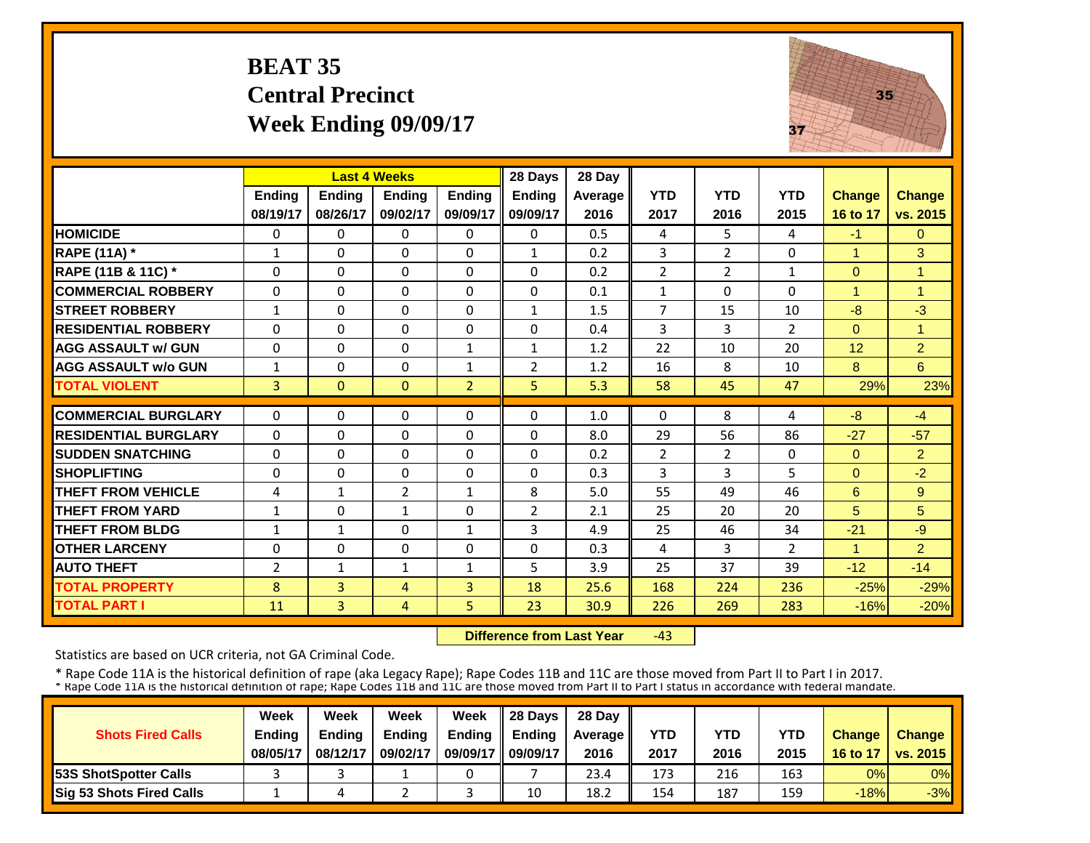# **BEAT 35 Central Precinct Week Ending 09/09/17**



|                             |                | <b>Last 4 Weeks</b> |               |                | 28 Days        | 28 Day  |                |                |                |               |                |
|-----------------------------|----------------|---------------------|---------------|----------------|----------------|---------|----------------|----------------|----------------|---------------|----------------|
|                             | Ending         | <b>Ending</b>       | <b>Ending</b> | <b>Endina</b>  | <b>Endina</b>  | Average | <b>YTD</b>     | <b>YTD</b>     | <b>YTD</b>     | <b>Change</b> | <b>Change</b>  |
|                             | 08/19/17       | 08/26/17            | 09/02/17      | 09/09/17       | 09/09/17       | 2016    | 2017           | 2016           | 2015           | 16 to 17      | vs. 2015       |
| <b>HOMICIDE</b>             | $\Omega$       | 0                   | $\mathbf 0$   | $\Omega$       | 0              | 0.5     | 4              | 5              | 4              | $-1$          | $\overline{0}$ |
| <b>RAPE (11A) *</b>         | $\mathbf{1}$   | $\Omega$            | $\Omega$      | $\Omega$       | $\mathbf{1}$   | 0.2     | 3              | 2              | 0              | 1             | 3              |
| RAPE (11B & 11C) *          | $\Omega$       | $\Omega$            | $\Omega$      | $\Omega$       | $\Omega$       | 0.2     | $\overline{2}$ | $\overline{2}$ | $\mathbf{1}$   | $\Omega$      | $\overline{1}$ |
| <b>COMMERCIAL ROBBERY</b>   | $\Omega$       | 0                   | $\Omega$      | $\Omega$       | $\Omega$       | 0.1     | $\mathbf{1}$   | $\Omega$       | 0              | 1             | 1              |
| <b>STREET ROBBERY</b>       | $\mathbf{1}$   | 0                   | 0             | $\Omega$       | $\mathbf{1}$   | 1.5     | $\overline{7}$ | 15             | 10             | $-8$          | $-3$           |
| <b>IRESIDENTIAL ROBBERY</b> | $\Omega$       | 0                   | $\Omega$      | $\Omega$       | 0              | 0.4     | 3              | 3              | $\overline{2}$ | $\Omega$      | 1              |
| <b>AGG ASSAULT w/ GUN</b>   | $\Omega$       | 0                   | $\Omega$      | $\mathbf{1}$   | $\mathbf{1}$   | 1.2     | 22             | 10             | 20             | 12            | $\overline{2}$ |
| <b>AGG ASSAULT w/o GUN</b>  | $\mathbf{1}$   | 0                   | $\Omega$      | $\mathbf{1}$   | $\overline{2}$ | 1.2     | 16             | 8              | 10             | 8             | 6              |
| <b>TOTAL VIOLENT</b>        | $\overline{3}$ | $\overline{0}$      | $\mathbf{0}$  | $\overline{2}$ | 5              | 5.3     | 58             | 45             | 47             | 29%           | 23%            |
| <b>COMMERCIAL BURGLARY</b>  | $\Omega$       | 0                   | 0             | $\Omega$       | $\Omega$       | 1.0     | $\Omega$       | 8              | 4              | $-8$          | $-4$           |
| <b>RESIDENTIAL BURGLARY</b> | $\Omega$       | $\Omega$            | $\Omega$      | $\Omega$       | $\Omega$       | 8.0     | 29             | 56             | 86             | $-27$         | $-57$          |
| <b>SUDDEN SNATCHING</b>     | $\Omega$       | 0                   | $\Omega$      | $\Omega$       | $\Omega$       | 0.2     | $\overline{2}$ | $\overline{2}$ | 0              | $\mathbf{0}$  | $\overline{2}$ |
| <b>SHOPLIFTING</b>          | $\Omega$       | 0                   | 0             | $\Omega$       | $\Omega$       | 0.3     | 3              | 3              | 5              | $\Omega$      | $-2$           |
| <b>THEFT FROM VEHICLE</b>   | 4              | $\mathbf{1}$        | 2             | 1              | 8              | 5.0     | 55             | 49             | 46             | 6             | 9              |
| <b>THEFT FROM YARD</b>      | $\mathbf{1}$   | 0                   | 1             | $\Omega$       | $\overline{2}$ | 2.1     | 25             | 20             | 20             | 5             | 5              |
| <b>THEFT FROM BLDG</b>      | $\mathbf{1}$   | $\mathbf{1}$        | $\Omega$      | $\mathbf{1}$   | 3              | 4.9     | 25             | 46             | 34             | $-21$         | $-9$           |
| <b>OTHER LARCENY</b>        | $\Omega$       | $\Omega$            | $\Omega$      | $\Omega$       | 0              | 0.3     | 4              | 3              | $\overline{2}$ | 1             | $\overline{2}$ |
| <b>AUTO THEFT</b>           | 2              | $\mathbf{1}$        | $\mathbf{1}$  | $\mathbf{1}$   | 5.             | 3.9     | 25             | 37             | 39             | $-12$         | $-14$          |
| <b>TOTAL PROPERTY</b>       | 8              | $\overline{3}$      | 4             | 3              | 18             | 25.6    | 168            | 224            | 236            | $-25%$        | $-29%$         |
| <b>TOTAL PART I</b>         | 11             | $\overline{3}$      | 4             | 5              | 23             | 30.9    | 226            | 269            | 283            | $-16%$        | $-20%$         |

 **Difference from Last Year**‐43

Statistics are based on UCR criteria, not GA Criminal Code.

|                               | Week          | Week          | Week          | Week          | 28 Davs       | 28 Day    |      |      |      |               |                     |
|-------------------------------|---------------|---------------|---------------|---------------|---------------|-----------|------|------|------|---------------|---------------------|
| <b>Shots Fired Calls</b>      | <b>Ending</b> | <b>Ending</b> | <b>Ending</b> | <b>Ending</b> | <b>Ending</b> | Average I | YTD  | YTD  | YTD  | <b>Change</b> | <b>Change</b>       |
|                               | 08/05/17      | 08/12/17      | 09/02/17      | 09/09/17      | 09/09/17      | 2016      | 2017 | 2016 | 2015 |               | 16 to 17   vs. 2015 |
| <b>153S ShotSpotter Calls</b> |               |               |               |               |               | 23.4      | 173  | 216  | 163  | 0%            | $0\%$               |
| Sig 53 Shots Fired Calls      |               |               |               |               | 10            | 18.2      | 154  | 187  | 159  | $-18%$        | $-3%$               |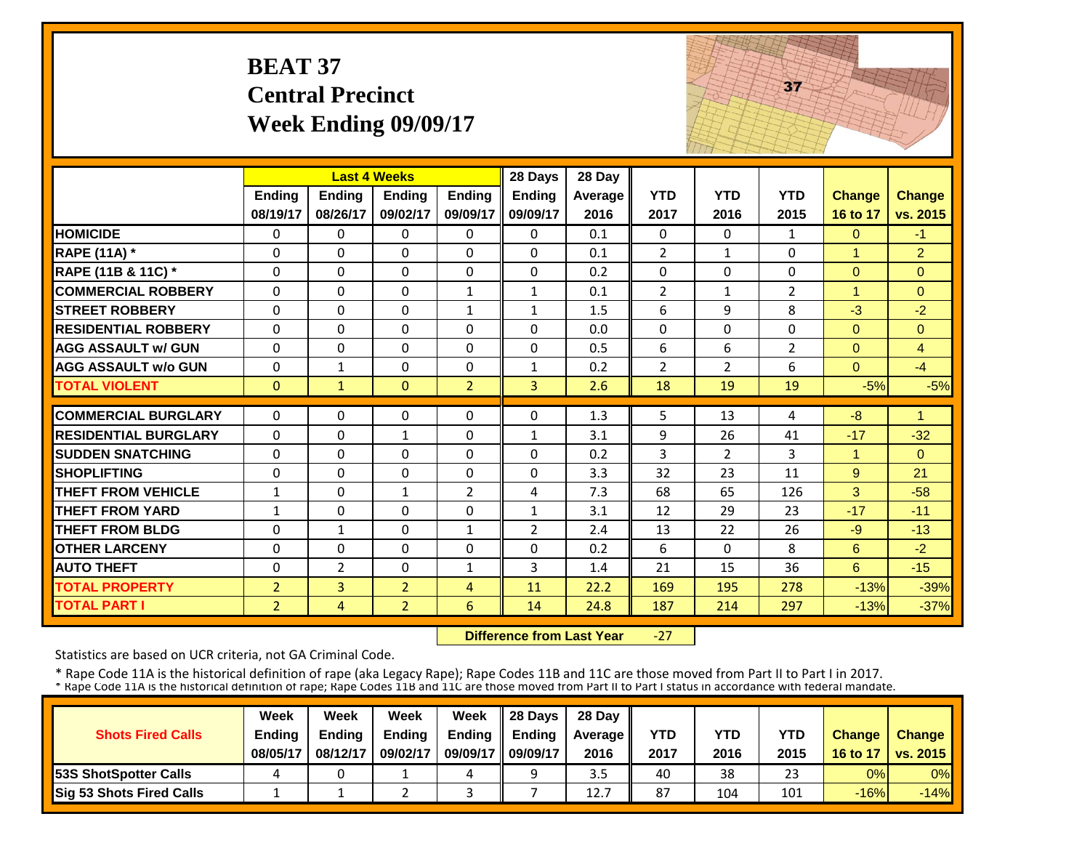|                             | <b>BEAT 37</b>            | <b>Central Precinct</b><br>Week Ending 09/09/17 |                           |                           |                    |                 |                    |                    | 37                 |                           |                           |
|-----------------------------|---------------------------|-------------------------------------------------|---------------------------|---------------------------|--------------------|-----------------|--------------------|--------------------|--------------------|---------------------------|---------------------------|
|                             |                           |                                                 | <b>Last 4 Weeks</b>       |                           | 28 Days            | 28 Day          |                    |                    |                    |                           |                           |
|                             | <b>Ending</b><br>08/19/17 | Ending<br>08/26/17                              | <b>Ending</b><br>09/02/17 | <b>Ending</b><br>09/09/17 | Ending<br>09/09/17 | Average<br>2016 | <b>YTD</b><br>2017 | <b>YTD</b><br>2016 | <b>YTD</b><br>2015 | <b>Change</b><br>16 to 17 | <b>Change</b><br>vs. 2015 |
| <b>HOMICIDE</b>             | 0                         | 0                                               | $\Omega$                  | 0                         | 0                  | 0.1             | 0                  | $\Omega$           | 1                  | $\Omega$                  | $-1$                      |
| <b>RAPE (11A) *</b>         | $\Omega$                  | $\Omega$                                        | $\Omega$                  | $\Omega$                  | $\Omega$           | 0.1             | $\overline{2}$     | $\mathbf{1}$       | $\Omega$           | 1                         | $\overline{2}$            |
| RAPE (11B & 11C) *          | $\Omega$                  | $\Omega$                                        | $\Omega$                  | $\Omega$                  | $\Omega$           | 0.2             | $\Omega$           | $\Omega$           | $\Omega$           | $\Omega$                  | $\Omega$                  |
| <b>COMMERCIAL ROBBERY</b>   | $\Omega$                  | 0                                               | $\Omega$                  | $\mathbf{1}$              | $\mathbf{1}$       | 0.1             | $\overline{2}$     | $\mathbf{1}$       | $\overline{2}$     | $\overline{1}$            | $\Omega$                  |
| <b>STREET ROBBERY</b>       | $\Omega$                  | $\Omega$                                        | $\Omega$                  | $\mathbf{1}$              | $\mathbf{1}$       | 1.5             | 6                  | 9                  | 8                  | $-3$                      | $-2$                      |
| <b>RESIDENTIAL ROBBERY</b>  | $\Omega$                  | 0                                               | $\Omega$                  | $\Omega$                  | $\Omega$           | 0.0             | $\Omega$           | $\Omega$           | $\Omega$           | $\Omega$                  | $\Omega$                  |
| <b>AGG ASSAULT w/ GUN</b>   | 0                         | 0                                               | 0                         | 0                         | $\Omega$           | 0.5             | 6                  | 6                  | $\overline{2}$     | $\overline{0}$            | $\overline{4}$            |
| <b>AGG ASSAULT w/o GUN</b>  | 0                         | $\mathbf{1}$                                    | $\mathbf 0$               | 0                         | $\mathbf{1}$       | 0.2             | $\overline{2}$     | $\overline{2}$     | 6                  | $\Omega$                  | $-4$                      |
| <b>TOTAL VIOLENT</b>        | $\Omega$                  | $\mathbf{1}$                                    | $\Omega$                  | $\overline{2}$            | $\overline{3}$     | 2.6             | 18                 | 19                 | 19                 | $-5%$                     | $-5%$                     |
| <b>COMMERCIAL BURGLARY</b>  | $\Omega$                  | $\Omega$                                        | $\Omega$                  | $\Omega$                  | $\Omega$           | 1.3             | 5                  | 13                 | 4                  | $-8$                      | $\mathbf{1}$              |
| <b>RESIDENTIAL BURGLARY</b> | $\Omega$                  | 0                                               | $\mathbf{1}$              | $\Omega$                  | $\mathbf{1}$       | 3.1             | 9                  | 26                 | 41                 | $-17$                     | $-32$                     |
| <b>SUDDEN SNATCHING</b>     | 0                         | 0                                               | $\mathbf 0$               | 0                         | 0                  | 0.2             | 3                  | $\overline{2}$     | 3                  | $\mathbf{1}$              | $\mathbf{0}$              |
| <b>SHOPLIFTING</b>          | 0                         | 0                                               | 0                         | 0                         | $\Omega$           | 3.3             | 32                 | 23                 | 11                 | 9                         | 21                        |
| <b>THEFT FROM VEHICLE</b>   | $\mathbf{1}$              | 0                                               | $\mathbf{1}$              | $\overline{2}$            | 4                  | 7.3             | 68                 | 65                 | 126                | 3                         | $-58$                     |
| <b>THEFT FROM YARD</b>      | $\mathbf{1}$              | 0                                               | $\Omega$                  | 0                         | $\mathbf{1}$       | 3.1             | 12                 | 29                 | 23                 | $-17$                     | $-11$                     |
| <b>THEFT FROM BLDG</b>      | 0                         | $\mathbf{1}$                                    | $\mathbf{0}$              | $\mathbf{1}$              | $\overline{2}$     | 2.4             | 13                 | 22                 | 26                 | $-9$                      | $-13$                     |
| <b>OTHER LARCENY</b>        | 0                         | 0                                               | 0                         | 0                         | $\Omega$           | 0.2             | 6                  | $\Omega$           | 8                  | 6                         | $-2$                      |
| <b>AUTO THEFT</b>           | $\Omega$                  | $\overline{2}$                                  | $\Omega$                  | $\mathbf{1}$              | 3                  | 1.4             | 21                 | 15                 | 36                 | 6                         | $-15$                     |
| <b>TOTAL PROPERTY</b>       | $\overline{2}$            | 3                                               | $\overline{2}$            | 4                         | 11                 | 22.2            | 169                | 195                | 278                | $-13%$                    | $-39%$                    |
| <b>TOTAL PART I</b>         | $\overline{2}$            | $\overline{4}$                                  | 2 <sup>1</sup>            | 6                         | 14                 | 24.8            | 187                | 214                | 297                | $-13%$                    | $-37%$                    |

 **Difference from Last Year**‐27

Statistics are based on UCR criteria, not GA Criminal Code.

|                                 | Week     | Week     | Week          | Week          | 28 Days       | 28 Dav    |      |      |            |               |                          |
|---------------------------------|----------|----------|---------------|---------------|---------------|-----------|------|------|------------|---------------|--------------------------|
| <b>Shots Fired Calls</b>        | Ending   | Endina   | <b>Ending</b> | <b>Ending</b> | <b>Endina</b> | Average I | YTD  | YTD  | <b>YTD</b> | <b>Change</b> | <b>Change</b>            |
|                                 | 08/05/17 | 08/12/17 | 09/02/17      | 09/09/17      | 09/09/17      | 2016      | 2017 | 2016 | 2015       | 16 to 17      | $\vert$ vs. 2015 $\vert$ |
| <b>53S ShotSpotter Calls</b>    |          |          |               | 4             |               | 3.5       | 40   | 38   | 23         | 0%            | $0\%$                    |
| <b>Sig 53 Shots Fired Calls</b> |          |          |               |               |               | 12.7      | 87   | 104  | 101        | $-16%$        | $-14%$                   |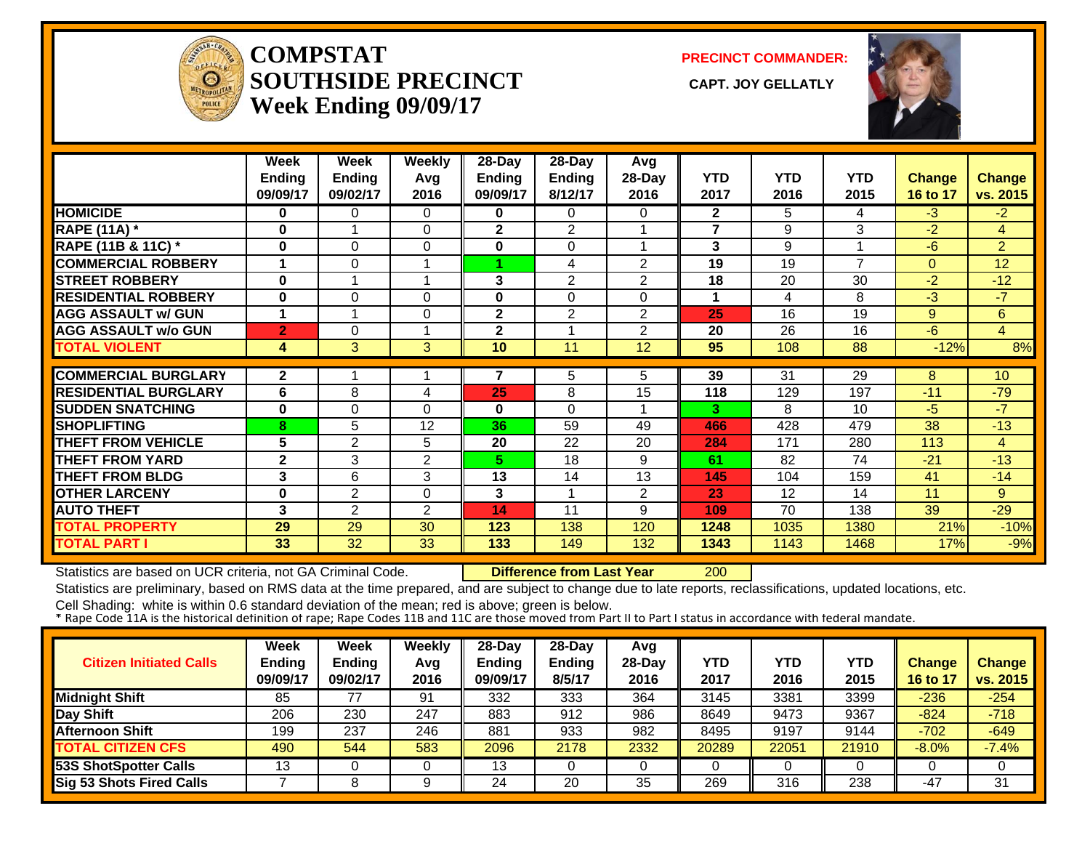

**COMPSTATSOUTHSIDE PRECINCT** CAPT. JOY GELLATLY **Week Ending 09/09/17**

**PRECINCT COMMANDER:**



|                             | Week           | Week           | <b>Weekly</b>    | 28-Day                  | $28 - Day$              | Avg            |                |            |                |             |                |
|-----------------------------|----------------|----------------|------------------|-------------------------|-------------------------|----------------|----------------|------------|----------------|-------------|----------------|
|                             | <b>Ending</b>  | <b>Ending</b>  | Avg              | Ending                  | Ending                  | 28-Day         | <b>YTD</b>     | <b>YTD</b> | <b>YTD</b>     | Change      | <b>Change</b>  |
|                             | 09/09/17       | 09/02/17       | 2016             | 09/09/17                | 8/12/17                 | 2016           | 2017           | 2016       | 2015           | 16 to 17    | vs. 2015       |
| <b>HOMICIDE</b>             | 0              | 0              | 0                | 0                       | $\Omega$                | 0              | $\overline{2}$ | 5          | 4              | $-3$        | $-2$           |
| <b>RAPE (11A)</b> *         | $\bf{0}$       |                | $\Omega$         | $\mathbf{2}$            | $\overline{2}$          |                | $\overline{7}$ | 9          | 3              | $-2$        | $\overline{4}$ |
| RAPE (11B & 11C) *          | $\bf{0}$       | 0              | 0                | $\bf{0}$                | 0                       |                | 3              | 9          |                | $-6$        | $\overline{2}$ |
| <b>COMMERCIAL ROBBERY</b>   | 1              | 0              | 1                |                         | 4                       | $\overline{2}$ | 19             | 19         | $\overline{7}$ | $\Omega$    | 12             |
| <b>STREET ROBBERY</b>       | 0              |                | 1                | 3                       | $\overline{2}$          | $\overline{2}$ | 18             | 20         | 30             | $-2$        | $-12$          |
| <b>RESIDENTIAL ROBBERY</b>  | $\bf{0}$       | 0              | 0                | 0                       | $\Omega$                | $\Omega$       | 1              | 4          | 8              | $-3$        | $-7$           |
| <b>AGG ASSAULT w/ GUN</b>   | 1              |                | $\boldsymbol{0}$ | $\overline{\mathbf{2}}$ | $\overline{2}$          | $\overline{2}$ | 25             | 16         | 19             | $9^{\circ}$ | 6              |
| <b>AGG ASSAULT w/o GUN</b>  | $\overline{2}$ | 0              | 1                | 2                       | $\overline{\mathbf{A}}$ | $\overline{2}$ | 20             | 26         | 16             | $-6$        | $\overline{4}$ |
| <b>TOTAL VIOLENT</b>        | 4              | 3              | 3                | 10                      | 11                      | 12             | 95             | 108        | 88             | $-12%$      | 8%             |
|                             |                |                |                  |                         |                         |                |                |            |                |             |                |
| <b>COMMERCIAL BURGLARY</b>  | $\overline{2}$ |                |                  | 7                       | 5                       | 5.             | 39             | 31         | 29             | 8           | 10             |
| <b>RESIDENTIAL BURGLARY</b> | 6              | 8              | 4                | 25                      | 8                       | 15             | 118            | 129        | 197            | $-11$       | $-79$          |
| <b>SUDDEN SNATCHING</b>     | $\bf{0}$       | 0              | $\Omega$         | $\mathbf{0}$            | 0                       |                | 3              | 8          | 10             | $-5$        | $-7$           |
| <b>SHOPLIFTING</b>          | 8              | 5              | 12               | 36                      | 59                      | 49             | 466            | 428        | 479            | 38          | $-13$          |
| <b>THEFT FROM VEHICLE</b>   | 5              | 2              | 5                | 20                      | 22                      | 20             | 284            | 171        | 280            | 113         | $\overline{4}$ |
| <b>THEFT FROM YARD</b>      | $\mathbf{2}$   | 3              | $\overline{2}$   | 5.                      | 18                      | 9              | 61             | 82         | 74             | $-21$       | $-13$          |
| <b>THEFT FROM BLDG</b>      | 3              | 6              | 3                | 13                      | 14                      | 13             | 145            | 104        | 159            | 41          | $-14$          |
| <b>OTHER LARCENY</b>        | $\bf{0}$       | $\overline{2}$ | $\Omega$         | 3                       |                         | $\overline{2}$ | 23             | 12         | 14             | 11          | 9              |
| <b>AUTO THEFT</b>           | 3              | $\overline{2}$ | $\overline{2}$   | 14                      | 11                      | 9              | 109            | 70         | 138            | 39          | $-29$          |
| <b>TOTAL PROPERTY</b>       | 29             | 29             | 30               | 123                     | 138                     | 120            | 1248           | 1035       | 1380           | 21%         | $-10%$         |
| <b>TOTAL PART I</b>         | 33             | 32             | 33               | 133                     | 149                     | 132            | 1343           | 1143       | 1468           | 17%         | $-9%$          |

Statistics are based on UCR criteria, not GA Criminal Code. **Difference from Last Year** 200

Statistics are preliminary, based on RMS data at the time prepared, and are subject to change due to late reports, reclassifications, updated locations, etc.

| <b>Citizen Initiated Calls</b> | Week<br><b>Ending</b><br>09/09/17 | Week<br><b>Ending</b><br>09/02/17 | Weekly<br>Avg<br>2016 | 28-Day<br>Ending<br>09/09/17 | $28-Dav$<br><b>Ending</b><br>8/5/17 | Avg<br>$28-Day$<br>2016 | YTD<br>2017 | YTD<br>2016 | YTD<br>2015 | <b>Change</b><br>16 to 17 | <b>Change</b><br>vs. 2015 |
|--------------------------------|-----------------------------------|-----------------------------------|-----------------------|------------------------------|-------------------------------------|-------------------------|-------------|-------------|-------------|---------------------------|---------------------------|
| <b>Midnight Shift</b>          | 85                                |                                   | 91                    | 332                          | 333                                 | 364                     | 3145        | 3381        | 3399        | $-236$                    | $-254$                    |
| Day Shift                      | 206                               | 230                               | 247                   | 883                          | 912                                 | 986                     | 8649        | 9473        | 9367        | $-824$                    | $-718$                    |
| <b>Afternoon Shift</b>         | 199                               | 237                               | 246                   | 881                          | 933                                 | 982                     | 8495        | 9197        | 9144        | $-702$                    | $-649$                    |
| <b>TOTAL CITIZEN CFS</b>       | 490                               | 544                               | 583                   | 2096                         | 2178                                | 2332                    | 20289       | 22051       | 21910       | $-8.0%$                   | $-7.4%$                   |
| 53S ShotSpotter Calls          | 13                                |                                   |                       | 13                           |                                     |                         |             |             |             |                           |                           |
| Sig 53 Shots Fired Calls       |                                   |                                   |                       | 24                           | 20                                  | 35                      | 269         | 316         | 238         | -47                       | 31                        |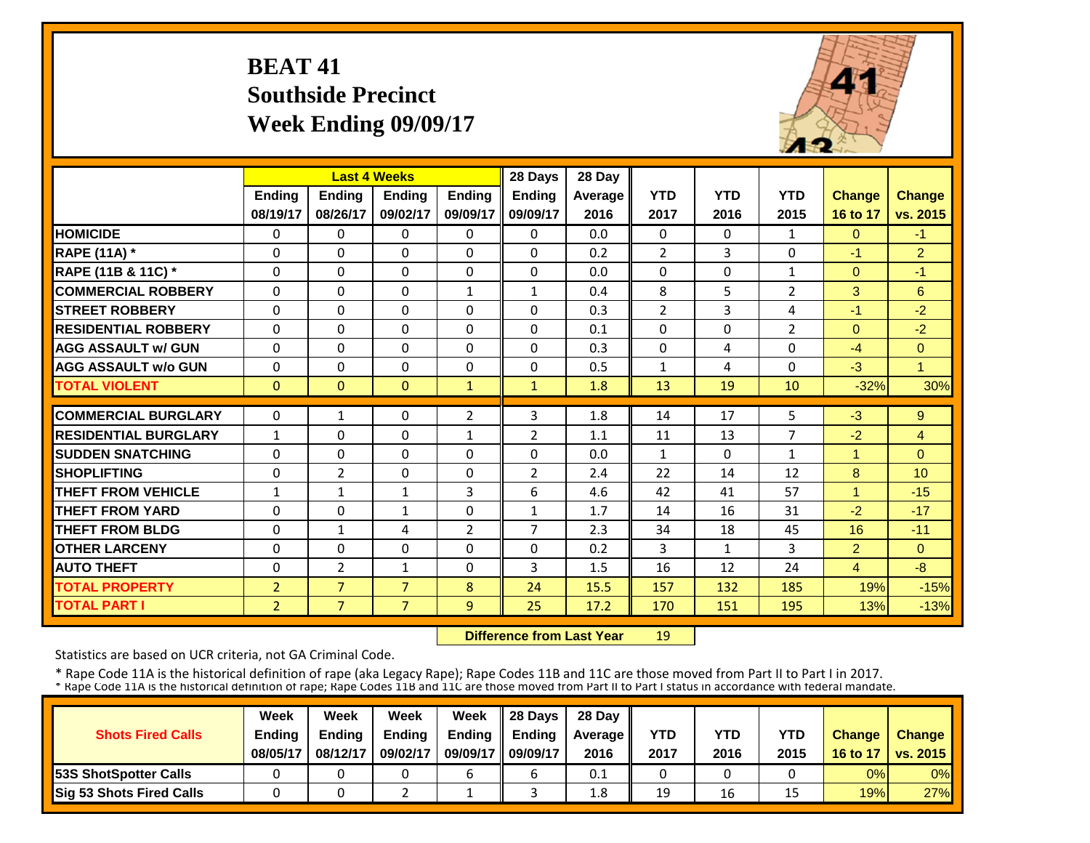# **BEAT 41 Southside Precinct Week Ending 09/09/17**



|                             |                |                | <b>Last 4 Weeks</b> |                | 28 Days        | 28 Day  |                |              |                |                |                |
|-----------------------------|----------------|----------------|---------------------|----------------|----------------|---------|----------------|--------------|----------------|----------------|----------------|
|                             | <b>Ending</b>  | <b>Ending</b>  | <b>Endina</b>       | <b>Endina</b>  | <b>Ending</b>  | Average | <b>YTD</b>     | <b>YTD</b>   | <b>YTD</b>     | <b>Change</b>  | <b>Change</b>  |
|                             | 08/19/17       | 08/26/17       | 09/02/17            | 09/09/17       | 09/09/17       | 2016    | 2017           | 2016         | 2015           | 16 to 17       | vs. 2015       |
| <b>HOMICIDE</b>             | $\Omega$       | $\Omega$       | $\Omega$            | $\Omega$       | $\Omega$       | 0.0     | $\Omega$       | $\Omega$     | $\mathbf{1}$   | $\Omega$       | $-1$           |
| <b>RAPE (11A) *</b>         | $\Omega$       | $\Omega$       | $\Omega$            | $\Omega$       | $\Omega$       | 0.2     | $\overline{2}$ | 3            | $\Omega$       | $-1$           | $\overline{2}$ |
| RAPE (11B & 11C) *          | 0              | 0              | $\Omega$            | $\mathbf 0$    | $\Omega$       | 0.0     | 0              | $\Omega$     | 1              | $\Omega$       | $-1$           |
| <b>COMMERCIAL ROBBERY</b>   | $\Omega$       | $\Omega$       | $\mathbf 0$         | $\mathbf{1}$   | $\mathbf{1}$   | 0.4     | 8              | 5            | $\overline{2}$ | 3              | 6              |
| <b>STREET ROBBERY</b>       | $\Omega$       | $\Omega$       | $\Omega$            | $\Omega$       | $\Omega$       | 0.3     | $\overline{2}$ | 3            | 4              | $-1$           | $-2$           |
| <b>RESIDENTIAL ROBBERY</b>  | $\Omega$       | $\Omega$       | $\Omega$            | $\Omega$       | $\Omega$       | 0.1     | $\Omega$       | $\Omega$     | $\overline{2}$ | $\Omega$       | $-2$           |
| <b>AGG ASSAULT w/ GUN</b>   | $\Omega$       | $\Omega$       | $\Omega$            | $\Omega$       | $\Omega$       | 0.3     | $\Omega$       | 4            | 0              | $-4$           | $\mathbf{0}$   |
| <b>AGG ASSAULT w/o GUN</b>  | $\Omega$       | $\Omega$       | $\Omega$            | $\Omega$       | $\Omega$       | 0.5     | $\mathbf{1}$   | 4            | 0              | $-3$           | $\overline{1}$ |
| <b>TOTAL VIOLENT</b>        | $\mathbf{0}$   | $\Omega$       | $\mathbf{0}$        | $\mathbf{1}$   | $\mathbf{1}$   | 1.8     | 13             | 19           | 10             | $-32%$         | 30%            |
| <b>COMMERCIAL BURGLARY</b>  | $\Omega$       | $\mathbf{1}$   | $\Omega$            | $\overline{2}$ | 3              | 1.8     | 14             | 17           | 5              | $-3$           | 9              |
| <b>RESIDENTIAL BURGLARY</b> | $\mathbf{1}$   | $\Omega$       | $\Omega$            | $\mathbf{1}$   | $\overline{2}$ | 1.1     | 11             | 13           | 7              | $-2$           | $\overline{4}$ |
| <b>ISUDDEN SNATCHING</b>    | $\Omega$       | $\Omega$       | $\Omega$            | $\Omega$       | $\Omega$       | 0.0     | $\mathbf{1}$   | $\Omega$     | 1              | 1              | $\Omega$       |
| <b>SHOPLIFTING</b>          | $\Omega$       | $\overline{2}$ | $\Omega$            | $\Omega$       | $\overline{2}$ | 2.4     | 22             | 14           | 12             | 8              | 10             |
| <b>THEFT FROM VEHICLE</b>   | $\mathbf{1}$   | $\mathbf{1}$   | $\mathbf{1}$        | 3              | 6              | 4.6     | 42             | 41           | 57             | 4              | $-15$          |
| <b>THEFT FROM YARD</b>      | $\Omega$       | $\Omega$       | $\mathbf{1}$        | $\mathbf{0}$   | $\mathbf{1}$   | 1.7     | 14             | 16           | 31             | $-2$           | $-17$          |
| <b>THEFT FROM BLDG</b>      | $\Omega$       | $\mathbf{1}$   | 4                   | $\overline{2}$ | $\overline{7}$ | 2.3     | 34             | 18           | 45             | 16             | $-11$          |
| <b>OTHER LARCENY</b>        | $\Omega$       | $\Omega$       | $\Omega$            | 0              | $\Omega$       | 0.2     | 3              | $\mathbf{1}$ | 3              | $\overline{2}$ | $\Omega$       |
| <b>AUTO THEFT</b>           | $\Omega$       | $\overline{2}$ | $\mathbf{1}$        | 0              | 3              | 1.5     | 16             | 12           | 24             | $\overline{4}$ | $-8$           |
| <b>TOTAL PROPERTY</b>       | $\overline{2}$ | $\overline{7}$ | $\overline{7}$      | 8              | 24             | 15.5    | 157            | 132          | 185            | 19%            | $-15%$         |
| <b>TOTAL PART I</b>         | $\overline{2}$ | $\overline{7}$ | $\overline{7}$      | 9              | 25             | 17.2    | 170            | 151          | 195            | 13%            | $-13%$         |

 **Difference from Last Year**19

Statistics are based on UCR criteria, not GA Criminal Code.

|                               | Week          | Week          | Week          | Week          | $\parallel$ 28 Davs | 28 Day    |      |      |      |               |                     |
|-------------------------------|---------------|---------------|---------------|---------------|---------------------|-----------|------|------|------|---------------|---------------------|
| <b>Shots Fired Calls</b>      | <b>Ending</b> | <b>Ending</b> | <b>Ending</b> | <b>Ending</b> | <b>Ending</b>       | Average I | YTD  | YTD  | YTD  | <b>Change</b> | <b>Change</b>       |
|                               | 08/05/17      | 08/12/17      | 09/02/17      | 09/09/17      | 09/09/17            | 2016      | 2017 | 2016 | 2015 |               | 16 to 17   vs. 2015 |
| <b>153S ShotSpotter Calls</b> |               |               |               |               |                     | 0.1       |      |      |      | 0%            | $0\%$               |
| Sig 53 Shots Fired Calls      |               |               |               |               |                     | 1.8       | 19   | 16   | 15   | 19%           | 27%                 |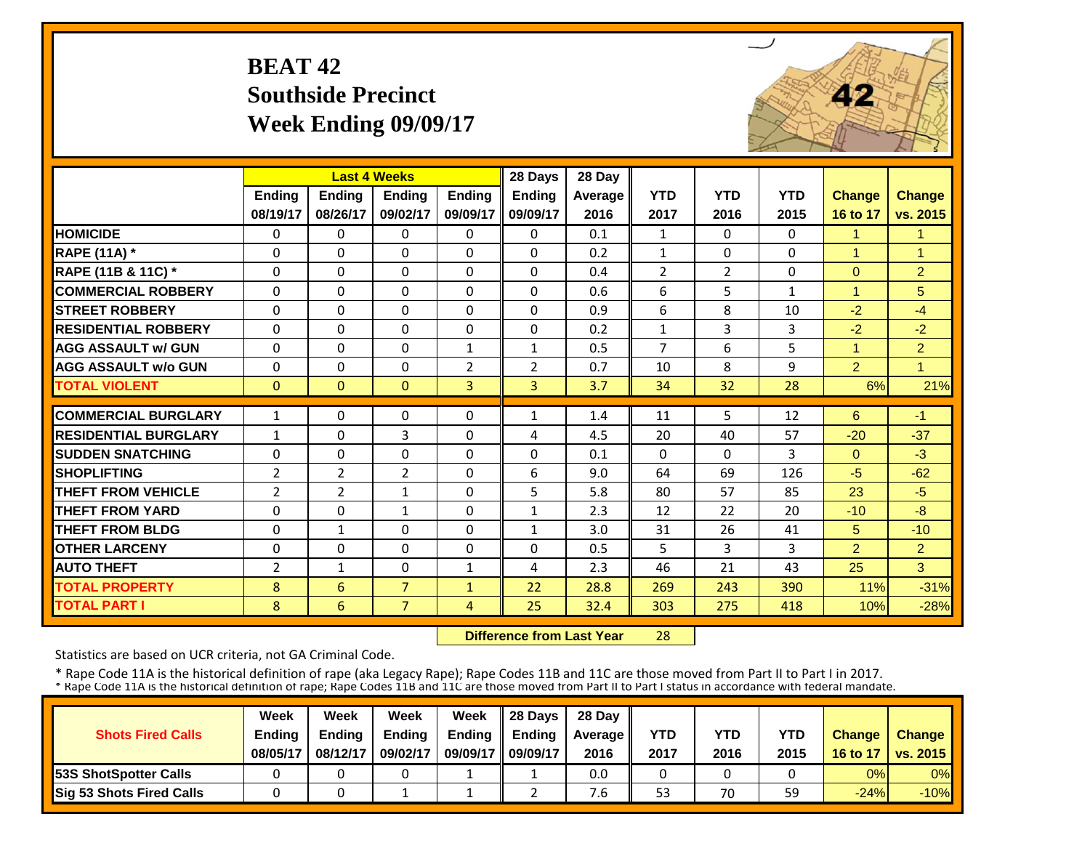# **BEAT 42 Southside Precinct Week Ending 09/09/17**



|                             |                | <b>Last 4 Weeks</b> |                |                | 28 Days        | 28 Day  |                |                |              |                |                |
|-----------------------------|----------------|---------------------|----------------|----------------|----------------|---------|----------------|----------------|--------------|----------------|----------------|
|                             | <b>Ending</b>  | <b>Endina</b>       | <b>Endina</b>  | <b>Ending</b>  | <b>Ending</b>  | Average | <b>YTD</b>     | <b>YTD</b>     | <b>YTD</b>   | <b>Change</b>  | <b>Change</b>  |
|                             | 08/19/17       | 08/26/17            | 09/02/17       | 09/09/17       | 09/09/17       | 2016    | 2017           | 2016           | 2015         | 16 to 17       | vs. 2015       |
| <b>HOMICIDE</b>             | $\Omega$       | $\Omega$            | $\Omega$       | $\Omega$       | $\Omega$       | 0.1     | $\mathbf{1}$   | $\Omega$       | 0            | $\mathbf{1}$   | 1              |
| <b>RAPE (11A) *</b>         | $\Omega$       | $\Omega$            | $\Omega$       | $\Omega$       | $\Omega$       | 0.2     | $\mathbf{1}$   | $\Omega$       | $\Omega$     | $\mathbf{1}$   | $\mathbf{1}$   |
| RAPE (11B & 11C) *          | 0              | $\Omega$            | $\Omega$       | $\Omega$       | $\Omega$       | 0.4     | $\overline{2}$ | $\overline{2}$ | $\Omega$     | $\mathbf{0}$   | $\overline{2}$ |
| <b>COMMERCIAL ROBBERY</b>   | $\Omega$       | $\Omega$            | $\Omega$       | $\Omega$       | $\Omega$       | 0.6     | 6              | 5              | $\mathbf{1}$ | 1              | 5              |
| <b>STREET ROBBERY</b>       | 0              | $\Omega$            | 0              | 0              | $\Omega$       | 0.9     | 6              | 8              | 10           | $-2$           | $-4$           |
| <b>RESIDENTIAL ROBBERY</b>  | $\Omega$       | $\Omega$            | $\Omega$       | $\Omega$       | $\mathbf{0}$   | 0.2     | $\mathbf{1}$   | 3              | 3            | $-2$           | $-2$           |
| <b>AGG ASSAULT w/ GUN</b>   | $\Omega$       | $\Omega$            | $\Omega$       | $\mathbf{1}$   | $\mathbf{1}$   | 0.5     | $\overline{7}$ | 6              | 5            | $\mathbf{1}$   | $\overline{2}$ |
| <b>AGG ASSAULT w/o GUN</b>  | $\mathbf 0$    | $\Omega$            | 0              | $\overline{2}$ | $\overline{2}$ | 0.7     | 10             | 8              | 9            | $\overline{2}$ | $\overline{1}$ |
| <b>TOTAL VIOLENT</b>        | $\Omega$       | $\mathbf{0}$        | $\Omega$       | $\overline{3}$ | $\overline{3}$ | 3.7     | 34             | 32             | 28           | 6%             | 21%            |
| <b>COMMERCIAL BURGLARY</b>  | $\mathbf{1}$   | $\Omega$            | 0              | 0              | $\mathbf{1}$   | 1.4     | 11             | 5              | 12           | 6              | $-1$           |
| <b>RESIDENTIAL BURGLARY</b> | $\mathbf{1}$   | $\Omega$            | 3              | $\Omega$       | 4              | 4.5     | 20             | 40             | 57           | $-20$          | $-37$          |
| <b>SUDDEN SNATCHING</b>     | 0              | $\Omega$            | $\Omega$       | $\Omega$       | $\Omega$       | 0.1     | $\Omega$       | $\Omega$       | 3            | $\Omega$       | $-3$           |
| <b>SHOPLIFTING</b>          | $\overline{2}$ | $\overline{2}$      | $\overline{2}$ | $\Omega$       | 6              | 9.0     | 64             | 69             | 126          | $-5$           | $-62$          |
| <b>THEFT FROM VEHICLE</b>   | $\overline{2}$ | $\overline{2}$      | $\mathbf{1}$   | $\Omega$       | 5              | 5.8     | 80             | 57             | 85           | 23             | $-5$           |
| <b>THEFT FROM YARD</b>      | 0              | $\Omega$            | $\mathbf{1}$   | $\Omega$       | 1              | 2.3     | 12             | 22             | 20           | $-10$          | $-8$           |
| <b>THEFT FROM BLDG</b>      | $\Omega$       | $\mathbf{1}$        | $\Omega$       | 0              | $\mathbf{1}$   | 3.0     | 31             | 26             | 41           | 5              | $-10$          |
| <b>OTHER LARCENY</b>        | $\Omega$       | $\Omega$            | $\Omega$       | 0              | $\Omega$       | 0.5     | 5              | 3              | 3            | $\overline{2}$ | 2              |
| <b>AUTO THEFT</b>           | $\overline{2}$ | $\mathbf{1}$        | $\Omega$       | 1              | 4              | 2.3     | 46             | 21             | 43           | 25             | 3              |
| <b>TOTAL PROPERTY</b>       | 8              | 6                   | $\overline{7}$ | $\mathbf{1}$   | 22             | 28.8    | 269            | 243            | 390          | 11%            | $-31%$         |
| <b>TOTAL PART I</b>         | 8              | 6                   | $\overline{7}$ | 4              | 25             | 32.4    | 303            | 275            | 418          | 10%            | $-28%$         |

 **Difference from Last Year**28

Statistics are based on UCR criteria, not GA Criminal Code.

|                               | Week          | Week          | Week          | Week          | $\parallel$ 28 Davs | 28 Day    |      |      |      |               |                     |
|-------------------------------|---------------|---------------|---------------|---------------|---------------------|-----------|------|------|------|---------------|---------------------|
| <b>Shots Fired Calls</b>      | <b>Ending</b> | <b>Ending</b> | <b>Ending</b> | <b>Ending</b> | <b>Ending</b>       | Average I | YTD  | YTD  | YTD  | <b>Change</b> | <b>Change</b>       |
|                               | 08/05/17      | 08/12/17      | 09/02/17      | 09/09/17      | 09/09/17            | 2016      | 2017 | 2016 | 2015 |               | 16 to 17   vs. 2015 |
| <b>153S ShotSpotter Calls</b> |               |               |               |               |                     | 0.0       |      |      |      | 0%            | $0\%$               |
| Sig 53 Shots Fired Calls      |               |               |               |               |                     | ՛.6       | 53   | 70   | 59   | $-24%$        | $-10%$              |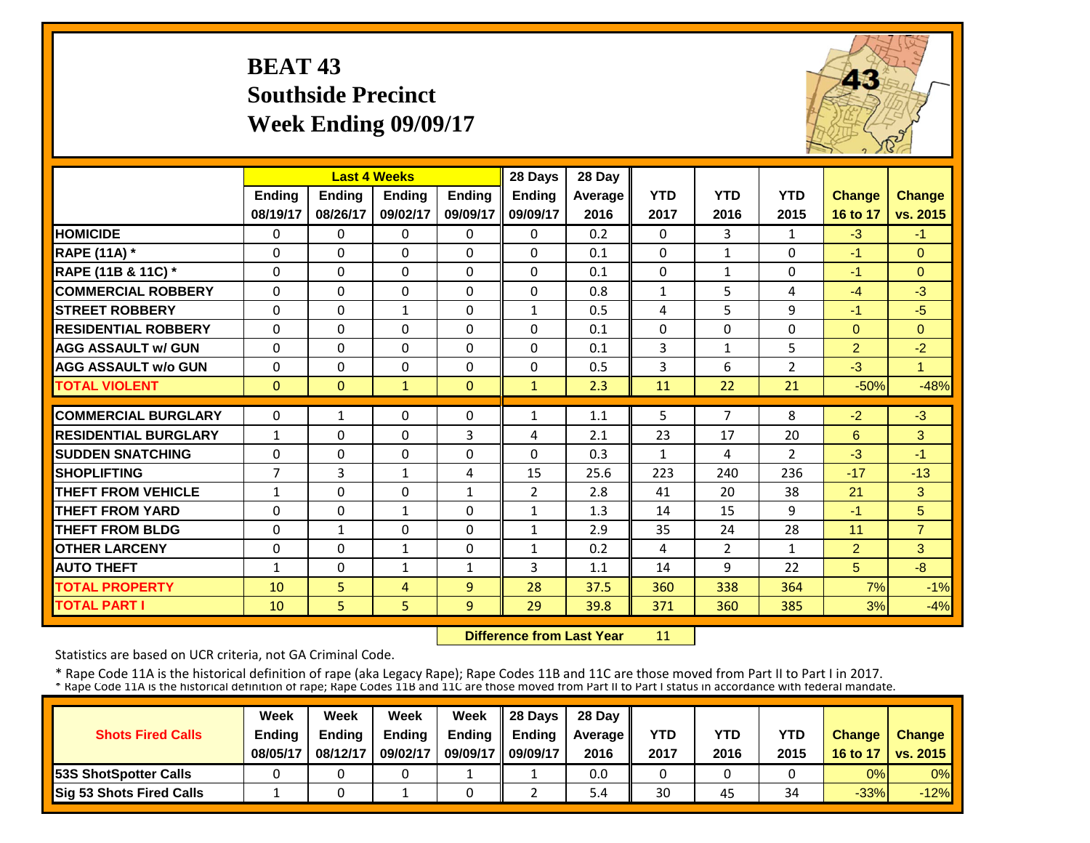# **BEAT 43 Southside Precinct Week Ending 09/09/17**



|                             |                | <b>Last 4 Weeks</b> |               |               | 28 Days        | 28 Day  |              |                |                |                |                |
|-----------------------------|----------------|---------------------|---------------|---------------|----------------|---------|--------------|----------------|----------------|----------------|----------------|
|                             | <b>Ending</b>  | <b>Ending</b>       | <b>Endina</b> | <b>Ending</b> | <b>Ending</b>  | Average | <b>YTD</b>   | <b>YTD</b>     | <b>YTD</b>     | <b>Change</b>  | <b>Change</b>  |
|                             | 08/19/17       | 08/26/17            | 09/02/17      | 09/09/17      | 09/09/17       | 2016    | 2017         | 2016           | 2015           | 16 to 17       | vs. 2015       |
| <b>HOMICIDE</b>             | 0              | 0                   | 0             | $\mathbf{0}$  | 0              | 0.2     | $\mathbf{0}$ | 3              | $\mathbf{1}$   | $-3$           | $-1$           |
| <b>RAPE (11A)</b> *         | $\Omega$       | $\Omega$            | $\Omega$      | $\Omega$      | $\Omega$       | 0.1     | $\Omega$     | $\mathbf{1}$   | 0              | $-1$           | $\Omega$       |
| RAPE (11B & 11C) *          | $\Omega$       | $\Omega$            | $\Omega$      | $\Omega$      | 0              | 0.1     | $\Omega$     | $\mathbf{1}$   | 0              | $-1$           | $\Omega$       |
| <b>COMMERCIAL ROBBERY</b>   | $\Omega$       | $\Omega$            | $\Omega$      | $\Omega$      | 0              | 0.8     | $\mathbf{1}$ | 5              | 4              | $-4$           | $-3$           |
| <b>ISTREET ROBBERY</b>      | $\Omega$       | $\Omega$            | $\mathbf{1}$  | $\Omega$      | $\mathbf{1}$   | 0.5     | 4            | 5              | 9              | $-1$           | $-5$           |
| <b>RESIDENTIAL ROBBERY</b>  | $\Omega$       | $\Omega$            | $\Omega$      | $\Omega$      | $\Omega$       | 0.1     | $\Omega$     | $\Omega$       | 0              | $\Omega$       | $\Omega$       |
| <b>AGG ASSAULT w/ GUN</b>   | $\Omega$       | $\Omega$            | $\Omega$      | $\Omega$      | $\Omega$       | 0.1     | 3            | $\mathbf{1}$   | 5              | $\overline{2}$ | $-2$           |
| <b>AGG ASSAULT w/o GUN</b>  | $\Omega$       | $\Omega$            | $\Omega$      | $\Omega$      | 0              | 0.5     | 3            | 6              | $\overline{2}$ | $-3$           | $\overline{1}$ |
| <b>TOTAL VIOLENT</b>        | $\mathbf{0}$   | $\Omega$            | $\mathbf{1}$  | $\Omega$      | $\mathbf{1}$   | 2.3     | 11           | 22             | 21             | $-50%$         | $-48%$         |
| <b>COMMERCIAL BURGLARY</b>  | $\Omega$       | $\mathbf{1}$        | $\Omega$      | 0             | $\mathbf{1}$   | 1.1     | 5            | 7              | 8              | $-2$           | $-3$           |
| <b>RESIDENTIAL BURGLARY</b> | 1              | $\Omega$            | $\Omega$      | 3             | 4              | 2.1     | 23           | 17             | 20             | 6              | 3              |
| <b>SUDDEN SNATCHING</b>     | $\Omega$       | $\Omega$            | $\Omega$      | $\Omega$      | $\Omega$       | 0.3     | $\mathbf{1}$ | 4              | $\overline{2}$ | $-3$           | $-1$           |
| <b>SHOPLIFTING</b>          | $\overline{7}$ | 3                   | $\mathbf{1}$  | 4             | 15             | 25.6    | 223          | 240            | 236            | $-17$          | $-13$          |
| <b>THEFT FROM VEHICLE</b>   | $\mathbf{1}$   | $\Omega$            | 0             | $\mathbf{1}$  | $\overline{2}$ | 2.8     | 41           | 20             | 38             | 21             | 3              |
| <b>THEFT FROM YARD</b>      | $\Omega$       | $\Omega$            | $\mathbf{1}$  | $\Omega$      | $\mathbf{1}$   | 1.3     | 14           | 15             | 9              | $-1$           | 5              |
| <b>THEFT FROM BLDG</b>      | $\Omega$       | $\mathbf{1}$        | $\Omega$      | $\Omega$      | $\mathbf{1}$   | 2.9     | 35           | 24             | 28             | 11             | $\overline{7}$ |
| <b>OTHER LARCENY</b>        | $\Omega$       | $\Omega$            | 1             | $\Omega$      | $\mathbf{1}$   | 0.2     | 4            | $\overline{2}$ | 1              | $\overline{2}$ | 3              |
| <b>AUTO THEFT</b>           | 1              | $\Omega$            | $\mathbf{1}$  | 1             | 3              | 1.1     | 14           | 9              | 22             | 5              | $-8$           |
| <b>TOTAL PROPERTY</b>       | 10             | 5                   | 4             | 9             | 28             | 37.5    | 360          | 338            | 364            | 7%             | $-1%$          |
| <b>TOTAL PART I</b>         | 10             | 5                   | 5             | 9             | 29             | 39.8    | 371          | 360            | 385            | 3%             | $-4%$          |

 **Difference from Last Year**11

Statistics are based on UCR criteria, not GA Criminal Code.

|                               | Week          | Week          | Week          | Week          | $\parallel$ 28 Davs | 28 Day    |      |      |      |               |                     |
|-------------------------------|---------------|---------------|---------------|---------------|---------------------|-----------|------|------|------|---------------|---------------------|
| <b>Shots Fired Calls</b>      | <b>Ending</b> | <b>Ending</b> | <b>Ending</b> | <b>Ending</b> | <b>Endina</b>       | Average I | YTD  | YTD  | YTD  | <b>Change</b> | <b>Change</b>       |
|                               | 08/05/17      | 08/12/17      | 09/02/17      | 09/09/17      | 09/09/17            | 2016      | 2017 | 2016 | 2015 |               | 16 to 17   vs. 2015 |
| <b>153S ShotSpotter Calls</b> |               |               |               |               |                     | 0.0       |      |      |      | 0%            | $0\%$               |
| Sig 53 Shots Fired Calls      |               |               |               |               |                     | 5.4       | 30   | 45   | 34   | $-33%$        | $-12%$              |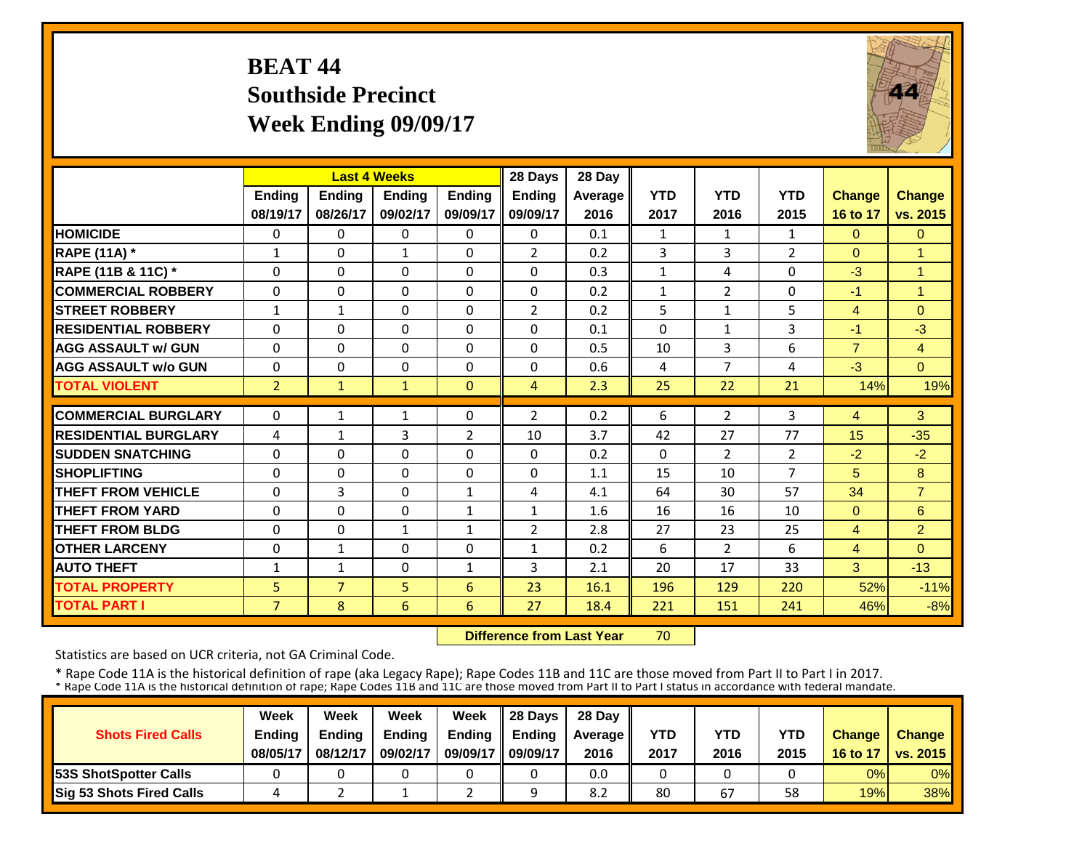# **BEAT 44 Southside Precinct Week Ending 09/09/17**



|                             |                | <b>Last 4 Weeks</b> |               |                | 28 Days        | 28 Day  |              |                |                |                |                      |
|-----------------------------|----------------|---------------------|---------------|----------------|----------------|---------|--------------|----------------|----------------|----------------|----------------------|
|                             | Ending         | Ending              | <b>Ending</b> | <b>Ending</b>  | <b>Ending</b>  | Average | <b>YTD</b>   | <b>YTD</b>     | <b>YTD</b>     | <b>Change</b>  | <b>Change</b>        |
|                             | 08/19/17       | 08/26/17            | 09/02/17      | 09/09/17       | 09/09/17       | 2016    | 2017         | 2016           | 2015           | 16 to 17       | vs. 2015             |
| <b>HOMICIDE</b>             | 0              | 0                   | $\Omega$      | 0              | $\Omega$       | 0.1     | 1            | $\mathbf{1}$   | $\mathbf{1}$   | $\Omega$       | $\Omega$             |
| <b>RAPE (11A)</b> *         | $\mathbf{1}$   | $\Omega$            | $\mathbf{1}$  | $\Omega$       | $\overline{2}$ | 0.2     | 3            | 3              | $\overline{2}$ | $\Omega$       | $\overline{1}$       |
| RAPE (11B & 11C) *          | $\Omega$       | $\Omega$            | $\Omega$      | $\Omega$       | $\Omega$       | 0.3     | $\mathbf{1}$ | 4              | $\Omega$       | $-3$           | $\overline{1}$       |
| <b>COMMERCIAL ROBBERY</b>   | $\Omega$       | $\Omega$            | $\Omega$      | $\Omega$       | $\Omega$       | 0.2     | $\mathbf{1}$ | $\overline{2}$ | 0              | $-1$           | $\blacktriangleleft$ |
| <b>STREET ROBBERY</b>       | $\mathbf{1}$   | $\mathbf{1}$        | 0             | 0              | $\overline{2}$ | 0.2     | 5            | 1              | 5              | 4              | $\Omega$             |
| <b>RESIDENTIAL ROBBERY</b>  | 0              | $\Omega$            | 0             | $\Omega$       | $\Omega$       | 0.1     | $\Omega$     | $\mathbf{1}$   | 3              | $-1$           | $-3$                 |
| <b>AGG ASSAULT w/ GUN</b>   | $\Omega$       | 0                   | $\Omega$      | $\Omega$       | 0              | 0.5     | 10           | 3              | 6              | $\overline{7}$ | $\overline{4}$       |
| <b>AGG ASSAULT w/o GUN</b>  | $\Omega$       | 0                   | $\Omega$      | $\Omega$       | 0              | 0.6     | 4            | 7              | 4              | $-3$           | $\Omega$             |
| <b>TOTAL VIOLENT</b>        | $\overline{2}$ | $\mathbf{1}$        | $\mathbf{1}$  | $\Omega$       | $\overline{4}$ | 2.3     | 25           | 22             | 21             | 14%            | 19%                  |
| <b>COMMERCIAL BURGLARY</b>  | $\Omega$       | 1                   | 1             | 0              | $\overline{2}$ | 0.2     | 6            | $\overline{2}$ | 3              | 4              | 3                    |
| <b>RESIDENTIAL BURGLARY</b> | 4              | $\mathbf{1}$        | 3             | $\overline{2}$ | 10             | 3.7     | 42           | 27             | 77             | 15             | $-35$                |
| <b>SUDDEN SNATCHING</b>     | $\Omega$       | 0                   | $\Omega$      | $\Omega$       | 0              | 0.2     | $\Omega$     | $\overline{2}$ | $\overline{2}$ | $-2$           | $-2$                 |
| <b>SHOPLIFTING</b>          | $\Omega$       | $\Omega$            | $\Omega$      | $\Omega$       | $\Omega$       | 1.1     | 15           | 10             | $\overline{7}$ | 5              | 8                    |
| <b>THEFT FROM VEHICLE</b>   | $\Omega$       | 3                   | $\Omega$      | $\mathbf{1}$   | 4              | 4.1     | 64           | 30             | 57             | 34             | $\overline{7}$       |
| <b>THEFT FROM YARD</b>      | $\Omega$       | $\Omega$            | $\Omega$      | $\mathbf{1}$   | $\mathbf{1}$   | 1.6     | 16           | 16             | 10             | $\Omega$       | 6                    |
| <b>THEFT FROM BLDG</b>      | $\Omega$       | $\Omega$            | $\mathbf{1}$  | $\mathbf{1}$   | $\overline{2}$ | 2.8     | 27           | 23             | 25             | 4              | $\overline{2}$       |
| <b>OTHER LARCENY</b>        | $\Omega$       | $\mathbf{1}$        | $\Omega$      | $\Omega$       | $\mathbf{1}$   | 0.2     | 6            | $\overline{2}$ | 6              | 4              | $\Omega$             |
| <b>AUTO THEFT</b>           | $\mathbf{1}$   | $\mathbf{1}$        | $\Omega$      | $\mathbf{1}$   | 3              | 2.1     | 20           | 17             | 33             | 3              | $-13$                |
| <b>TOTAL PROPERTY</b>       | 5 <sup>5</sup> | $\overline{7}$      | 5             | 6              | 23             | 16.1    | 196          | 129            | 220            | 52%            | $-11%$               |
| <b>TOTAL PART I</b>         | $\overline{7}$ | 8                   | 6             | 6              | 27             | 18.4    | 221          | 151            | 241            | 46%            | $-8%$                |

 **Difference from Last Year**70

Statistics are based on UCR criteria, not GA Criminal Code.

|                               | Week          | Week          | Week          | Week          | $\parallel$ 28 Davs | 28 Day    |      |      |      |               |                     |
|-------------------------------|---------------|---------------|---------------|---------------|---------------------|-----------|------|------|------|---------------|---------------------|
| <b>Shots Fired Calls</b>      | <b>Ending</b> | <b>Ending</b> | <b>Ending</b> | <b>Ending</b> | <b>Ending</b>       | Average I | YTD  | YTD  | YTD  | <b>Change</b> | <b>Change</b>       |
|                               | 08/05/17      | 08/12/17      | 09/02/17      | 09/09/17      | 09/09/17            | 2016      | 2017 | 2016 | 2015 |               | 16 to 17   vs. 2015 |
| <b>153S ShotSpotter Calls</b> |               |               |               |               |                     | 0.0       |      |      |      | 0%            | $0\%$               |
| Sig 53 Shots Fired Calls      |               |               |               |               |                     | 8.2       | 80   | 67   | 58   | 19%           | 38%                 |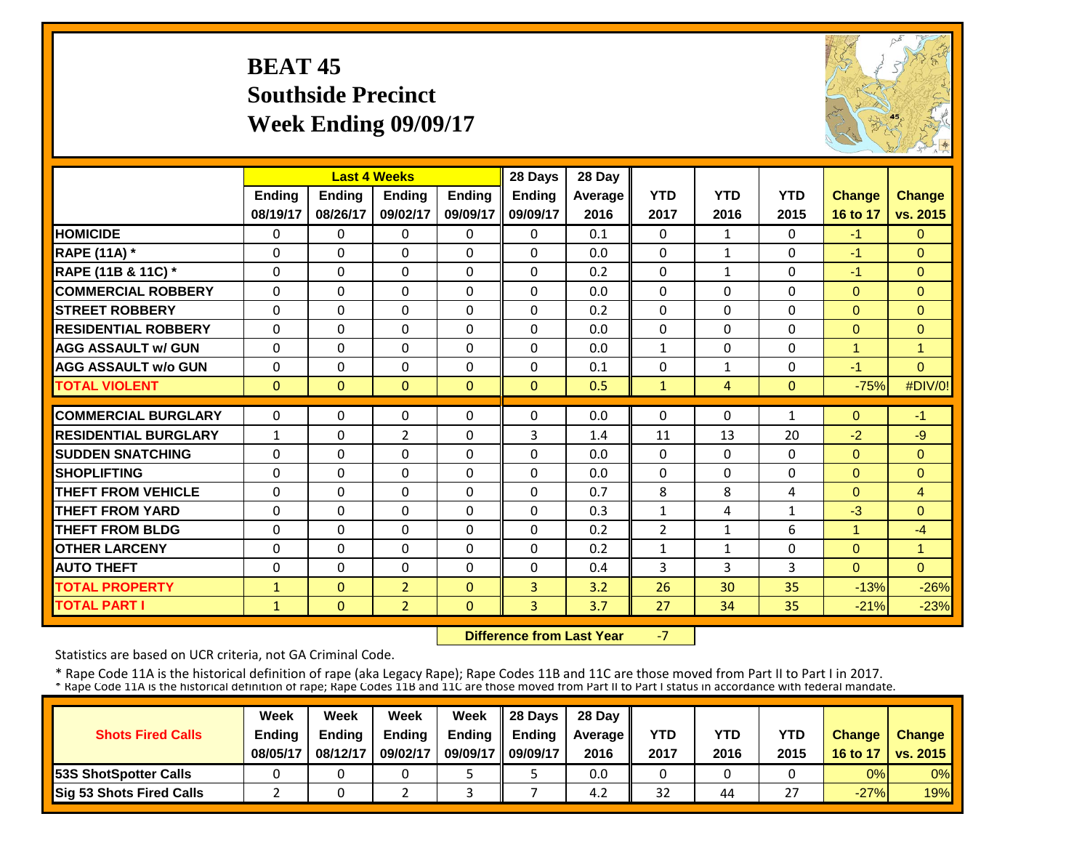# **BEAT 45 Southside Precinct Week Ending 09/09/17**



|                             |               |              | <b>Last 4 Weeks</b> |               | 28 Days        | 28 Day  |                |                |                |                |                |
|-----------------------------|---------------|--------------|---------------------|---------------|----------------|---------|----------------|----------------|----------------|----------------|----------------|
|                             | <b>Ending</b> | Ending       | <b>Endina</b>       | <b>Endina</b> | <b>Ending</b>  | Average | <b>YTD</b>     | <b>YTD</b>     | <b>YTD</b>     | <b>Change</b>  | <b>Change</b>  |
|                             | 08/19/17      | 08/26/17     | 09/02/17            | 09/09/17      | 09/09/17       | 2016    | 2017           | 2016           | 2015           | 16 to 17       | vs. 2015       |
| <b>HOMICIDE</b>             | $\Omega$      | $\Omega$     | $\Omega$            | $\Omega$      | $\Omega$       | 0.1     | $\Omega$       | $\mathbf{1}$   | 0              | $-1$           | $\Omega$       |
| <b>RAPE (11A) *</b>         | $\Omega$      | $\Omega$     | $\Omega$            | $\Omega$      | $\Omega$       | 0.0     | $\Omega$       | $\mathbf{1}$   | $\Omega$       | $-1$           | $\Omega$       |
| RAPE (11B & 11C) *          | $\Omega$      | $\Omega$     | $\Omega$            | $\Omega$      | $\Omega$       | 0.2     | $\Omega$       | $\mathbf{1}$   | $\Omega$       | $-1$           | $\Omega$       |
| <b>COMMERCIAL ROBBERY</b>   | $\mathbf{0}$  | $\Omega$     | $\Omega$            | $\Omega$      | 0              | 0.0     | $\Omega$       | $\Omega$       | 0              | $\Omega$       | $\mathbf{0}$   |
| <b>STREET ROBBERY</b>       | $\mathbf 0$   | $\Omega$     | 0                   | $\Omega$      | 0              | 0.2     | $\mathbf 0$    | $\Omega$       | 0              | $\mathbf{0}$   | $\mathbf{0}$   |
| <b>RESIDENTIAL ROBBERY</b>  | $\Omega$      | $\Omega$     | $\Omega$            | $\Omega$      | 0              | 0.0     | $\Omega$       | $\Omega$       | 0              | $\Omega$       | $\Omega$       |
| <b>AGG ASSAULT w/ GUN</b>   | $\Omega$      | $\Omega$     | $\Omega$            | $\Omega$      | $\Omega$       | 0.0     | $\mathbf{1}$   | $\Omega$       | $\Omega$       | $\overline{1}$ | $\overline{1}$ |
| <b>AGG ASSAULT w/o GUN</b>  | $\Omega$      | $\Omega$     | $\Omega$            | $\Omega$      | $\Omega$       | 0.1     | $\Omega$       | $\mathbf{1}$   | 0              | $-1$           | $\Omega$       |
| <b>TOTAL VIOLENT</b>        | $\mathbf{0}$  | $\mathbf{0}$ | $\mathbf{0}$        | $\Omega$      | $\mathbf{0}$   | 0.5     | $\mathbf{1}$   | $\overline{4}$ | $\overline{0}$ | $-75%$         | #DIV/0!        |
|                             |               |              |                     |               |                |         |                |                |                |                |                |
| <b>COMMERCIAL BURGLARY</b>  | $\Omega$      | $\Omega$     | 0                   | $\Omega$      | 0              | 0.0     | $\Omega$       | $\Omega$       | 1              | $\Omega$       | $-1$           |
| <b>RESIDENTIAL BURGLARY</b> | $\mathbf{1}$  | $\Omega$     | 2                   | $\Omega$      | 3              | 1.4     | 11             | 13             | 20             | $-2$           | $-9$           |
| <b>SUDDEN SNATCHING</b>     | $\Omega$      | $\Omega$     | $\Omega$            | $\Omega$      | $\Omega$       | 0.0     | $\Omega$       | $\Omega$       | 0              | $\Omega$       | $\Omega$       |
| <b>SHOPLIFTING</b>          | $\Omega$      | $\Omega$     | $\Omega$            | $\Omega$      | $\Omega$       | 0.0     | $\Omega$       | $\Omega$       | 0              | $\Omega$       | $\Omega$       |
| <b>THEFT FROM VEHICLE</b>   | 0             | $\Omega$     | 0                   | $\Omega$      | 0              | 0.7     | 8              | 8              | 4              | $\Omega$       | $\overline{4}$ |
| <b>THEFT FROM YARD</b>      | 0             | $\Omega$     | $\Omega$            | $\Omega$      | 0              | 0.3     | $\mathbf{1}$   | 4              | 1              | $-3$           | $\Omega$       |
| <b>THEFT FROM BLDG</b>      | 0             | $\Omega$     | $\Omega$            | $\Omega$      | 0              | 0.2     | $\overline{2}$ | $\mathbf{1}$   | 6              | $\overline{4}$ | $-4$           |
| <b>OTHER LARCENY</b>        | $\Omega$      | $\Omega$     | $\Omega$            | 0             | $\Omega$       | 0.2     | $\mathbf{1}$   | 1              | 0              | $\Omega$       | 1              |
| <b>AUTO THEFT</b>           | $\Omega$      | $\Omega$     | $\Omega$            | $\Omega$      | 0              | 0.4     | 3              | 3              | 3              | $\Omega$       | $\Omega$       |
| <b>TOTAL PROPERTY</b>       | $\mathbf{1}$  | $\Omega$     | $\overline{2}$      | $\Omega$      | 3              | 3.2     | 26             | 30             | 35             | $-13%$         | $-26%$         |
| <b>TOTAL PART I</b>         | $\mathbf{1}$  | $\mathbf{0}$ | $\overline{2}$      | $\Omega$      | $\overline{3}$ | 3.7     | 27             | 34             | 35             | $-21%$         | $-23%$         |

 **Difference from Last Year**‐7

Statistics are based on UCR criteria, not GA Criminal Code.

|                               | Week          | Week          | Week          | Week          | $\parallel$ 28 Davs | 28 Day    |      |      |               |               |                     |
|-------------------------------|---------------|---------------|---------------|---------------|---------------------|-----------|------|------|---------------|---------------|---------------------|
| <b>Shots Fired Calls</b>      | <b>Ending</b> | <b>Ending</b> | <b>Ending</b> | <b>Ending</b> | <b>Endina</b>       | Average I | YTD  | YTD  | YTD           | <b>Change</b> | <b>Change</b>       |
|                               | 08/05/17      | 08/12/17      | 09/02/17      | 09/09/17      | 09/09/17            | 2016      | 2017 | 2016 | 2015          |               | 16 to 17   vs. 2015 |
| <b>153S ShotSpotter Calls</b> |               |               |               |               |                     | 0.0       |      |      |               | 0%            | $0\%$               |
| Sig 53 Shots Fired Calls      |               |               |               |               |                     | 4.2       | 32   | 44   | $\sim$ $\sim$ | $-27%$        | 19%                 |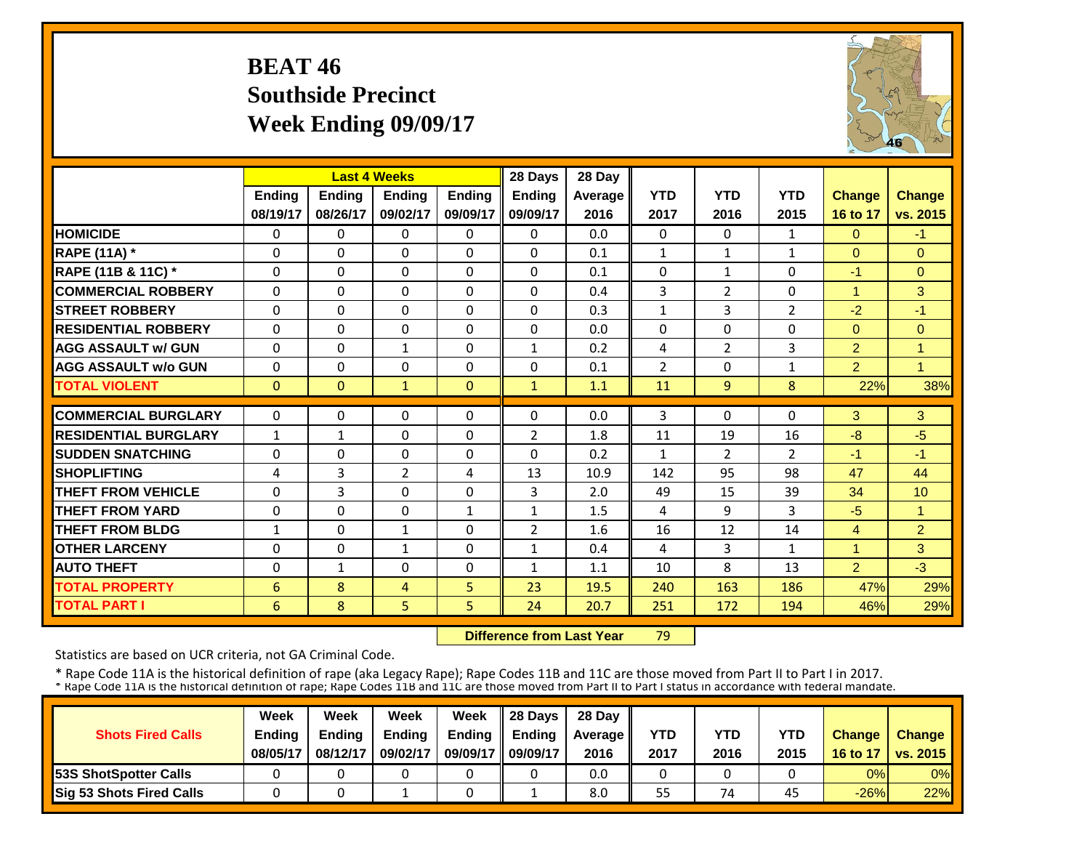# **BEAT 46 Southside Precinct Week Ending 09/09/17**



|                             |               | <b>Last 4 Weeks</b> |                |               | 28 Days        | 28 Day  |                |                |                |                |                      |
|-----------------------------|---------------|---------------------|----------------|---------------|----------------|---------|----------------|----------------|----------------|----------------|----------------------|
|                             | <b>Ending</b> | <b>Ending</b>       | <b>Endina</b>  | <b>Ending</b> | <b>Ending</b>  | Average | <b>YTD</b>     | <b>YTD</b>     | <b>YTD</b>     | <b>Change</b>  | <b>Change</b>        |
|                             | 08/19/17      | 08/26/17            | 09/02/17       | 09/09/17      | 09/09/17       | 2016    | 2017           | 2016           | 2015           | 16 to 17       | vs. 2015             |
| <b>HOMICIDE</b>             | 0             | $\Omega$            | $\Omega$       | $\Omega$      | $\Omega$       | 0.0     | $\Omega$       | $\Omega$       | $\mathbf{1}$   | $\Omega$       | $-1$                 |
| <b>RAPE (11A)</b> *         | $\Omega$      | $\Omega$            | $\Omega$       | 0             | $\Omega$       | 0.1     | $\mathbf{1}$   | $\mathbf{1}$   | $\mathbf{1}$   | $\Omega$       | $\Omega$             |
| RAPE (11B & 11C) *          | $\Omega$      | $\Omega$            | $\Omega$       | $\Omega$      | $\Omega$       | 0.1     | $\Omega$       | $\mathbf{1}$   | $\Omega$       | $-1$           | $\Omega$             |
| <b>COMMERCIAL ROBBERY</b>   | $\Omega$      | $\Omega$            | $\Omega$       | $\Omega$      | $\Omega$       | 0.4     | 3              | $\overline{2}$ | $\Omega$       | $\overline{1}$ | 3                    |
| <b>ISTREET ROBBERY</b>      | $\Omega$      | $\Omega$            | $\Omega$       | $\Omega$      | $\Omega$       | 0.3     | $\mathbf{1}$   | $\overline{3}$ | 2              | $-2$           | $-1$                 |
| <b>RESIDENTIAL ROBBERY</b>  | 0             | $\Omega$            | $\Omega$       | 0             | $\Omega$       | 0.0     | $\Omega$       | 0              | $\Omega$       | $\Omega$       | $\Omega$             |
| <b>AGG ASSAULT w/ GUN</b>   | $\Omega$      | $\Omega$            | 1              | 0             | $\mathbf{1}$   | 0.2     | 4              | $\overline{2}$ | 3              | $\overline{2}$ | $\overline{1}$       |
| <b>AGG ASSAULT w/o GUN</b>  | $\Omega$      | $\Omega$            | $\Omega$       | $\Omega$      | $\Omega$       | 0.1     | $\overline{2}$ | $\Omega$       | $\mathbf{1}$   | $\overline{2}$ | $\blacksquare$       |
| <b>TOTAL VIOLENT</b>        | $\Omega$      | $\Omega$            | $\mathbf{1}$   | $\Omega$      | $\mathbf{1}$   | 1.1     | 11             | 9              | 8              | 22%            | 38%                  |
| <b>COMMERCIAL BURGLARY</b>  | 0             | 0                   | $\Omega$       | 0             | 0              | 0.0     | 3              | 0              | 0              | 3              | 3                    |
| <b>RESIDENTIAL BURGLARY</b> | 1             | 1                   | $\Omega$       | 0             | $\overline{2}$ | 1.8     | 11             | 19             | 16             | $-8$           | $-5$                 |
| <b>ISUDDEN SNATCHING</b>    | 0             | 0                   | $\Omega$       | 0             | 0              | 0.2     | $\mathbf{1}$   | $\overline{2}$ | $\overline{2}$ | $-1$           | $-1$                 |
| <b>SHOPLIFTING</b>          | 4             | 3                   | $\overline{2}$ | 4             | 13             | 10.9    | 142            | 95             | 98             | 47             | 44                   |
| <b>THEFT FROM VEHICLE</b>   | $\Omega$      | 3                   | $\Omega$       | $\Omega$      | 3              | 2.0     | 49             | 15             | 39             | 34             | 10                   |
| <b>THEFT FROM YARD</b>      | $\Omega$      | $\Omega$            | $\Omega$       | $\mathbf{1}$  | $\mathbf{1}$   | 1.5     | 4              | 9              | 3              | $-5$           | $\blacktriangleleft$ |
| <b>THEFT FROM BLDG</b>      | $\mathbf{1}$  | $\Omega$            | $\mathbf{1}$   | 0             | $\overline{2}$ | 1.6     | 16             | 12             | 14             | $\overline{4}$ | 2                    |
| <b>OTHER LARCENY</b>        | $\Omega$      | $\Omega$            | $\mathbf{1}$   | 0             | $\mathbf{1}$   | 0.4     | 4              | 3              | $\mathbf{1}$   | $\mathbf{1}$   | 3                    |
| <b>AUTO THEFT</b>           | 0             | $\mathbf{1}$        | $\Omega$       | $\Omega$      | $\mathbf{1}$   | 1.1     | 10             | 8              | 13             | $\overline{2}$ | $-3$                 |
| <b>TOTAL PROPERTY</b>       | 6             | 8                   | 4              | 5             | 23             | 19.5    | 240            | 163            | 186            | 47%            | 29%                  |
| <b>TOTAL PART I</b>         | 6             | 8                   | 5              | 5             | 24             | 20.7    | 251            | 172            | 194            | 46%            | 29%                  |

 **Difference from Last Year**79

Statistics are based on UCR criteria, not GA Criminal Code.

|                               | Week          | Week          | Week          | Week          | $\parallel$ 28 Davs | 28 Day    |      |      |      |               |                     |
|-------------------------------|---------------|---------------|---------------|---------------|---------------------|-----------|------|------|------|---------------|---------------------|
| <b>Shots Fired Calls</b>      | <b>Ending</b> | <b>Ending</b> | <b>Ending</b> | <b>Ending</b> | <b>Ending</b>       | Average I | YTD  | YTD  | YTD  | <b>Change</b> | <b>Change</b>       |
|                               | 08/05/17      | 08/12/17      | 09/02/17      | 09/09/17      | 09/09/17            | 2016      | 2017 | 2016 | 2015 |               | 16 to 17   vs. 2015 |
| <b>153S ShotSpotter Calls</b> |               |               |               |               |                     | 0.0       |      |      |      | 0%            | $0\%$               |
| Sig 53 Shots Fired Calls      |               |               |               |               |                     | 8.0       | 55   | 74   | 45   | $-26%$        | 22%                 |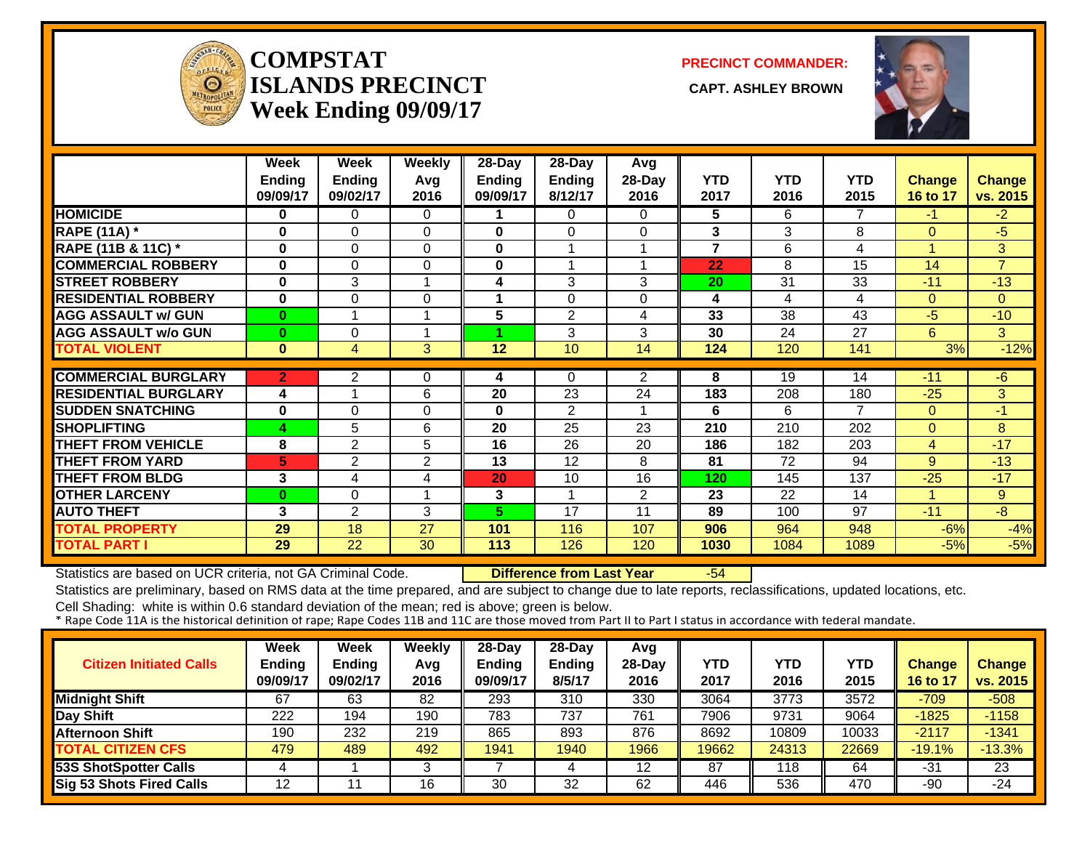

#### **COMPSTATISLANDS PRECINCT** CAPT. ASHLEY BROWN **Week Ending 09/09/17**

**PRECINCT COMMANDER:**



|                               | Week           | Week           | <b>Weekly</b>  | 28-Day          | 28-Day         | Avg            |                |            |                |                |                |
|-------------------------------|----------------|----------------|----------------|-----------------|----------------|----------------|----------------|------------|----------------|----------------|----------------|
|                               | <b>Ending</b>  | <b>Ending</b>  | Avg            | <b>Ending</b>   | <b>Ending</b>  | 28-Day         | <b>YTD</b>     | <b>YTD</b> | <b>YTD</b>     | <b>Change</b>  | <b>Change</b>  |
|                               | 09/09/17       | 09/02/17       | 2016           | 09/09/17        | 8/12/17        | 2016           | 2017           | 2016       | 2015           | 16 to 17       | vs. 2015       |
| <b>HOMICIDE</b>               | 0              | 0              | 0              |                 | 0              | 0              | 5              | 6          | 7              | $-1$           | $-2$           |
| <b>RAPE (11A) *</b>           | 0              | $\Omega$       | $\Omega$       | $\mathbf{0}$    | $\Omega$       | 0              | 3              | 3          | 8              | $\Omega$       | $-5$           |
| <b>RAPE (11B &amp; 11C)</b> * | 0              | $\Omega$       | $\Omega$       | 0               | 1              |                | $\overline{7}$ | 6          | 4              |                | 3              |
| <b>COMMERCIAL ROBBERY</b>     | 0              | $\Omega$       | $\Omega$       | 0               | 1              | 4              | 22             | 8          | 15             | 14             | $\overline{7}$ |
| <b>STREET ROBBERY</b>         | $\bf{0}$       | 3              | 1              | 4               | 3              | 3              | 20             | 31         | 33             | $-11$          | $-13$          |
| <b>RESIDENTIAL ROBBERY</b>    | $\bf{0}$       | 0              | $\Omega$       | 1               | 0              | 0              | 4              | 4          | 4              | $\overline{0}$ | $\Omega$       |
| <b>AGG ASSAULT w/ GUN</b>     | $\bf{0}$       |                | $\overline{ }$ | 5               | $\overline{2}$ | 4              | 33             | 38         | 43             | $-5$           | $-10$          |
| <b>AGG ASSAULT w/o GUN</b>    | $\bf{0}$       | $\Omega$       | $\overline{ }$ |                 | 3              | 3              | 30             | 24         | 27             | 6              | 3              |
| <b>TOTAL VIOLENT</b>          | $\mathbf{0}$   | $\overline{4}$ | 3              | $\overline{12}$ | 10             | 14             | 124            | 120        | 141            | 3%             | $-12%$         |
|                               |                |                |                |                 |                |                |                |            |                |                |                |
| <b>COMMERCIAL BURGLARY</b>    | $\overline{2}$ | $\overline{2}$ | $\Omega$       | 4               | 0              | $\overline{2}$ | 8              | 19         | 14             | $-11$          | -6             |
| <b>RESIDENTIAL BURGLARY</b>   | 4              |                | 6              | 20              | 23             | 24             | 183            | 208        | 180            | $-25$          | 3              |
| <b>SUDDEN SNATCHING</b>       | 0              | $\Omega$       | $\Omega$       | 0               | 2              |                | 6              | 6          | $\overline{7}$ | $\overline{0}$ | $-1$           |
| <b>SHOPLIFTING</b>            | 4              | 5              | 6              | 20              | 25             | 23             | 210            | 210        | 202            | $\overline{0}$ | 8              |
| <b>THEFT FROM VEHICLE</b>     | 8              | $\overline{2}$ | 5              | 16              | 26             | 20             | 186            | 182        | 203            | 4              | $-17$          |
| <b>THEFT FROM YARD</b>        | 5              | $\overline{c}$ | 2              | 13              | 12             | 8              | 81             | 72         | 94             | 9              | $-13$          |
| <b>THEFT FROM BLDG</b>        | 3              | 4              | 4              | 20              | 10             | 16             | 120            | 145        | 137            | $-25$          | $-17$          |
| <b>OTHER LARCENY</b>          | $\bf{0}$       | $\Omega$       | 1              | 3               | 1              | 2              | 23             | 22         | 14             |                | 9              |
| <b>AUTO THEFT</b>             | 3              | 2              | 3              | 5.              | 17             | 11             | 89             | 100        | 97             | $-11$          | $-8$           |
| <b>TOTAL PROPERTY</b>         | 29             | 18             | 27             | 101             | 116            | 107            | 906            | 964        | 948            | $-6%$          | $-4%$          |
| <b>TOTAL PART I</b>           | 29             | 22             | 30             | 113             | 126            | 120            | 1030           | 1084       | 1089           | $-5%$          | $-5%$          |

Statistics are based on UCR criteria, not GA Criminal Code. **Difference from Last Year** -54

Statistics are preliminary, based on RMS data at the time prepared, and are subject to change due to late reports, reclassifications, updated locations, etc.

| <b>Citizen Initiated Calls</b>  | Week<br><b>Ending</b><br>09/09/17 | Week<br><b>Ending</b><br>09/02/17 | Weekly<br>Avg<br>2016 | $28-Dav$<br>Ending<br>09/09/17 | $28-Dav$<br><b>Ending</b><br>8/5/17 | Avg<br>$28-Day$<br>2016 | YTD<br>2017 | <b>YTD</b><br>2016 | YTD<br>2015 | <b>Change</b><br>16 to 17 | <b>Change</b><br>vs. 2015 |
|---------------------------------|-----------------------------------|-----------------------------------|-----------------------|--------------------------------|-------------------------------------|-------------------------|-------------|--------------------|-------------|---------------------------|---------------------------|
| <b>Midnight Shift</b>           | 67                                | 63                                | 82                    | 293                            | 310                                 | 330                     | 3064        | 3773               | 3572        | $-709$                    | $-508$                    |
| Day Shift                       | 222                               | 194                               | 190                   | 783                            | 737                                 | 761                     | 7906        | 9731               | 9064        | $-1825$                   | $-1158$                   |
| <b>Afternoon Shift</b>          | 190                               | 232                               | 219                   | 865                            | 893                                 | 876                     | 8692        | 10809              | 10033       | $-2117$                   | $-1341$                   |
| <b>TOTAL CITIZEN CFS</b>        | 479                               | 489                               | 492                   | 1941                           | 1940                                | 1966                    | 19662       | 24313              | 22669       | $-19.1%$                  | $-13.3%$                  |
| 53S ShotSpotter Calls           |                                   |                                   |                       |                                | 4                                   | 12                      | 87          | 118                | 64          | $-31$                     | 23                        |
| <b>Sig 53 Shots Fired Calls</b> | 12                                |                                   | 16                    | 30                             | 32                                  | 62                      | 446         | 536                | 470         | -90                       | $-24$                     |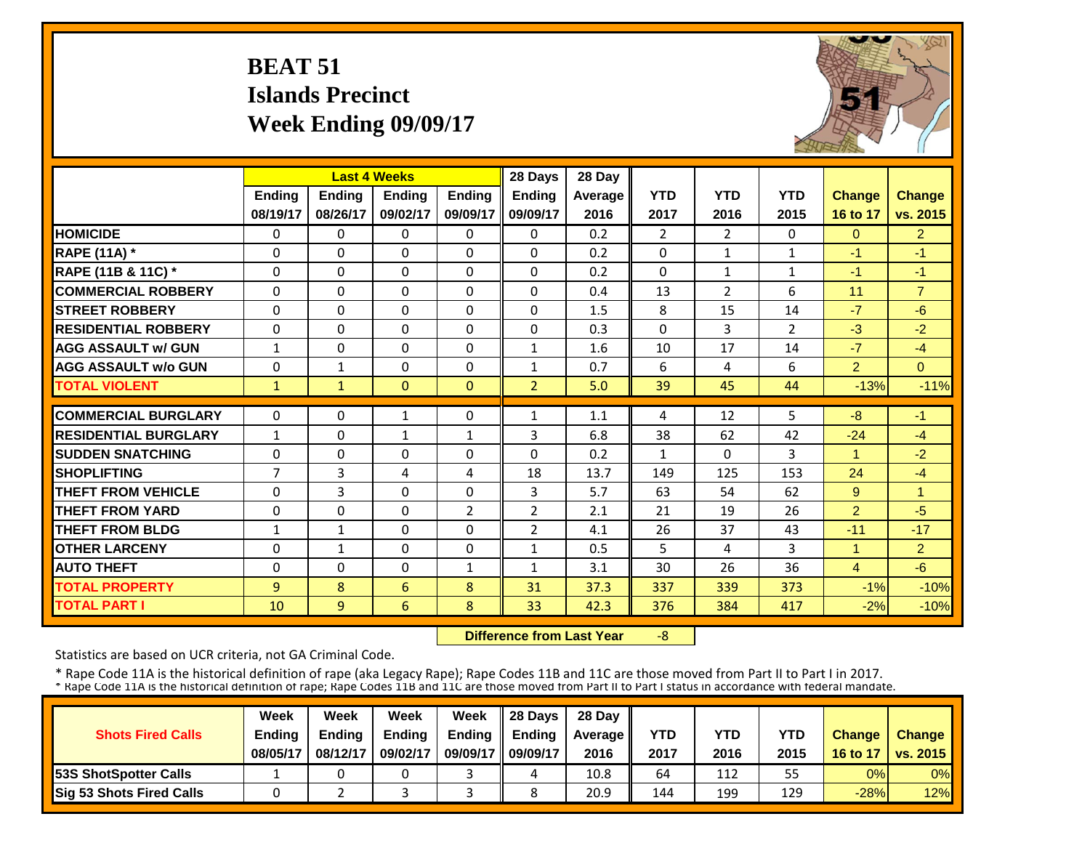# **BEAT 51 Islands Precinct Week Ending 09/09/17**



|                             |                |               | <b>Last 4 Weeks</b> |                | 28 Days        | 28 Day         |                |                |                |                      |                |
|-----------------------------|----------------|---------------|---------------------|----------------|----------------|----------------|----------------|----------------|----------------|----------------------|----------------|
|                             | <b>Ending</b>  | <b>Ending</b> | <b>Ending</b>       | <b>Endina</b>  | <b>Ending</b>  | <b>Average</b> | <b>YTD</b>     | <b>YTD</b>     | <b>YTD</b>     | <b>Change</b>        | <b>Change</b>  |
|                             | 08/19/17       | 08/26/17      | 09/02/17            | 09/09/17       | 09/09/17       | 2016           | 2017           | 2016           | 2015           | 16 to 17             | vs. 2015       |
| <b>HOMICIDE</b>             | $\Omega$       | 0             | $\Omega$            | $\Omega$       | $\mathbf{0}$   | 0.2            | $\overline{2}$ | $\overline{2}$ | 0              | $\Omega$             | 2 <sup>1</sup> |
| <b>RAPE (11A) *</b>         | $\Omega$       | 0             | $\Omega$            | $\Omega$       | $\Omega$       | 0.2            | $\Omega$       | $\mathbf{1}$   | $\mathbf{1}$   | $-1$                 | $-1$           |
| RAPE (11B & 11C) *          | $\mathbf 0$    | $\Omega$      | $\Omega$            | $\Omega$       | $\mathbf{0}$   | 0.2            | $\Omega$       | $\mathbf{1}$   | $\mathbf{1}$   | $-1$                 | $-1$           |
| <b>COMMERCIAL ROBBERY</b>   | $\Omega$       | 0             | $\Omega$            | $\Omega$       | $\Omega$       | 0.4            | 13             | $\overline{2}$ | 6              | 11                   | $\overline{7}$ |
| <b>STREET ROBBERY</b>       | $\Omega$       | $\Omega$      | $\Omega$            | $\Omega$       | $\Omega$       | 1.5            | 8              | 15             | 14             | $-7$                 | $-6$           |
| <b>RESIDENTIAL ROBBERY</b>  | $\Omega$       | $\Omega$      | $\Omega$            | $\Omega$       | $\Omega$       | 0.3            | $\Omega$       | 3              | $\overline{2}$ | $-3$                 | $-2$           |
| <b>AGG ASSAULT w/ GUN</b>   | $\mathbf{1}$   | 0             | $\Omega$            | $\Omega$       | 1              | 1.6            | 10             | 17             | 14             | $-7$                 | $-4$           |
| <b>AGG ASSAULT w/o GUN</b>  | $\Omega$       | $\mathbf{1}$  | $\Omega$            | $\Omega$       | $\mathbf{1}$   | 0.7            | 6              | 4              | 6              | $\overline{2}$       | $\Omega$       |
| <b>TOTAL VIOLENT</b>        | $\mathbf{1}$   | $\mathbf{1}$  | $\Omega$            | $\Omega$       | $\overline{2}$ | 5.0            | 39             | 45             | 44             | $-13%$               | $-11%$         |
| <b>COMMERCIAL BURGLARY</b>  | $\Omega$       | 0             | 1                   | $\Omega$       | 1              | 1.1            | 4              | 12             | 5              | -8                   | $-1$           |
| <b>RESIDENTIAL BURGLARY</b> | $\mathbf{1}$   | $\Omega$      | $\mathbf{1}$        | $\mathbf{1}$   | 3              | 6.8            | 38             | 62             | 42             | $-24$                | $-4$           |
| <b>SUDDEN SNATCHING</b>     | $\Omega$       | 0             | $\Omega$            | $\Omega$       | $\Omega$       | 0.2            | $\mathbf{1}$   | 0              | 3              | $\blacktriangleleft$ | $-2$           |
| <b>SHOPLIFTING</b>          | $\overline{7}$ | 3             | 4                   | 4              | 18             | 13.7           | 149            | 125            | 153            | 24                   | $-4$           |
| <b>THEFT FROM VEHICLE</b>   | $\Omega$       | 3             | 0                   | $\Omega$       | 3              | 5.7            | 63             | 54             | 62             | 9                    | $\overline{1}$ |
| <b>THEFT FROM YARD</b>      | $\mathbf 0$    | $\Omega$      | $\Omega$            | $\overline{2}$ | $\overline{2}$ | 2.1            | 21             | 19             | 26             | $\overline{2}$       | $-5$           |
| <b>THEFT FROM BLDG</b>      | $\mathbf{1}$   | $\mathbf{1}$  | $\Omega$            | 0              | $\overline{2}$ | 4.1            | 26             | 37             | 43             | $-11$                | $-17$          |
| <b>OTHER LARCENY</b>        | $\Omega$       | $\mathbf{1}$  | 0                   | 0              | 1              | 0.5            | 5              | 4              | 3              | 1                    | $\overline{2}$ |
| <b>AUTO THEFT</b>           | $\Omega$       | $\Omega$      | $\Omega$            | 1              | 1              | 3.1            | 30             | 26             | 36             | $\overline{4}$       | $-6$           |
| <b>TOTAL PROPERTY</b>       | 9              | 8             | 6                   | 8              | 31             | 37.3           | 337            | 339            | 373            | $-1%$                | $-10%$         |
| <b>TOTAL PART I</b>         | 10             | 9             | 6                   | 8              | 33             | 42.3           | 376            | 384            | 417            | $-2%$                |                |
|                             |                |               |                     |                |                |                |                |                |                |                      | $-10%$         |

 **Difference from Last Year**‐8

Statistics are based on UCR criteria, not GA Criminal Code.

|                               | Week          | Week          | Week          | Week          | $\parallel$ 28 Davs | 28 Day    |      |      |      |               |                     |
|-------------------------------|---------------|---------------|---------------|---------------|---------------------|-----------|------|------|------|---------------|---------------------|
| <b>Shots Fired Calls</b>      | <b>Ending</b> | <b>Ending</b> | <b>Ending</b> | <b>Ending</b> | <b>Ending</b>       | Average I | YTD  | YTD  | YTD  | <b>Change</b> | <b>Change</b>       |
|                               | 08/05/17      | 08/12/17      | 09/02/17      | 09/09/17      | 09/09/17            | 2016      | 2017 | 2016 | 2015 |               | 16 to 17   vs. 2015 |
| <b>153S ShotSpotter Calls</b> |               |               |               |               |                     | 10.8      | 64   | 112  | 55   | 0%            | $0\%$               |
| Sig 53 Shots Fired Calls      |               |               |               |               |                     | 20.9      | 144  | 199  | 129  | $-28%$        | 12%                 |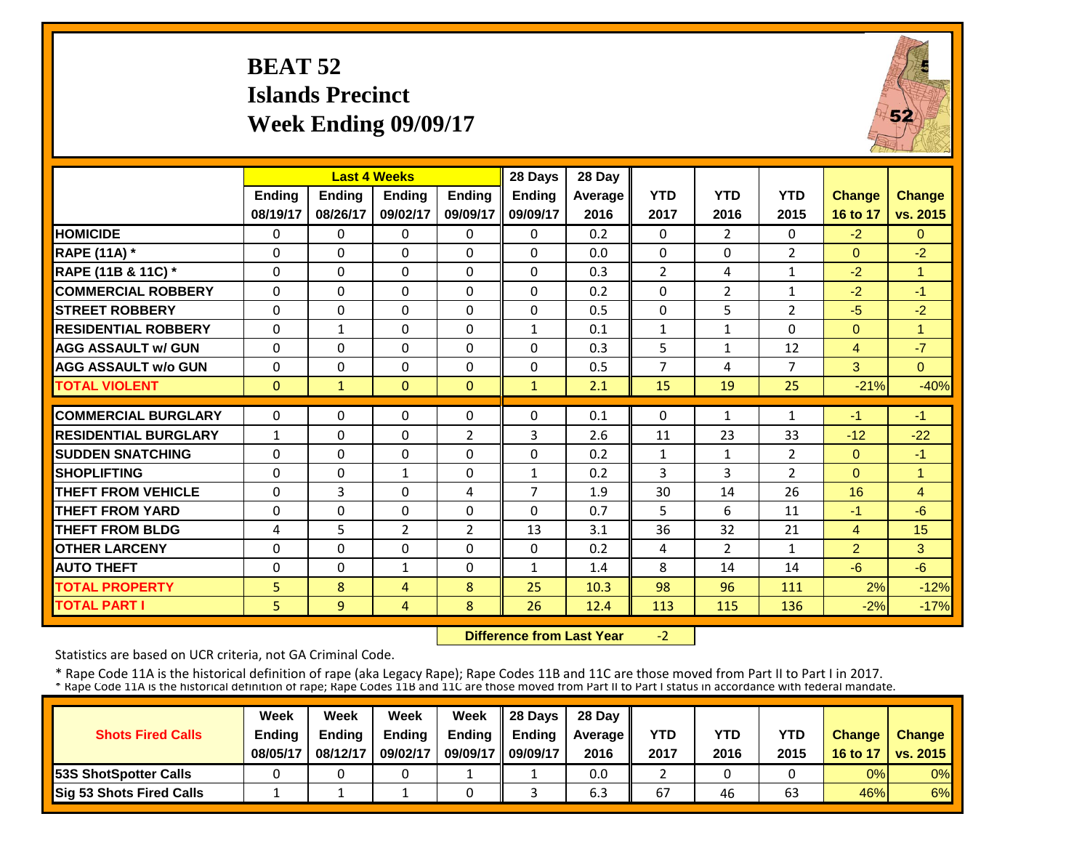# **BEAT 52 Islands PrecinctWeek Ending 09/09/17**



|                             |               | <b>Last 4 Weeks</b> |                |                | 28 Days        | 28 Day  |                |                |                |                |                |
|-----------------------------|---------------|---------------------|----------------|----------------|----------------|---------|----------------|----------------|----------------|----------------|----------------|
|                             | <b>Ending</b> | Ending              | <b>Ending</b>  | <b>Endina</b>  | <b>Ending</b>  | Average | <b>YTD</b>     | <b>YTD</b>     | <b>YTD</b>     | <b>Change</b>  | <b>Change</b>  |
|                             | 08/19/17      | 08/26/17            | 09/02/17       | 09/09/17       | 09/09/17       | 2016    | 2017           | 2016           | 2015           | 16 to 17       | vs. 2015       |
| <b>HOMICIDE</b>             | 0             | $\Omega$            | 0              | $\Omega$       | 0              | 0.2     | $\Omega$       | $\overline{2}$ | 0              | $-2$           | $\overline{0}$ |
| <b>RAPE (11A)</b> *         | $\Omega$      | $\Omega$            | $\Omega$       | $\Omega$       | 0              | 0.0     | $\Omega$       | $\Omega$       | $\overline{2}$ | $\Omega$       | $-2$           |
| RAPE (11B & 11C) *          | $\mathbf 0$   | $\Omega$            | $\Omega$       | $\Omega$       | 0              | 0.3     | $\overline{2}$ | 4              | 1              | $-2$           | $\overline{1}$ |
| <b>COMMERCIAL ROBBERY</b>   | $\Omega$      | $\Omega$            | $\Omega$       | $\Omega$       | 0              | 0.2     | $\Omega$       | $\overline{2}$ | $\mathbf{1}$   | $-2$           | $-1$           |
| <b>ISTREET ROBBERY</b>      | $\Omega$      | $\Omega$            | $\Omega$       | $\Omega$       | $\Omega$       | 0.5     | $\Omega$       | 5              | 2              | $-5$           | $-2$           |
| <b>RESIDENTIAL ROBBERY</b>  | $\Omega$      | 1                   | $\Omega$       | 0              | 1              | 0.1     | $\mathbf{1}$   | 1              | 0              | $\Omega$       | 1              |
| <b>AGG ASSAULT w/ GUN</b>   | $\Omega$      | $\Omega$            | $\Omega$       | $\Omega$       | 0              | 0.3     | 5              | $\mathbf{1}$   | 12             | $\overline{4}$ | $-7$           |
| <b>AGG ASSAULT w/o GUN</b>  | 0             | 0                   | $\Omega$       | $\Omega$       | 0              | 0.5     | $\overline{7}$ | 4              | 7              | 3              | $\Omega$       |
| <b>TOTAL VIOLENT</b>        | $\Omega$      | $\mathbf{1}$        | $\Omega$       | $\Omega$       | $\mathbf{1}$   | 2.1     | 15             | 19             | 25             | $-21%$         | $-40%$         |
| <b>COMMERCIAL BURGLARY</b>  | $\Omega$      | $\Omega$            | $\Omega$       | $\Omega$       | 0              | 0.1     | $\Omega$       | $\mathbf{1}$   | $\mathbf{1}$   | $-1$           | $-1$           |
| <b>RESIDENTIAL BURGLARY</b> | $\mathbf{1}$  | $\Omega$            | $\Omega$       | $\overline{2}$ | 3              | 2.6     | 11             | 23             | 33             | $-12$          | $-22$          |
|                             |               |                     |                |                | $\Omega$       |         |                |                |                |                | $-1$           |
| <b>SUDDEN SNATCHING</b>     | 0             | $\Omega$            | $\Omega$       | $\Omega$       |                | 0.2     | $\mathbf{1}$   | $\mathbf{1}$   | $\overline{2}$ | $\mathbf{0}$   |                |
| <b>SHOPLIFTING</b>          | $\Omega$      | $\Omega$            | 1              | $\Omega$       | $\mathbf{1}$   | 0.2     | 3              | 3              | 2              | $\Omega$       | 1              |
| <b>THEFT FROM VEHICLE</b>   | $\Omega$      | 3                   | $\Omega$       | 4              | $\overline{7}$ | 1.9     | 30             | 14             | 26             | 16             | $\overline{4}$ |
| <b>THEFT FROM YARD</b>      | $\Omega$      | $\Omega$            | $\Omega$       | $\Omega$       | 0              | 0.7     | 5              | 6              | 11             | $-1$           | $-6$           |
| <b>THEFT FROM BLDG</b>      | 4             | 5                   | $\overline{2}$ | $\overline{2}$ | 13             | 3.1     | 36             | 32             | 21             | 4              | 15             |
| <b>OTHER LARCENY</b>        | $\Omega$      | $\Omega$            | $\Omega$       | $\Omega$       | 0              | 0.2     | 4              | $\overline{2}$ | 1              | 2              | 3              |
| <b>AUTO THEFT</b>           | $\Omega$      | $\Omega$            | $\mathbf{1}$   | 0              | $\mathbf{1}$   | 1.4     | 8              | 14             | 14             | $-6$           | $-6$           |
| <b>TOTAL PROPERTY</b>       | 5             | 8                   | $\overline{4}$ | 8              | 25             | 10.3    | 98             | 96             | 111            | 2%             | $-12%$         |
| <b>TOTAL PART I</b>         | 5             | 9                   | 4              | 8              | 26             | 12.4    | 113            | 115            | 136            | $-2%$          | $-17%$         |

 **Difference from Last Year** $-2$ 

Statistics are based on UCR criteria, not GA Criminal Code.

|                              | Week     | Week          | Week          | Week          | 28 Days       | 28 Day    |      |      |      |               |                     |
|------------------------------|----------|---------------|---------------|---------------|---------------|-----------|------|------|------|---------------|---------------------|
| <b>Shots Fired Calls</b>     | Ending   | <b>Ending</b> | <b>Ending</b> | <b>Ending</b> | <b>Ending</b> | Average I | YTD  | YTD  | YTD  | <b>Change</b> | <b>Change</b>       |
|                              | 08/05/17 | 08/12/17      | 09/02/17      | 09/09/17      | 09/09/17      | 2016      | 2017 | 2016 | 2015 |               | 16 to 17   vs. 2015 |
| <b>53S ShotSpotter Calls</b> |          |               |               |               |               | 0.0       |      |      |      | 0%            | $0\%$               |
| Sig 53 Shots Fired Calls     |          |               |               |               |               | 6.3       | 67   | 46   | 63   | 46%           | 6%                  |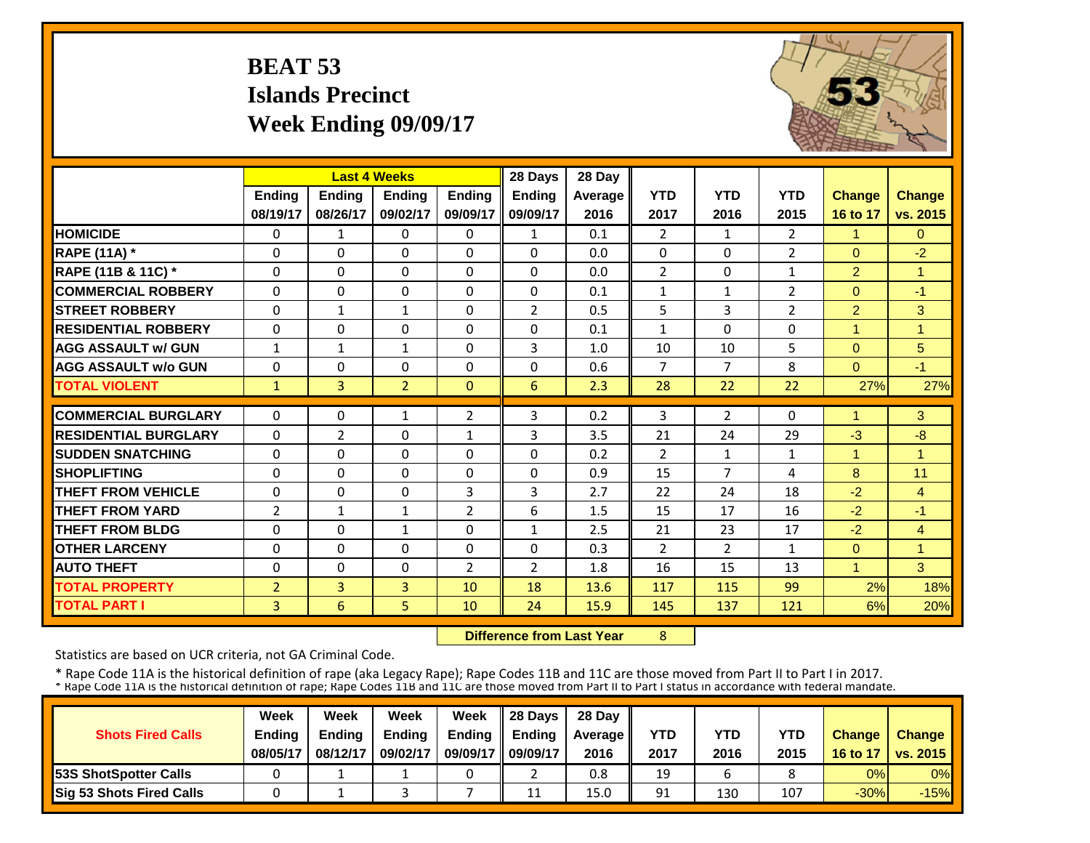# **BEAT 53 Islands PrecinctWeek Ending 09/09/17**



|                             |                | <b>Last 4 Weeks</b> |                |                | 28 Days        | 28 Day  |                |                |                |                |                |
|-----------------------------|----------------|---------------------|----------------|----------------|----------------|---------|----------------|----------------|----------------|----------------|----------------|
|                             | <b>Ending</b>  | <b>Ending</b>       | <b>Endina</b>  | <b>Endina</b>  | <b>Endina</b>  | Average | <b>YTD</b>     | <b>YTD</b>     | <b>YTD</b>     | <b>Change</b>  | Change         |
|                             | 08/19/17       | 08/26/17            | 09/02/17       | 09/09/17       | 09/09/17       | 2016    | 2017           | 2016           | 2015           | 16 to 17       | vs. 2015       |
| <b>HOMICIDE</b>             | $\Omega$       | 1                   | $\Omega$       | $\Omega$       | $\mathbf{1}$   | 0.1     | $\overline{2}$ | $\mathbf{1}$   | $\overline{2}$ | 1              | $\Omega$       |
| <b>RAPE (11A) *</b>         | $\Omega$       | $\Omega$            | $\Omega$       | $\Omega$       | $\Omega$       | 0.0     | $\Omega$       | $\Omega$       | $\overline{2}$ | $\Omega$       | $-2$           |
| RAPE (11B & 11C) *          | $\Omega$       | $\Omega$            | $\Omega$       | $\Omega$       | $\Omega$       | 0.0     | $\overline{2}$ | $\Omega$       | $\mathbf{1}$   | $\overline{2}$ | $\overline{1}$ |
| <b>COMMERCIAL ROBBERY</b>   | $\Omega$       | 0                   | $\Omega$       | $\Omega$       | $\Omega$       | 0.1     | $\mathbf{1}$   | $\mathbf{1}$   | $\overline{2}$ | $\Omega$       | $-1$           |
| <b>STREET ROBBERY</b>       | $\Omega$       | 1                   | 1              | $\Omega$       | $\overline{2}$ | 0.5     | 5              | 3              | $\overline{2}$ | $\overline{2}$ | 3              |
| <b>RESIDENTIAL ROBBERY</b>  | $\Omega$       | 0                   | $\Omega$       | $\Omega$       | $\Omega$       | 0.1     | 1              | $\Omega$       | 0              | $\overline{1}$ | 1              |
| <b>AGG ASSAULT w/ GUN</b>   | 1              | 1                   | 1              | $\Omega$       | 3              | 1.0     | 10             | 10             | 5              | $\Omega$       | 5 <sup>5</sup> |
| <b>AGG ASSAULT w/o GUN</b>  | $\Omega$       | 0                   | $\Omega$       | $\Omega$       | $\Omega$       | 0.6     | $\overline{7}$ | $\overline{7}$ | 8              | $\Omega$       | $-1$           |
| <b>TOTAL VIOLENT</b>        | $\mathbf{1}$   | $\overline{3}$      | $\overline{2}$ | $\mathbf{0}$   | 6              | 2.3     | 28             | 22             | 22             | 27%            | 27%            |
| <b>COMMERCIAL BURGLARY</b>  | $\Omega$       | 0                   | 1              | $\overline{2}$ | 3              | 0.2     | 3              | $\overline{2}$ | 0              | 1              | 3              |
| <b>RESIDENTIAL BURGLARY</b> | $\Omega$       | 2                   | $\Omega$       | $\mathbf{1}$   | 3              | 3.5     | 21             | 24             | 29             | $-3$           | $-8$           |
| <b>SUDDEN SNATCHING</b>     | $\Omega$       | 0                   | $\Omega$       | $\Omega$       | $\Omega$       | 0.2     | $\overline{2}$ | $\mathbf{1}$   | $\mathbf{1}$   | $\overline{1}$ | 1              |
| <b>SHOPLIFTING</b>          | $\Omega$       | 0                   | $\Omega$       | $\Omega$       | $\Omega$       | 0.9     | 15             | 7              | 4              | 8              | 11             |
| <b>THEFT FROM VEHICLE</b>   | 0              | 0                   | $\Omega$       | 3              | 3              | 2.7     | 22             | 24             | 18             | $-2$           | $\overline{4}$ |
| <b>THEFT FROM YARD</b>      | $\overline{2}$ | 1                   | 1              | $\overline{2}$ | 6              | 1.5     | 15             | 17             | 16             | $-2$           | $-1$           |
| <b>THEFT FROM BLDG</b>      | $\Omega$       | 0                   | $\mathbf{1}$   | 0              | $\mathbf{1}$   | 2.5     | 21             | 23             | 17             | $-2$           | $\overline{4}$ |
| <b>OTHER LARCENY</b>        | $\Omega$       | 0                   | $\Omega$       | 0              | 0              | 0.3     | 2              | $\overline{2}$ | $\mathbf{1}$   | $\Omega$       | $\overline{1}$ |
| <b>AUTO THEFT</b>           | $\Omega$       | 0                   | $\Omega$       | 2              | $\overline{2}$ | 1.8     | 16             | 15             | 13             | $\mathbf{1}$   | 3              |
| <b>TOTAL PROPERTY</b>       | $\overline{2}$ | $\overline{3}$      | 3              | 10             | 18             | 13.6    | 117            | 115            | 99             | 2%             | 18%            |
| <b>TOTAL PART I</b>         | 3              | 6                   | 5              | 10             | 24             | 15.9    | 145            | 137            | 121            | 6%             | 20%            |

 **Difference from Last Year**

8

Statistics are based on UCR criteria, not GA Criminal Code.

|                               | Week          | Week          | Week          | Week          | $\parallel$ 28 Davs | 28 Day    |      |      |      |               |                     |
|-------------------------------|---------------|---------------|---------------|---------------|---------------------|-----------|------|------|------|---------------|---------------------|
| <b>Shots Fired Calls</b>      | <b>Ending</b> | <b>Endina</b> | <b>Ending</b> | <b>Ending</b> | <b>Endina</b>       | Average I | YTD  | YTD  | YTD  | <b>Change</b> | <b>Change</b>       |
|                               | 08/05/17      | 08/12/17      | 09/02/17      | 09/09/17      | 09/09/17            | 2016      | 2017 | 2016 | 2015 |               | 16 to 17   vs. 2015 |
| <b>153S ShotSpotter Calls</b> |               |               |               |               |                     | 0.8       | 19   | b    |      | 0%            | $0\%$               |
| Sig 53 Shots Fired Calls      |               |               |               |               | 11                  | 15.0      | 91   | 130  | 107  | $-30%$        | $-15%$              |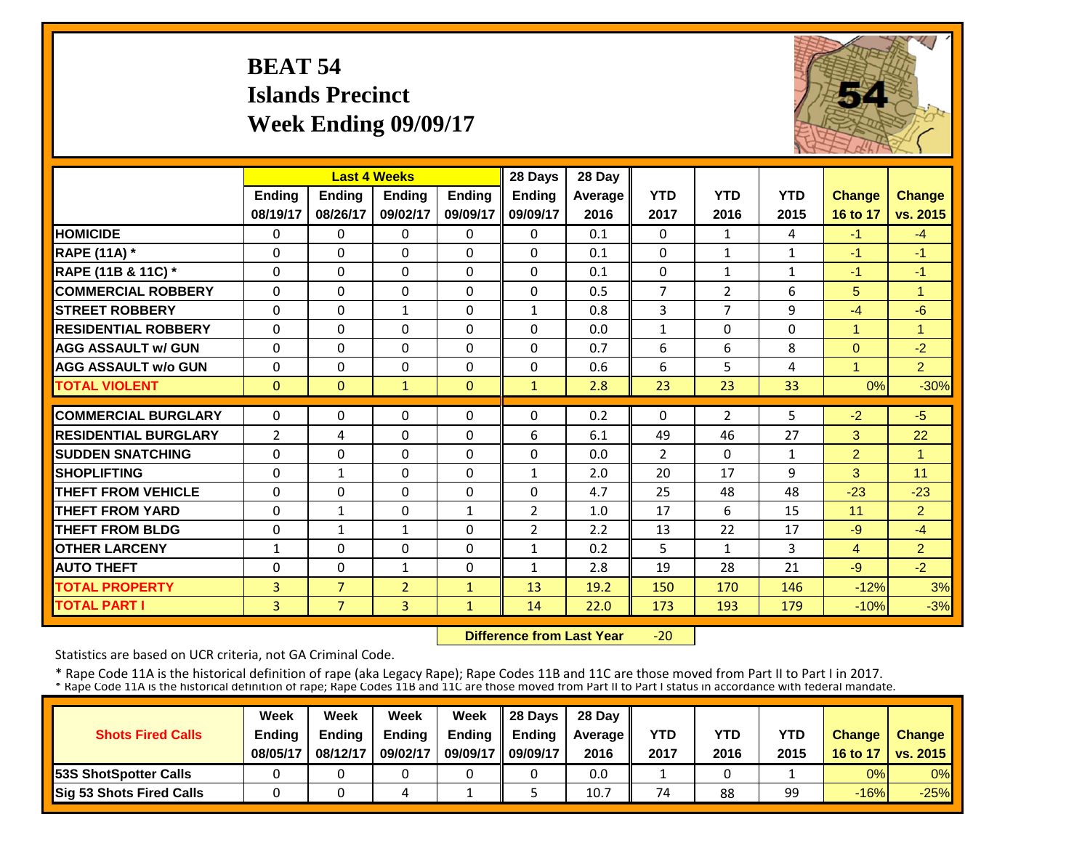# **BEAT 54 Islands PrecinctWeek Ending 09/09/17**



|                             |                |                | <b>Last 4 Weeks</b> |               | 28 Days        | 28 Day  |                |                |              |                |                      |
|-----------------------------|----------------|----------------|---------------------|---------------|----------------|---------|----------------|----------------|--------------|----------------|----------------------|
|                             | <b>Ending</b>  | <b>Ending</b>  | <b>Endina</b>       | <b>Ending</b> | <b>Endina</b>  | Average | <b>YTD</b>     | <b>YTD</b>     | <b>YTD</b>   | <b>Change</b>  | <b>Change</b>        |
|                             | 08/19/17       | 08/26/17       | 09/02/17            | 09/09/17      | 09/09/17       | 2016    | 2017           | 2016           | 2015         | 16 to 17       | vs. 2015             |
| <b>HOMICIDE</b>             | $\mathbf{0}$   | $\Omega$       | 0                   | $\Omega$      | 0              | 0.1     | $\Omega$       | $\mathbf{1}$   | 4            | $-1$           | $-4$                 |
| <b>RAPE (11A)</b> *         | $\Omega$       | $\Omega$       | $\Omega$            | $\Omega$      | $\Omega$       | 0.1     | $\Omega$       | $\mathbf{1}$   | $\mathbf{1}$ | -1             | $-1$                 |
| RAPE (11B & 11C) *          | $\Omega$       | $\Omega$       | $\Omega$            | $\Omega$      | $\Omega$       | 0.1     | $\Omega$       | $\mathbf{1}$   | $\mathbf{1}$ | $-1$           | $-1$                 |
| <b>COMMERCIAL ROBBERY</b>   | $\Omega$       | $\Omega$       | $\Omega$            | $\Omega$      | $\mathbf{0}$   | 0.5     | $\overline{7}$ | 2              | 6            | 5              | $\blacktriangleleft$ |
| <b>ISTREET ROBBERY</b>      | $\Omega$       | $\Omega$       | 1                   | $\Omega$      | $\mathbf{1}$   | 0.8     | 3              | 7              | 9            | $-4$           | $-6$                 |
| <b>RESIDENTIAL ROBBERY</b>  | $\Omega$       | $\Omega$       | $\Omega$            | 0             | $\Omega$       | 0.0     | $\mathbf{1}$   | $\Omega$       | 0            | $\overline{1}$ | -1                   |
| <b>AGG ASSAULT w/ GUN</b>   | $\Omega$       | $\Omega$       | $\Omega$            | $\Omega$      | $\Omega$       | 0.7     | 6              | 6              | 8            | $\Omega$       | $-2$                 |
| <b>AGG ASSAULT w/o GUN</b>  | $\Omega$       | $\Omega$       | $\Omega$            | $\Omega$      | $\Omega$       | 0.6     | 6              | 5              | 4            | 4              | 2 <sup>1</sup>       |
| <b>TOTAL VIOLENT</b>        | $\mathbf{0}$   | $\Omega$       | $\mathbf{1}$        | $\Omega$      | $\mathbf{1}$   | 2.8     | 23             | 23             | 33           | 0%             | $-30%$               |
| <b>COMMERCIAL BURGLARY</b>  | $\Omega$       | $\Omega$       | $\Omega$            | 0             | 0              | 0.2     | $\Omega$       | $\overline{2}$ | 5            | $-2$           | $-5$                 |
| <b>RESIDENTIAL BURGLARY</b> | $\overline{2}$ | 4              | $\Omega$            | 0             | 6              | 6.1     | 49             | 46             | 27           | 3              | 22                   |
| <b>SUDDEN SNATCHING</b>     | $\mathbf 0$    | $\Omega$       | $\Omega$            | $\Omega$      | $\Omega$       | 0.0     | 2              | $\Omega$       | $\mathbf{1}$ | $\overline{2}$ | -1                   |
| <b>SHOPLIFTING</b>          | $\Omega$       | $\mathbf{1}$   | $\Omega$            | $\Omega$      | $\mathbf{1}$   | 2.0     | 20             | 17             | 9            | 3              | 11                   |
| <b>THEFT FROM VEHICLE</b>   | 0              | $\Omega$       | $\Omega$            | $\Omega$      | 0              | 4.7     | 25             | 48             | 48           | $-23$          | $-23$                |
| <b>THEFT FROM YARD</b>      | $\Omega$       | $\mathbf{1}$   | $\Omega$            | 1             | $\overline{2}$ | 1.0     | 17             | 6              | 15           | 11             | $\overline{2}$       |
| <b>THEFT FROM BLDG</b>      | 0              | $\mathbf{1}$   | $\mathbf{1}$        | $\Omega$      | $\overline{2}$ | 2.2     | 13             | 22             | 17           | -9             | $-4$                 |
| <b>OTHER LARCENY</b>        | 1              | $\Omega$       | $\Omega$            | $\Omega$      | $\mathbf{1}$   | 0.2     | 5              | 1              | 3            | $\overline{4}$ | $\overline{2}$       |
| <b>AUTO THEFT</b>           | $\Omega$       | $\Omega$       | $\mathbf{1}$        | 0             | $\mathbf{1}$   | 2.8     | 19             | 28             | 21           | $-9$           | $-2$                 |
| <b>TOTAL PROPERTY</b>       | 3              | $\overline{7}$ | $\overline{2}$      | $\mathbf{1}$  | 13             | 19.2    | 150            | 170            | 146          | $-12%$         | 3%                   |
| <b>TOTAL PART I</b>         | $\overline{3}$ | $\overline{7}$ | 3                   | $\mathbf{1}$  | 14             | 22.0    | 173            | 193            | 179          | $-10%$         | $-3%$                |

 **Difference from Last Year** $-20$ 

Statistics are based on UCR criteria, not GA Criminal Code.

|                               | Week          | Week          | Week          | Week          | $\parallel$ 28 Davs | 28 Day    |      |      |      |               |                     |
|-------------------------------|---------------|---------------|---------------|---------------|---------------------|-----------|------|------|------|---------------|---------------------|
| <b>Shots Fired Calls</b>      | <b>Ending</b> | <b>Ending</b> | <b>Ending</b> | <b>Ending</b> | <b>Ending</b>       | Average I | YTD  | YTD  | YTD  | <b>Change</b> | <b>Change</b>       |
|                               | 08/05/17      | 08/12/17      | 09/02/17      | 09/09/17      | 09/09/17            | 2016      | 2017 | 2016 | 2015 |               | 16 to 17   vs. 2015 |
| <b>153S ShotSpotter Calls</b> |               |               |               |               |                     | 0.0       |      |      |      | 0%            | $0\%$               |
| Sig 53 Shots Fired Calls      |               |               |               |               |                     | 10.7      | 74   | 88   | 99   | $-16%$        | $-25%$              |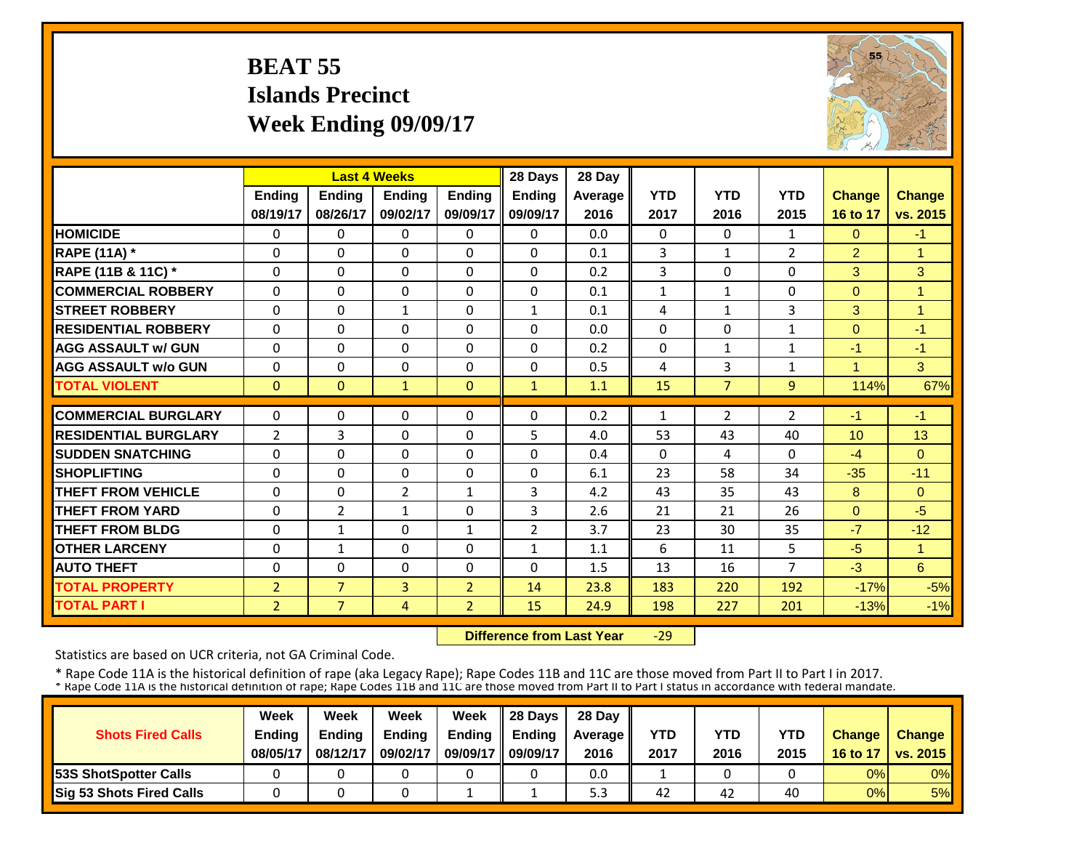# **BEAT 55 Islands Precinct Week Ending 09/09/17**



|                             |                | <b>Last 4 Weeks</b> |               |                | 28 Days        | 28 Day         |              |                |                |                |                |
|-----------------------------|----------------|---------------------|---------------|----------------|----------------|----------------|--------------|----------------|----------------|----------------|----------------|
|                             | Ending         | <b>Ending</b>       | <b>Ending</b> | <b>Endina</b>  | Ending         | <b>Average</b> | <b>YTD</b>   | <b>YTD</b>     | <b>YTD</b>     | <b>Change</b>  | <b>Change</b>  |
|                             | 08/19/17       | 08/26/17            | 09/02/17      | 09/09/17       | 09/09/17       | 2016           | 2017         | 2016           | 2015           | 16 to 17       | vs. 2015       |
| <b>HOMICIDE</b>             | $\Omega$       | $\Omega$            | $\Omega$      | $\Omega$       | $\Omega$       | 0.0            | 0            | $\Omega$       | 1              | $\Omega$       | $-1$           |
| <b>RAPE (11A) *</b>         | 0              | $\Omega$            | $\Omega$      | $\Omega$       | $\Omega$       | 0.1            | 3            | $\mathbf{1}$   | $\overline{2}$ | $\overline{2}$ | 1              |
| RAPE (11B & 11C) *          | $\mathbf 0$    | $\Omega$            | $\Omega$      | $\Omega$       | $\Omega$       | 0.2            | 3            | $\Omega$       | 0              | 3              | 3              |
| <b>COMMERCIAL ROBBERY</b>   | $\Omega$       | $\Omega$            | $\Omega$      | $\Omega$       | 0              | 0.1            | $\mathbf{1}$ | $\mathbf{1}$   | 0              | $\Omega$       | $\overline{1}$ |
| <b>ISTREET ROBBERY</b>      | $\Omega$       | $\Omega$            | $\mathbf{1}$  | $\Omega$       | $\mathbf{1}$   | 0.1            | 4            | $\mathbf{1}$   | 3              | 3              | $\overline{1}$ |
| <b>RESIDENTIAL ROBBERY</b>  | $\Omega$       | $\Omega$            | $\Omega$      | $\Omega$       | $\Omega$       | 0.0            | $\Omega$     | $\Omega$       | 1              | $\Omega$       | $-1$           |
| <b>AGG ASSAULT w/ GUN</b>   | $\Omega$       | $\Omega$            | $\Omega$      | $\Omega$       | $\Omega$       | 0.2            | $\Omega$     | $\mathbf{1}$   | 1              | $-1$           | $-1$           |
| <b>AGG ASSAULT w/o GUN</b>  | $\Omega$       | $\Omega$            | $\Omega$      | $\Omega$       | $\Omega$       | 0.5            | 4            | 3              | $\mathbf{1}$   | 1              | 3              |
| <b>TOTAL VIOLENT</b>        | $\mathbf{0}$   | $\Omega$            | $\mathbf{1}$  | $\mathbf{0}$   | $\mathbf{1}$   | 1.1            | 15           | $\overline{7}$ | 9              | 114%           | 67%            |
|                             |                |                     |               |                |                |                |              |                |                |                |                |
| <b>COMMERCIAL BURGLARY</b>  | $\Omega$       | $\Omega$            | 0             | $\Omega$       | 0              | 0.2            | 1            | $\overline{2}$ | $\overline{2}$ | $-1$           | $-1$           |
| <b>RESIDENTIAL BURGLARY</b> | 2              | 3                   | $\Omega$      | $\Omega$       | 5              | 4.0            | 53           | 43             | 40             | 10             | 13             |
| <b>ISUDDEN SNATCHING</b>    | $\mathbf 0$    | $\Omega$            | $\Omega$      | $\Omega$       | $\Omega$       | 0.4            | $\Omega$     | 4              | 0              | $-4$           | $\Omega$       |
| <b>SHOPLIFTING</b>          | $\Omega$       | $\Omega$            | $\Omega$      | $\Omega$       | $\Omega$       | 6.1            | 23           | 58             | 34             | $-35$          | $-11$          |
| THEFT FROM VEHICLE          | 0              | $\Omega$            | 2             | 1              | 3              | 4.2            | 43           | 35             | 43             | 8              | $\Omega$       |
| <b>THEFT FROM YARD</b>      | $\Omega$       | $\overline{2}$      | $\mathbf{1}$  | $\Omega$       | 3              | 2.6            | 21           | 21             | 26             | $\Omega$       | $-5$           |
| <b>THEFT FROM BLDG</b>      | $\Omega$       | $\mathbf{1}$        | $\Omega$      | 1              | $\overline{2}$ | 3.7            | 23           | 30             | 35             | $-7$           | $-12$          |
| <b>OTHER LARCENY</b>        | $\Omega$       | $\mathbf{1}$        | $\Omega$      | $\Omega$       | $\mathbf{1}$   | 1.1            | 6            | 11             | 5              | $-5$           | $\mathbf{1}$   |
| <b>AUTO THEFT</b>           | 0              | $\Omega$            | $\Omega$      | 0              | $\Omega$       | 1.5            | 13           | 16             | 7              | $-3$           | 6              |
| <b>TOTAL PROPERTY</b>       | $\overline{2}$ | $\overline{7}$      | 3             | $\overline{2}$ | 14             | 23.8           | 183          | 220            | 192            | $-17%$         | $-5%$          |
| <b>TOTAL PART I</b>         | $\overline{2}$ | $\overline{7}$      | 4             | $\overline{2}$ | 15             | 24.9           | 198          | 227            | 201            | $-13%$         | $-1%$          |

 **Difference from Last Year**‐29

Statistics are based on UCR criteria, not GA Criminal Code.

|                               | Week          | Week          | Week          | Week          | $\parallel$ 28 Davs | 28 Day    |      |      |      |               |                     |
|-------------------------------|---------------|---------------|---------------|---------------|---------------------|-----------|------|------|------|---------------|---------------------|
| <b>Shots Fired Calls</b>      | <b>Ending</b> | <b>Ending</b> | <b>Ending</b> | <b>Ending</b> | <b>Ending</b>       | Average I | YTD  | YTD  | YTD  | <b>Change</b> | <b>Change</b>       |
|                               | 08/05/17      | 08/12/17      | 09/02/17      | 09/09/17      | 09/09/17            | 2016      | 2017 | 2016 | 2015 |               | 16 to 17   vs. 2015 |
| <b>153S ShotSpotter Calls</b> |               |               |               |               |                     | 0.0       |      |      |      | 0%            | $0\%$               |
| Sig 53 Shots Fired Calls      |               |               |               |               |                     | ں ب       | 42   | 42   | 40   | 0%            | 5%                  |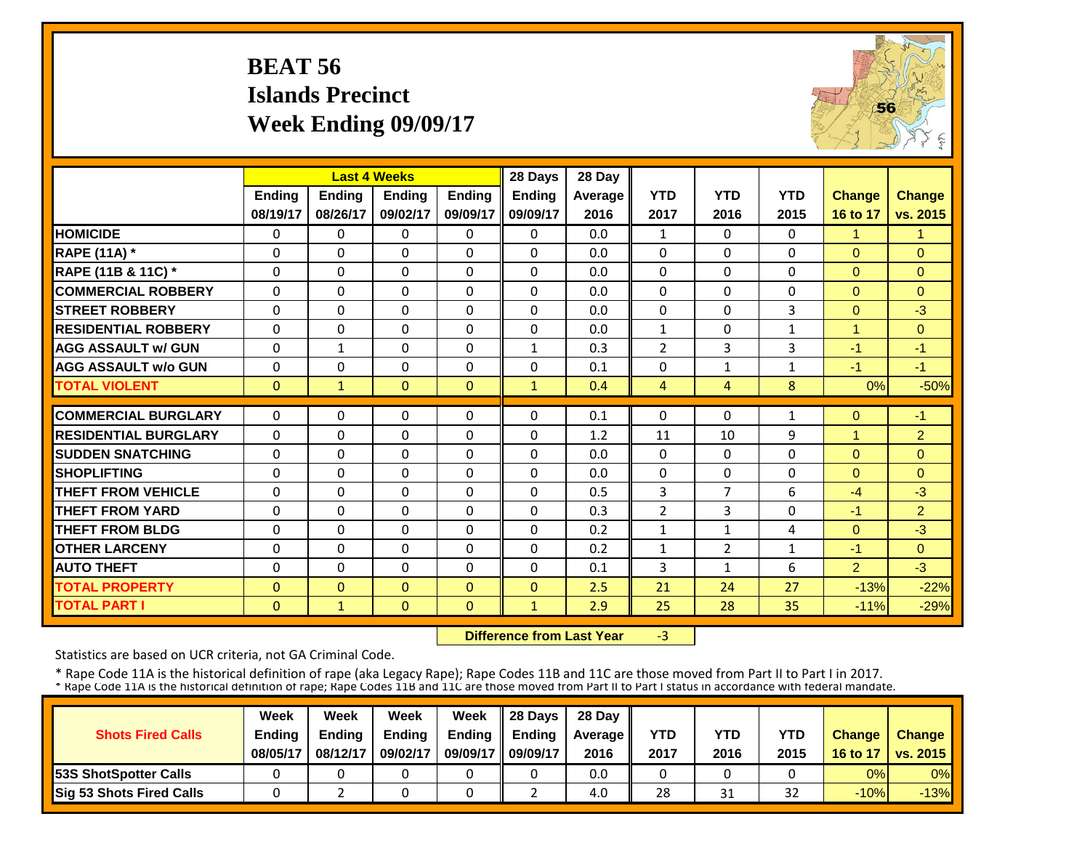# **BEAT 56 Islands Precinct Week Ending 09/09/17**



|                             |               |              | <b>Last 4 Weeks</b> |               | 28 Days       | 28 Day  |                |                |              |                |                |
|-----------------------------|---------------|--------------|---------------------|---------------|---------------|---------|----------------|----------------|--------------|----------------|----------------|
|                             | <b>Ending</b> | Ending       | <b>Endina</b>       | <b>Endina</b> | <b>Ending</b> | Average | <b>YTD</b>     | <b>YTD</b>     | <b>YTD</b>   | <b>Change</b>  | <b>Change</b>  |
|                             | 08/19/17      | 08/26/17     | 09/02/17            | 09/09/17      | 09/09/17      | 2016    | 2017           | 2016           | 2015         | 16 to 17       | vs. 2015       |
| <b>HOMICIDE</b>             | $\Omega$      | $\Omega$     | $\Omega$            | $\Omega$      | $\Omega$      | 0.0     | $\mathbf{1}$   | $\Omega$       | 0            | 1              | 1              |
| <b>RAPE (11A) *</b>         | $\Omega$      | $\Omega$     | $\Omega$            | $\Omega$      | $\Omega$      | 0.0     | $\Omega$       | $\Omega$       | $\Omega$     | $\Omega$       | $\Omega$       |
| RAPE (11B & 11C) *          | $\Omega$      | $\Omega$     | $\Omega$            | $\Omega$      | $\Omega$      | 0.0     | $\Omega$       | $\Omega$       | $\Omega$     | $\Omega$       | $\Omega$       |
| <b>COMMERCIAL ROBBERY</b>   | $\mathbf{0}$  | $\Omega$     | $\Omega$            | $\Omega$      | $\Omega$      | 0.0     | $\Omega$       | $\Omega$       | 0            | $\Omega$       | $\Omega$       |
| <b>STREET ROBBERY</b>       | $\mathbf 0$   | $\Omega$     | 0                   | $\Omega$      | 0             | 0.0     | $\mathbf 0$    | $\Omega$       | 3            | $\mathbf{0}$   | $-3$           |
| <b>RESIDENTIAL ROBBERY</b>  | $\Omega$      | $\Omega$     | $\Omega$            | $\Omega$      | 0             | 0.0     | $\mathbf{1}$   | $\Omega$       | $\mathbf{1}$ | 1              | $\Omega$       |
| <b>AGG ASSAULT w/ GUN</b>   | $\Omega$      | 1            | $\Omega$            | $\Omega$      | 1             | 0.3     | $\overline{2}$ | 3              | 3            | $-1$           | $-1$           |
| <b>AGG ASSAULT w/o GUN</b>  | $\Omega$      | $\Omega$     | $\Omega$            | $\Omega$      | $\Omega$      | 0.1     | $\Omega$       | $\mathbf{1}$   | $\mathbf{1}$ | $-1$           | $-1$           |
| <b>TOTAL VIOLENT</b>        | $\mathbf{0}$  | $\mathbf{1}$ | $\mathbf{0}$        | $\Omega$      | $\mathbf{1}$  | 0.4     | $\overline{4}$ | $\overline{4}$ | 8            | 0%             | $-50%$         |
|                             |               |              |                     |               |               |         |                | $\Omega$       |              |                |                |
| <b>COMMERCIAL BURGLARY</b>  | $\Omega$      | $\Omega$     | 0                   | $\Omega$      | 0             | 0.1     | $\Omega$       |                | 1            | $\mathbf{0}$   | $-1$           |
| <b>RESIDENTIAL BURGLARY</b> | $\Omega$      | $\Omega$     | $\Omega$            | $\Omega$      | $\Omega$      | 1.2     | 11             | 10             | 9            | 1              | $\overline{2}$ |
| <b>SUDDEN SNATCHING</b>     | $\Omega$      | $\Omega$     | $\Omega$            | $\Omega$      | $\Omega$      | 0.0     | $\Omega$       | $\Omega$       | 0            | $\Omega$       | $\Omega$       |
| <b>SHOPLIFTING</b>          | $\Omega$      | $\Omega$     | $\Omega$            | $\Omega$      | $\Omega$      | 0.0     | $\Omega$       | $\Omega$       | 0            | $\Omega$       | $\Omega$       |
| <b>THEFT FROM VEHICLE</b>   | 0             | $\Omega$     | 0                   | $\Omega$      | 0             | 0.5     | $\overline{3}$ | 7              | 6            | $-4$           | $-3$           |
| <b>THEFT FROM YARD</b>      | 0             | $\Omega$     | $\Omega$            | $\Omega$      | 0             | 0.3     | $\overline{2}$ | 3              | 0            | $-1$           | 2 <sup>1</sup> |
| <b>THEFT FROM BLDG</b>      | 0             | $\Omega$     | $\Omega$            | $\Omega$      | 0             | 0.2     | $\mathbf{1}$   | $\mathbf{1}$   | 4            | $\Omega$       | $-3$           |
| <b>OTHER LARCENY</b>        | $\Omega$      | $\Omega$     | $\Omega$            | 0             | $\Omega$      | 0.2     | $\mathbf{1}$   | $\overline{2}$ | 1            | $-1$           | $\Omega$       |
| <b>AUTO THEFT</b>           | $\Omega$      | $\Omega$     | $\Omega$            | $\Omega$      | $\Omega$      | 0.1     | 3              | 1              | 6            | $\overline{2}$ | $-3$           |
| <b>TOTAL PROPERTY</b>       | $\Omega$      | $\Omega$     | $\Omega$            | $\Omega$      | $\Omega$      | 2.5     | 21             | 24             | 27           | $-13%$         | $-22%$         |
| <b>TOTAL PART I</b>         | $\mathbf{0}$  | $\mathbf{1}$ | $\Omega$            | $\Omega$      | $\mathbf{1}$  | 2.9     | 25             | 28             | 35           | $-11%$         | $-29%$         |

 **Difference from Last Year** $-3$ 

Statistics are based on UCR criteria, not GA Criminal Code.

|                               | Week          | Week          | Week          | Week          | $\parallel$ 28 Davs | 28 Day    |      |      |      |               |                     |
|-------------------------------|---------------|---------------|---------------|---------------|---------------------|-----------|------|------|------|---------------|---------------------|
| <b>Shots Fired Calls</b>      | <b>Ending</b> | <b>Ending</b> | <b>Ending</b> | <b>Ending</b> | <b>Ending</b>       | Average I | YTD  | YTD  | YTD  | <b>Change</b> | <b>Change</b>       |
|                               | 08/05/17      | 08/12/17      | 09/02/17      | 09/09/17      | 09/09/17            | 2016      | 2017 | 2016 | 2015 |               | 16 to 17   vs. 2015 |
| <b>153S ShotSpotter Calls</b> |               |               |               |               |                     | 0.0       |      |      |      | 0%            | $0\%$               |
| Sig 53 Shots Fired Calls      |               |               |               |               |                     | 4.0       | 28   | 31   | 32   | $-10%$        | $-13%$              |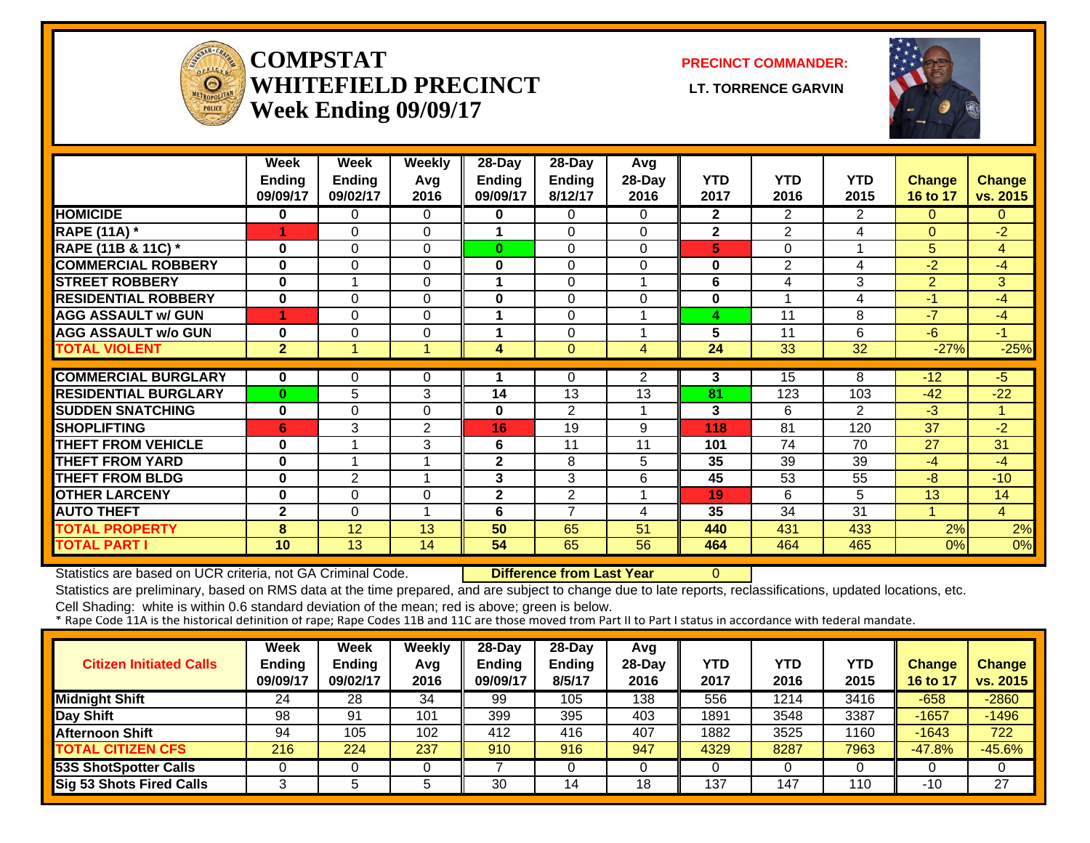

#### **COMPSTATWHITEFIELD PRECINCT** LT. TORRENCE GARVIN **Week Ending 09/09/17**

**PRECINCT COMMANDER:**



|                             | Week<br><b>Ending</b><br>09/09/17 | Week<br><b>Ending</b><br>09/02/17 | <b>Weekly</b><br>Avg<br>2016 | $28$ -Day<br><b>Ending</b><br>09/09/17 | $28-Day$<br><b>Ending</b><br>8/12/17 | Avg<br>28-Day<br>2016 | <b>YTD</b><br>2017 | <b>YTD</b><br>2016 | <b>YTD</b><br>2015 | Change<br>16 to 17 | <b>Change</b><br>vs. 2015 |
|-----------------------------|-----------------------------------|-----------------------------------|------------------------------|----------------------------------------|--------------------------------------|-----------------------|--------------------|--------------------|--------------------|--------------------|---------------------------|
| <b>HOMICIDE</b>             | $\bf{0}$                          | 0                                 | $\Omega$                     | 0                                      | 0                                    | 0                     | $\overline{2}$     | 2.                 | 2                  | $\Omega$           | $\mathbf{0}$              |
| <b>RAPE (11A)</b> *         |                                   | $\Omega$                          | $\Omega$                     | 1                                      | 0                                    | 0                     | $\overline{2}$     | $\overline{2}$     | 4                  | $\Omega$           | $-2$                      |
| RAPE (11B & 11C) *          | $\bf{0}$                          | $\Omega$                          | $\Omega$                     | 0                                      | 0                                    | 0                     | 5                  | 0                  |                    | 5                  | 4                         |
| <b>COMMERCIAL ROBBERY</b>   | $\bf{0}$                          | 0                                 | $\Omega$                     | $\bf{0}$                               | 0                                    | 0                     | $\bf{0}$           | 2                  | 4                  | $-2$               | $-4$                      |
| <b>STREET ROBBERY</b>       | $\bf{0}$                          |                                   | $\Omega$                     | 1                                      | 0                                    | 4                     | 6                  | 4                  | 3                  | $\overline{2}$     | 3                         |
| <b>RESIDENTIAL ROBBERY</b>  | $\bf{0}$                          | 0                                 | $\Omega$                     | $\bf{0}$                               | $\Omega$                             | 0                     | 0                  |                    | 4                  | $-1$               | -4                        |
| <b>AGG ASSAULT w/ GUN</b>   | 1                                 | $\Omega$                          | $\Omega$                     | 1                                      | 0                                    |                       | 4                  | 11                 | 8                  | $-7$               | -4                        |
| <b>AGG ASSAULT w/o GUN</b>  | $\bf{0}$                          | $\Omega$                          | $\Omega$                     |                                        | 0                                    |                       | 5                  | 11                 | 6                  | -6                 | -1                        |
| <b>TOTAL VIOLENT</b>        | $\mathbf{2}$                      |                                   |                              | 4                                      | $\Omega$                             | 4                     | 24                 | 33                 | $\overline{32}$    | $-27%$             | $-25%$                    |
| <b>COMMERCIAL BURGLARY</b>  |                                   |                                   |                              |                                        |                                      |                       |                    |                    | 8                  |                    |                           |
| <b>RESIDENTIAL BURGLARY</b> | $\bf{0}$                          | $\Omega$                          | 0                            | 14                                     | $\Omega$<br>13                       | $\overline{2}$<br>13  | 3<br>81            | 15                 |                    | $-12$              | -5                        |
|                             | $\bf{0}$                          | 5                                 | 3                            |                                        |                                      |                       |                    | 123                | 103                | $-42$              | $-22$                     |
| <b>SUDDEN SNATCHING</b>     | $\bf{0}$                          | 0                                 | $\Omega$                     | $\bf{0}$                               | 2                                    | 1                     | 3                  | 6                  | 2                  | $-3$               | 1                         |
| <b>SHOPLIFTING</b>          | 6                                 | 3                                 | 2                            | 16                                     | 19                                   | 9                     | 118                | 81                 | 120                | 37                 | $-2$                      |
| <b>THEFT FROM VEHICLE</b>   | $\bf{0}$                          | $\overline{\mathbf{A}}$           | 3                            | 6                                      | 11                                   | 11                    | 101                | 74                 | 70                 | 27                 | 31                        |
| <b>THEFT FROM YARD</b>      | $\bf{0}$                          |                                   |                              | $\mathbf{2}$                           | 8                                    | 5                     | 35                 | 39                 | 39                 | -4                 | -4                        |
| <b>THEFT FROM BLDG</b>      | $\bf{0}$                          | $\mathbf{2}$                      |                              | 3                                      | 3                                    | 6                     | 45                 | 53                 | 55                 | $-8$               | $-10$                     |
| <b>OTHER LARCENY</b>        | $\bf{0}$                          | $\Omega$                          | $\Omega$                     | 2                                      | $\overline{2}$                       |                       | 19                 | 6                  | 5                  | 13                 | 14                        |
| <b>AUTO THEFT</b>           | $\mathbf{2}$                      | $\Omega$                          | -1                           | 6                                      | 7                                    | 4                     | 35                 | 34                 | 31                 |                    | $\overline{4}$            |
| <b>TOTAL PROPERTY</b>       | 8                                 | 12                                | 13                           | 50                                     | 65                                   | 51                    | 440                | 431                | 433                | 2%                 | 2%                        |
| <b>TOTAL PART I</b>         | 10 <sup>1</sup>                   | 13                                | 14                           | 54                                     | 65                                   | 56                    | 464                | 464                | 465                | 0%                 | 0%                        |

Statistics are based on UCR criteria, not GA Criminal Code. **Difference from Last Year** 0

Statistics are preliminary, based on RMS data at the time prepared, and are subject to change due to late reports, reclassifications, updated locations, etc.

| <b>Citizen Initiated Calls</b>  | <b>Week</b><br><b>Ending</b><br>09/09/17 | <b>Week</b><br><b>Ending</b><br>09/02/17 | Weekly<br>Avg<br>2016 | 28-Day<br><b>Ending</b><br>09/09/17 | 28-Day<br>Ending<br>8/5/17 | Avg<br>$28-Day$<br>2016 | <b>YTD</b><br>2017 | YTD<br>2016 | YTD<br>2015 | <b>Change</b><br>16 to 17 | <b>Change</b><br>vs. 2015 |
|---------------------------------|------------------------------------------|------------------------------------------|-----------------------|-------------------------------------|----------------------------|-------------------------|--------------------|-------------|-------------|---------------------------|---------------------------|
| <b>Midnight Shift</b>           | 24                                       | 28                                       | 34                    | 99                                  | 105                        | 138                     | 556                | 1214        | 3416        | $-658$                    | $-2860$                   |
| Day Shift                       | 98                                       | 91                                       | 101                   | 399                                 | 395                        | 403                     | 1891               | 3548        | 3387        | $-1657$                   | $-1496$                   |
| <b>Afternoon Shift</b>          | 94                                       | 105                                      | 102                   | 412                                 | 416                        | 407                     | 1882               | 3525        | 1160        | $-1643$                   | 722                       |
| <b>TOTAL CITIZEN CFS</b>        | 216                                      | 224                                      | 237                   | 910                                 | 916                        | 947                     | 4329               | 8287        | 7963        | $-47.8%$                  | $-45.6%$                  |
| <b>53S ShotSpotter Calls</b>    |                                          |                                          |                       |                                     |                            |                         |                    |             |             |                           |                           |
| <b>Sig 53 Shots Fired Calls</b> |                                          |                                          |                       | 30                                  | 14                         | 18                      | 137                | 147         | 110         | -10                       | 27                        |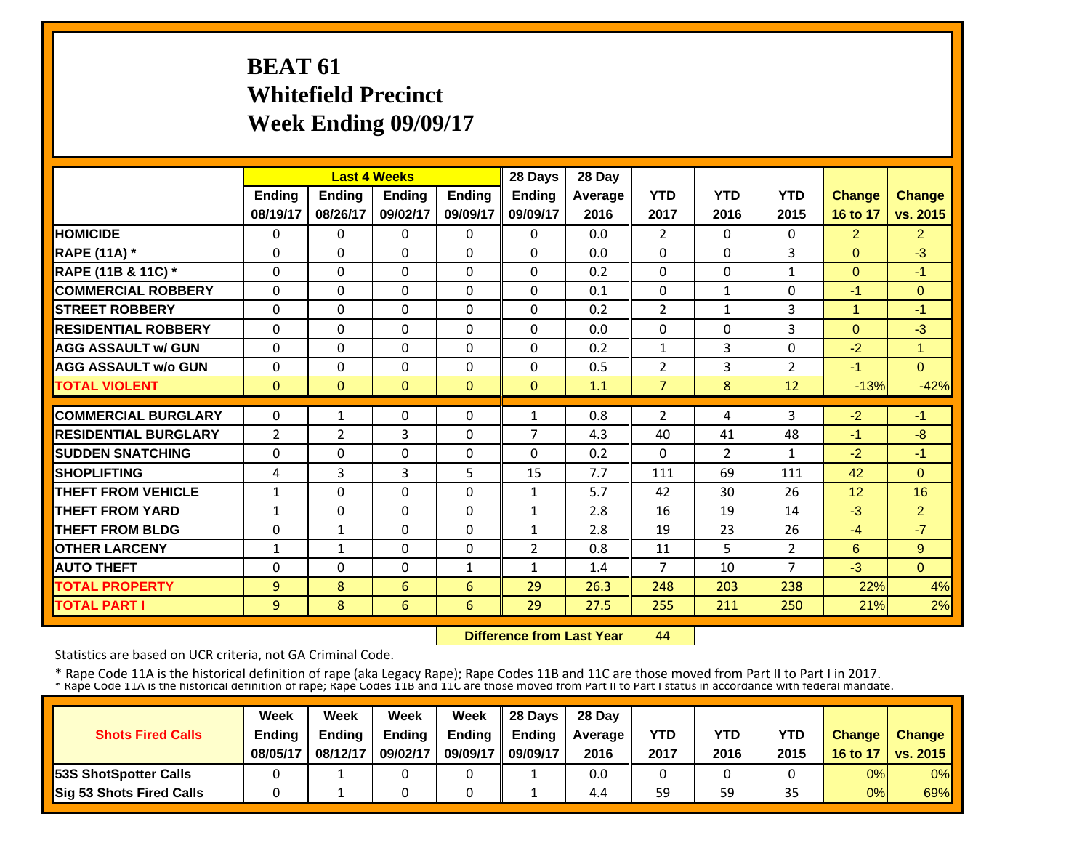# **BEAT 61 Whitefield Precinct Week Ending 09/09/17**

|                             |              |                | <b>Last 4 Weeks</b> |               | 28 Days        | 28 Day  |                |                |                |                |                |
|-----------------------------|--------------|----------------|---------------------|---------------|----------------|---------|----------------|----------------|----------------|----------------|----------------|
|                             | Ending       | Ending         | <b>Ending</b>       | <b>Ending</b> | Ending         | Average | <b>YTD</b>     | <b>YTD</b>     | <b>YTD</b>     | <b>Change</b>  | Change         |
|                             | 08/19/17     | 08/26/17       | 09/02/17            | 09/09/17      | 09/09/17       | 2016    | 2017           | 2016           | 2015           | 16 to 17       | vs. 2015       |
| <b>HOMICIDE</b>             | 0            | $\Omega$       | $\mathbf{0}$        | 0             | $\Omega$       | 0.0     | $\overline{2}$ | $\Omega$       | $\mathbf{0}$   | $\overline{2}$ | $\overline{2}$ |
| <b>RAPE (11A) *</b>         | $\Omega$     | $\Omega$       | $\mathbf{0}$        | $\Omega$      | $\Omega$       | 0.0     | $\Omega$       | $\mathbf{0}$   | 3              | $\Omega$       | $-3$           |
| RAPE (11B & 11C) *          | $\Omega$     | $\Omega$       | $\mathbf{0}$        | $\Omega$      | $\Omega$       | 0.2     | $\Omega$       | $\Omega$       | $\mathbf{1}$   | $\Omega$       | $-1$           |
| <b>COMMERCIAL ROBBERY</b>   | 0            | $\Omega$       | $\mathbf{0}$        | $\Omega$      | $\Omega$       | 0.1     | $\Omega$       | $\mathbf{1}$   | $\Omega$       | $-1$           | $\Omega$       |
| <b>STREET ROBBERY</b>       | 0            | $\Omega$       | $\mathbf{0}$        | $\Omega$      | $\Omega$       | 0.2     | $\overline{2}$ | $\mathbf{1}$   | 3              | 1              | $-1$           |
| <b>RESIDENTIAL ROBBERY</b>  | $\Omega$     | $\Omega$       | $\Omega$            | $\Omega$      | $\Omega$       | 0.0     | $\Omega$       | $\Omega$       | 3              | $\Omega$       | $-3$           |
| <b>AGG ASSAULT w/ GUN</b>   | $\Omega$     | $\Omega$       | $\Omega$            | $\Omega$      | $\Omega$       | 0.2     | $\mathbf{1}$   | 3              | $\Omega$       | $-2$           | 1              |
| <b>AGG ASSAULT w/o GUN</b>  | $\Omega$     | $\Omega$       | $\Omega$            | $\Omega$      | $\Omega$       | 0.5     | $\overline{2}$ | 3              | $\overline{2}$ | $-1$           | $\Omega$       |
| <b>TOTAL VIOLENT</b>        | $\mathbf{0}$ | $\mathbf{0}$   | $\mathbf{0}$        | $\mathbf{0}$  | $\Omega$       | 1.1     | $\overline{7}$ | 8              | 12             | $-13%$         | $-42%$         |
| <b>COMMERCIAL BURGLARY</b>  | $\Omega$     | 1              | $\mathbf{0}$        | $\Omega$      | 1              | 0.8     | $\overline{2}$ | 4              | 3              | $-2$           | $-1$           |
| <b>RESIDENTIAL BURGLARY</b> | 2            | $\overline{2}$ | 3                   | $\Omega$      | 7              | 4.3     | 40             | 41             | 48             | $-1$           | $-8$           |
| <b>SUDDEN SNATCHING</b>     | $\Omega$     | $\Omega$       | $\Omega$            | $\Omega$      | $\Omega$       | 0.2     | $\Omega$       | $\overline{2}$ | $\mathbf{1}$   | $-2$           | $-1$           |
| <b>SHOPLIFTING</b>          | 4            | 3              | 3                   | 5             | 15             | 7.7     | 111            | 69             | 111            | 42             | $\Omega$       |
| <b>THEFT FROM VEHICLE</b>   | $\mathbf{1}$ | $\Omega$       | $\mathbf{0}$        | $\Omega$      | $\mathbf{1}$   | 5.7     | 42             | 30             | 26             | 12             | 16             |
| <b>THEFT FROM YARD</b>      | $\mathbf{1}$ | 0              | $\mathbf{0}$        | $\Omega$      | $\mathbf{1}$   | 2.8     | 16             | 19             | 14             | $-3$           | $\overline{2}$ |
| <b>THEFT FROM BLDG</b>      | 0            | 1              | $\mathbf{0}$        | 0             | $\mathbf{1}$   | 2.8     | 19             | 23             | 26             | $-4$           | $-7$           |
| <b>OTHER LARCENY</b>        | 1            | 1              | $\Omega$            | $\Omega$      | $\overline{2}$ | 0.8     | 11             | 5              | $\overline{2}$ | 6              | 9              |
| <b>AUTO THEFT</b>           | 0            | $\Omega$       | $\Omega$            | $\mathbf{1}$  | 1              | 1.4     | $\overline{7}$ | 10             | $\overline{7}$ | $-3$           | $\Omega$       |
| <b>TOTAL PROPERTY</b>       | 9            | 8              | 6                   | 6             | 29             | 26.3    | 248            | 203            | 238            | 22%            | 4%             |
| <b>TOTAL PART I</b>         | 9            | 8              | 6                   | 6             | 29             | 27.5    | 255            | 211            | 250            | 21%            | 2%             |
|                             |              |                |                     |               |                |         |                |                |                |                |                |

 **Difference from Last Year**44

Statistics are based on UCR criteria, not GA Criminal Code.

| <b>Shots Fired Calls</b>      | Week<br><b>Ending</b><br>08/05/17 | Week<br><b>Ending</b><br>08/12/17 | Week<br><b>Ending</b><br>09/02/17 | Week<br><b>Ending</b><br>09/09/17 | 28 Days<br><b>Endina</b><br>09/09/17 | 28 Day<br><b>Average II</b><br>2016 | <b>YTD</b><br>2017 | YTD<br>2016 | YTD<br>2015 | <b>Change</b><br>16 to 17 | <b>Change</b><br><b>VS. 2015</b> |
|-------------------------------|-----------------------------------|-----------------------------------|-----------------------------------|-----------------------------------|--------------------------------------|-------------------------------------|--------------------|-------------|-------------|---------------------------|----------------------------------|
| <b>153S ShotSpotter Calls</b> |                                   |                                   |                                   |                                   |                                      | 0.0                                 |                    |             |             | 0%                        | $0\%$                            |
| Sig 53 Shots Fired Calls      |                                   |                                   |                                   |                                   |                                      | 4.4                                 | 59                 | 59          | 35          | 0%                        | 69%                              |